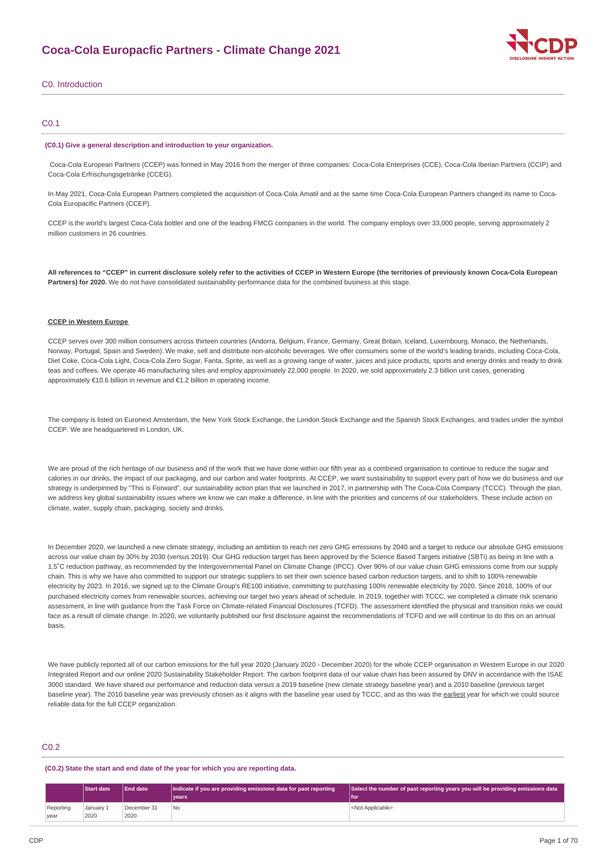

## C0. Introduction

## C0.1

#### **(C0.1) Give a general description and introduction to your organization.**

Coca-Cola European Partners (CCEP) was formed in May 2016 from the merger of three companies: Coca-Cola Enterprises (CCE), Coca-Cola Iberian Partners (CCIP) and Coca-Cola Erfrischungsgetränke (CCEG).

In May 2021, Coca-Cola European Partners completed the acquisition of Coca-Cola Amatil and at the same time Coca-Cola European Partners changed its name to Coca-Cola Europacific Partners (CCEP).

CCEP is the world's largest Coca-Cola bottler and one of the leading FMCG companies in the world. The company employs over 33,000 people, serving approximately 2 million customers in 26 countries.

All references to "CCEP" in current disclosure solely refer to the activities of CCEP in Western Europe (the territories of previously known Coca-Cola European **Partners) for 2020.** We do not have consolidated sustainability performance data for the combined business at this stage.

## **CCEP in Western Europe**

CCEP serves over 300 million consumers across thirteen countries (Andorra, Belgium, France, Germany, Great Britain, Iceland, Luxembourg, Monaco, the Netherlands, Norway, Portugal, Spain and Sweden). We make, sell and distribute non-alcoholic beverages. We offer consumers some of the world's leading brands, including Coca-Cola, Diet Coke, Coca-Cola Light, Coca-Cola Zero Sugar, Fanta, Sprite, as well as a growing range of water, iuices and juice products, sports and energy drinks and ready to drink teas and coffees. We operate 46 manufacturing sites and employ approximately 22,000 people. In 2020, we sold approximately 2.3 billion unit cases, generating approximately €10.6 billion in revenue and €1.2 billion in operating income.

The company is listed on Euronext Amsterdam, the New York Stock Exchange, the London Stock Exchange and the Spanish Stock Exchanges, and trades under the symbol CCEP. We are headquartered in London, UK.

We are proud of the rich heritage of our business and of the work that we have done within our fifth year as a combined organisation to continue to reduce the sugar and calories in our drinks, the impact of our packaging, and our carbon and water footprints. At CCEP, we want sustainability to support every part of how we do business and our strategy is underpinned by "This is Forward", our sustainability action plan that we launched in 2017, in partnership with The Coca-Cola Company (TCCC). Through the plan, we address key global sustainability issues where we know we can make a difference, in line with the priorities and concerns of our stakeholders. These include action on climate, water, supply chain, packaging, society and drinks.

In December 2020, we launched a new climate strategy, including an ambition to reach net zero GHG emissions by 2040 and a target to reduce our absolute GHG emissions across our value chain by 30% by 2030 (versus 2019). Our GHG reduction target has been approved by the Science Based Targets initiative (SBTi) as being in line with a 1.5˚C reduction pathway, as recommended by the Intergovernmental Panel on Climate Change (IPCC). Over 90% of our value chain GHG emissions come from our supply chain. This is why we have also committed to support our strategic suppliers to set their own science based carbon reduction targets, and to shift to 100% renewable electricity by 2023. In 2016, we signed up to the Climate Group's RE100 initiative, committing to purchasing 100% renewable electricity by 2020. Since 2018, 100% of our purchased electricity comes from renewable sources, achieving our target two years ahead of schedule. In 2019, together with TCCC, we completed a climate risk scenario assessment, in line with quidance from the Task Force on Climate-related Financial Disclosures (TCFD). The assessment identified the physical and transition risks we could face as a result of climate change. In 2020, we voluntarily published our first disclosure against the recommendations of TCFD and we will continue to do this on an annual basis.

We have publicly reported all of our carbon emissions for the full year 2020 (January 2020 - December 2020) for the whole CCEP organisation in Western Europe in our 2020 Integrated Report and our online 2020 Sustainability Stakeholder Report. The carbon footprint data of our value chain has been assured by DNV in accordance with the ISAE 3000 standard. We have shared our performance and reduction data versus a 2019 baseline (new climate strategy baseline year) and a 2010 baseline (previous target baseline year). The 2010 baseline year was previously chosen as it aligns with the baseline year used by TCCC, and as this was the earliest year for which we could source reliable data for the full CCEP organization.

## C<sub>0.2</sub>

**(C0.2) State the start and end date of the year for which you are reporting data.**

|                   | <b>Start date</b> | <b>End date</b>     | Indicate if you are providing emissions data for past reporting | Select the number of past reporting years you will be providing emissions data |
|-------------------|-------------------|---------------------|-----------------------------------------------------------------|--------------------------------------------------------------------------------|
|                   |                   |                     | vears                                                           | l foi                                                                          |
| Reporting<br>year | Januarv 1<br>2020 | December 31<br>2020 | No                                                              | <not applicable=""></not>                                                      |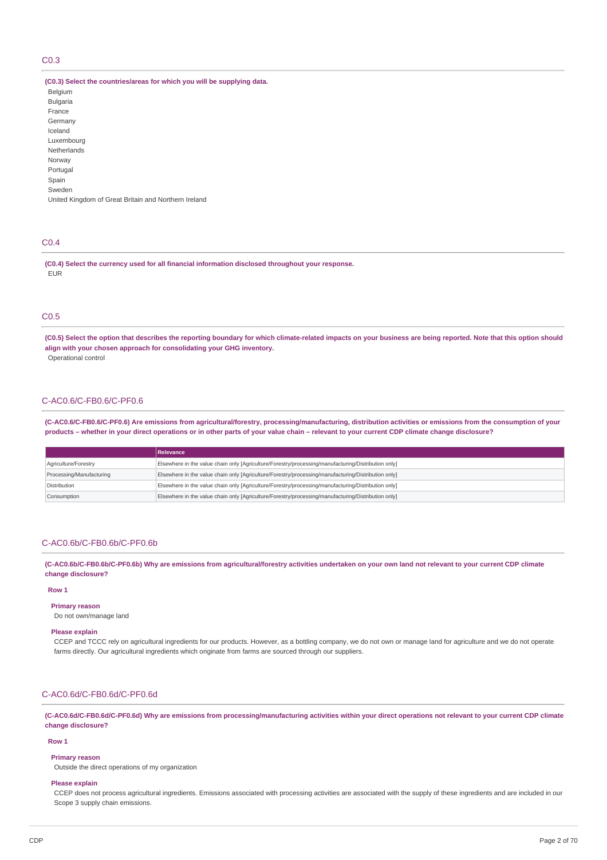# C0.3

### **(C0.3) Select the countries/areas for which you will be supplying data.**

Belgium Bulgaria France Germany Iceland Luxembourg Netherlands Norway Portugal Spain Sweden United Kingdom of Great Britain and Northern Ireland

## C0.4

**(C0.4) Select the currency used for all financial information disclosed throughout your response.** EUR

## C0.5

(C0.5) Select the option that describes the reporting boundary for which climate-related impacts on your business are being reported. Note that this option should **align with your chosen approach for consolidating your GHG inventory.** Operational control

# C-AC0.6/C-FB0.6/C-PF0.6

(C-AC0.6/C-FB0.6/C-PF0.6) Are emissions from agricultural/forestry, processing/manufacturing, distribution activities or emissions from the consumption of your products - whether in your direct operations or in other parts of your value chain - relevant to your current CDP climate change disclosure?

|                          | <b>Relevance</b>                                                                                    |
|--------------------------|-----------------------------------------------------------------------------------------------------|
| Agriculture/Forestry     | Elsewhere in the value chain only [Agriculture/Forestry/processing/manufacturing/Distribution only] |
| Processing/Manufacturing | Elsewhere in the value chain only [Agriculture/Forestry/processing/manufacturing/Distribution only] |
| Distribution             | Elsewhere in the value chain only [Agriculture/Forestry/processing/manufacturing/Distribution only] |
| Consumption              | Elsewhere in the value chain only [Agriculture/Forestry/processing/manufacturing/Distribution only] |

## C-AC0.6b/C-FB0.6b/C-PF0.6b

(C-AC0.6b/C-FB0.6b/C-PF0.6b) Why are emissions from agricultural/forestry activities undertaken on your own land not relevant to your current CDP climate **change disclosure?**

## **Row 1**

**Primary reason** Do not own/manage land

#### **Please explain**

CCEP and TCCC rely on agricultural ingredients for our products. However, as a bottling company, we do not own or manage land for agriculture and we do not operate farms directly. Our agricultural ingredients which originate from farms are sourced through our suppliers.

## C-AC0.6d/C-FB0.6d/C-PF0.6d

(C-AC0.6d/C-FB0.6d/C-PF0.6d) Why are emissions from processing/manufacturing activities within your direct operations not relevant to your current CDP climate **change disclosure?**

#### **Row 1**

### **Primary reason**

Outside the direct operations of my organization

#### **Please explain**

CCEP does not process agricultural ingredients. Emissions associated with processing activities are associated with the supply of these ingredients and are included in our Scope 3 supply chain emissions.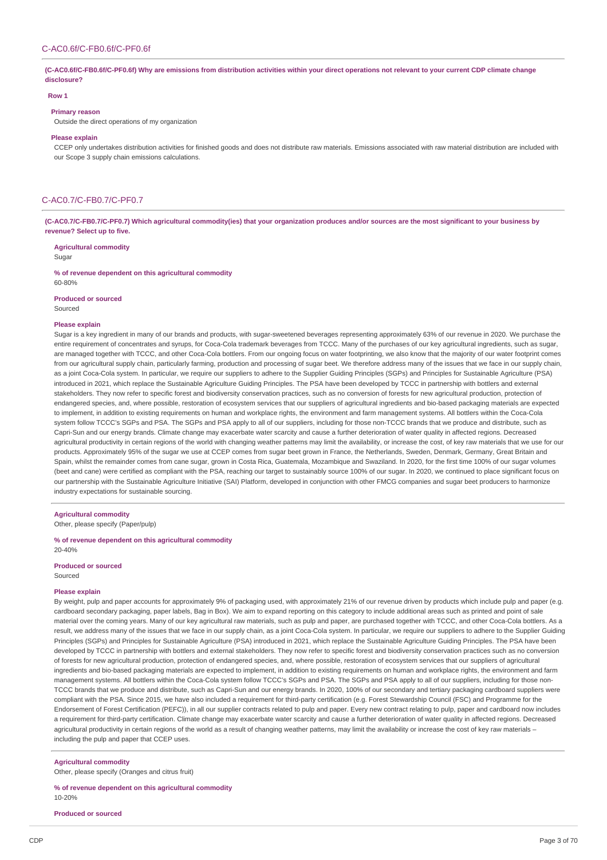(C-AC0.6f/C-FB0.6f/C-PF0.6f) Why are emissions from distribution activities within your direct operations not relevant to your current CDP climate change **disclosure?**

#### **Row 1**

#### **Primary reason**

Outside the direct operations of my organization

### **Please explain**

CCEP only undertakes distribution activities for finished goods and does not distribute raw materials. Emissions associated with raw material distribution are included with our Scope 3 supply chain emissions calculations.

## C-AC0.7/C-FB0.7/C-PF0.7

(C-AC0.7/C-FB0.7/C-PF0.7) Which agricultural commodity(ies) that your organization produces and/or sources are the most significant to your business by **revenue? Select up to five.**

**Agricultural commodity**

Sugar

**% of revenue dependent on this agricultural commodity** 60-80%

### **Produced or sourced**

Sourced

#### **Please explain**

Sugar is a key ingredient in many of our brands and products, with sugar-sweetened beverages representing approximately 63% of our revenue in 2020. We purchase the entire requirement of concentrates and syrups, for Coca-Cola trademark beverages from TCCC. Many of the purchases of our key agricultural ingredients, such as sugar, are managed together with TCCC, and other Coca-Cola bottlers. From our ongoing focus on water footprinting, we also know that the majority of our water footprint comes from our agricultural supply chain, particularly farming, production and processing of sugar beet. We therefore address many of the issues that we face in our supply chain, as a joint Coca-Cola system. In particular, we require our suppliers to adhere to the Supplier Guiding Principles (SGPs) and Principles for Sustainable Agriculture (PSA) introduced in 2021, which replace the Sustainable Agriculture Guiding Principles. The PSA have been developed by TCCC in partnership with bottlers and external stakeholders. They now refer to specific forest and biodiversity conservation practices, such as no conversion of forests for new agricultural production, protection of endangered species, and, where possible, restoration of ecosystem services that our suppliers of agricultural ingredients and bio-based packaging materials are expected to implement, in addition to existing requirements on human and workplace rights, the environment and farm management systems. All bottlers within the Coca-Cola system follow TCCC's SGPs and PSA. The SGPs and PSA apply to all of our suppliers, including for those non-TCCC brands that we produce and distribute, such as Capri-Sun and our energy brands. Climate change may exacerbate water scarcity and cause a further deterioration of water quality in affected regions. Decreased agricultural productivity in certain regions of the world with changing weather patterns may limit the availability, or increase the cost, of key raw materials that we use for our products. Approximately 95% of the sugar we use at CCEP comes from sugar beet grown in France, the Netherlands, Sweden, Denmark, Germany, Great Britain and Spain, whilst the remainder comes from cane sugar, grown in Costa Rica, Guatemala, Mozambique and Swaziland. In 2020, for the first time 100% of our sugar volumes (beet and cane) were certified as compliant with the PSA, reaching our target to sustainably source 100% of our sugar. In 2020, we continued to place significant focus on our partnership with the Sustainable Agriculture Initiative (SAI) Platform, developed in conjunction with other FMCG companies and sugar beet producers to harmonize industry expectations for sustainable sourcing.

**Agricultural commodity**

Other, please specify (Paper/pulp)

**% of revenue dependent on this agricultural commodity** 20-40%

### **Produced or sourced**

Sourced

#### **Please explain**

By weight, pulp and paper accounts for approximately 9% of packaging used, with approximately 21% of our revenue driven by products which include pulp and paper (e.g. cardboard secondary packaging, paper labels, Bag in Box). We aim to expand reporting on this category to include additional areas such as printed and point of sale material over the coming years. Many of our key agricultural raw materials, such as pulp and paper, are purchased together with TCCC, and other Coca-Cola bottlers. As a result, we address many of the issues that we face in our supply chain, as a joint Coca-Cola system. In particular, we require our suppliers to adhere to the Supplier Guiding Principles (SGPs) and Principles for Sustainable Agriculture (PSA) introduced in 2021, which replace the Sustainable Agriculture Guiding Principles. The PSA have been developed by TCCC in partnership with bottlers and external stakeholders. They now refer to specific forest and biodiversity conservation practices such as no conversion of forests for new agricultural production, protection of endangered species, and, where possible, restoration of ecosystem services that our suppliers of agricultural ingredients and bio-based packaging materials are expected to implement, in addition to existing requirements on human and workplace rights, the environment and farm management systems. All bottlers within the Coca-Cola system follow TCCC's SGPs and PSA. The SGPs and PSA apply to all of our suppliers, including for those non-TCCC brands that we produce and distribute, such as Capri-Sun and our energy brands. In 2020, 100% of our secondary and tertiary packaging cardboard suppliers were compliant with the PSA. Since 2015, we have also included a requirement for third-party certification (e.g. Forest Stewardship Council (FSC) and Programme for the Endorsement of Forest Certification (PEFC)), in all our supplier contracts related to pulp and paper. Every new contract relating to pulp, paper and cardboard now includes a requirement for third-party certification. Climate change may exacerbate water scarcity and cause a further deterioration of water quality in affected regions. Decreased agricultural productivity in certain regions of the world as a result of changing weather patterns, may limit the availability or increase the cost of key raw materials including the pulp and paper that CCEP uses.

### **Agricultural commodity**

Other, please specify (Oranges and citrus fruit)

## **% of revenue dependent on this agricultural commodity** 10-20%

**Produced or sourced**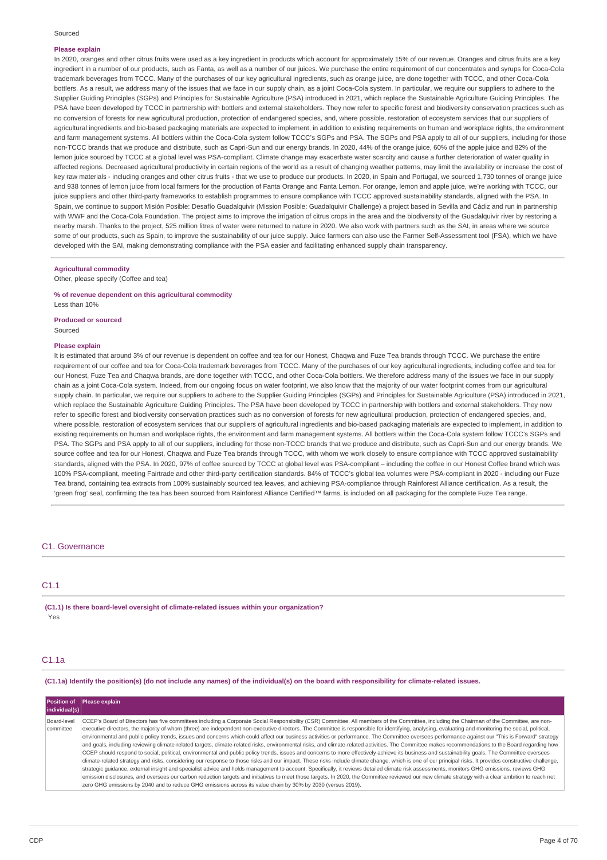### **Please explain**

In 2020, oranges and other citrus fruits were used as a key ingredient in products which account for approximately 15% of our revenue. Oranges and citrus fruits are a key ingredient in a number of our products, such as Fanta, as well as a number of our juices. We purchase the entire requirement of our concentrates and syrups for Coca-Cola trademark beverages from TCCC. Many of the purchases of our key agricultural ingredients, such as orange juice, are done together with TCCC, and other Coca-Cola bottlers. As a result, we address many of the issues that we face in our supply chain, as a joint Coca-Cola system. In particular, we require our suppliers to adhere to the Supplier Guiding Principles (SGPs) and Principles for Sustainable Agriculture (PSA) introduced in 2021, which replace the Sustainable Agriculture Guiding Principles. The PSA have been developed by TCCC in partnership with bottlers and external stakeholders. They now refer to specific forest and biodiversity conservation practices such as no conversion of forests for new agricultural production, protection of endangered species, and, where possible, restoration of ecosystem services that our suppliers of agricultural ingredients and bio-based packaging materials are expected to implement, in addition to existing requirements on human and workplace rights, the environment and farm management systems. All bottlers within the Coca-Cola system follow TCCC's SGPs and PSA. The SGPs and PSA apply to all of our suppliers, including for those non-TCCC brands that we produce and distribute, such as Capri-Sun and our energy brands. In 2020, 44% of the orange juice, 60% of the apple juice and 82% of the lemon juice sourced by TCCC at a global level was PSA-compliant. Climate change may exacerbate water scarcity and cause a further deterioration of water quality in affected regions. Decreased agricultural productivity in certain regions of the world as a result of changing weather patterns, may limit the availability or increase the cost of key raw materials - including oranges and other citrus fruits - that we use to produce our products. In 2020, in Spain and Portugal, we sourced 1,730 tonnes of orange juice and 938 tonnes of lemon juice from local farmers for the production of Fanta Orange and Fanta Lemon. For orange, lemon and apple juice, we're working with TCCC, our juice suppliers and other third-party frameworks to establish programmes to ensure compliance with TCCC approved sustainability standards, aligned with the PSA. In Spain, we continue to support Misión Posible: Desafío Guadalquivir (Mission Posible: Guadalquivir Challenge) a project based in Sevilla and Cádiz and run in partnership with WWF and the Coca-Cola Foundation. The project aims to improve the irrigation of citrus crops in the area and the biodiversity of the Guadalquivir river by restoring a nearby marsh. Thanks to the project, 525 million litres of water were returned to nature in 2020. We also work with partners such as the SAI, in areas where we source some of our products, such as Spain, to improve the sustainability of our juice supply. Juice farmers can also use the Farmer Self-Assessment tool (FSA), which we have developed with the SAI, making demonstrating compliance with the PSA easier and facilitating enhanced supply chain transparency.

## **Agricultural commodity**

Other, please specify (Coffee and tea)

## **% of revenue dependent on this agricultural commodity** Less than 10%

**Produced or sourced** Sourced

#### **Please explain**

It is estimated that around 3% of our revenue is dependent on coffee and tea for our Honest, Chaqwa and Fuze Tea brands through TCCC. We purchase the entire requirement of our coffee and tea for Coca-Cola trademark beverages from TCCC. Many of the purchases of our key agricultural ingredients, including coffee and tea for our Honest, Fuze Tea and Chaqwa brands, are done together with TCCC, and other Coca-Cola bottlers. We therefore address many of the issues we face in our supply chain as a joint Coca-Cola system. Indeed, from our ongoing focus on water footprint, we also know that the majority of our water footprint comes from our agricultural supply chain. In particular, we require our suppliers to adhere to the Supplier Guiding Principles (SGPs) and Principles for Sustainable Agriculture (PSA) introduced in 2021, which replace the Sustainable Agriculture Guiding Principles. The PSA have been developed by TCCC in partnership with bottlers and external stakeholders. They now refer to specific forest and biodiversity conservation practices such as no conversion of forests for new agricultural production, protection of endangered species, and, where possible, restoration of ecosystem services that our suppliers of agricultural ingredients and bio-based packaging materials are expected to implement, in addition to existing requirements on human and workplace rights, the environment and farm management systems. All bottlers within the Coca-Cola system follow TCCC's SGPs and PSA. The SGPs and PSA apply to all of our suppliers, including for those non-TCCC brands that we produce and distribute, such as Capri-Sun and our energy brands. We source coffee and tea for our Honest, Chaqwa and Fuze Tea brands through TCCC, with whom we work closely to ensure compliance with TCCC approved sustainability standards, aligned with the PSA. In 2020, 97% of coffee sourced by TCCC at global level was PSA-compliant – including the coffee in our Honest Coffee brand which was 100% PSA-compliant, meeting Fairtrade and other third-party certification standards. 84% of TCCC's global tea volumes were PSA-compliant in 2020 - including our Fuze Tea brand, containing tea extracts from 100% sustainably sourced tea leaves, and achieving PSA-compliance through Rainforest Alliance certification. As a result, the 'green frog' seal, confirming the tea has been sourced from Rainforest Alliance Certified™ farms, is included on all packaging for the complete Fuze Tea range.

### C1. Governance

# C1.1

**(C1.1) Is there board-level oversight of climate-related issues within your organization?** Yes

### C1.1a

(C1.1a) Identify the position(s) (do not include any names) of the individual(s) on the board with responsibility for climate-related issues.

| individual(s)            | Position of Please explain                                                                                                                                                                                                                                                                                                                                                                                                                                                                                                                                                                                                                                                                                                                                                                                                                                                                                                                                                                                                                                                                                                                                                                                                                                                                                                                                                                                                                                                                                                                                                                                                                                                                                                                      |
|--------------------------|-------------------------------------------------------------------------------------------------------------------------------------------------------------------------------------------------------------------------------------------------------------------------------------------------------------------------------------------------------------------------------------------------------------------------------------------------------------------------------------------------------------------------------------------------------------------------------------------------------------------------------------------------------------------------------------------------------------------------------------------------------------------------------------------------------------------------------------------------------------------------------------------------------------------------------------------------------------------------------------------------------------------------------------------------------------------------------------------------------------------------------------------------------------------------------------------------------------------------------------------------------------------------------------------------------------------------------------------------------------------------------------------------------------------------------------------------------------------------------------------------------------------------------------------------------------------------------------------------------------------------------------------------------------------------------------------------------------------------------------------------|
| Board-level<br>committee | CCEP's Board of Directors has five committees including a Corporate Social Responsibility (CSR) Committee. All members of the Committee, including the Chairman of the Committee, are non-<br>executive directors, the majority of whom (three) are independent non-executive directors. The Committee is responsible for identifying, analysing, evaluating and monitoring the social, political,<br>environmental and public policy trends, issues and concerns which could affect our business activities or performance. The Committee oversees performance against our "This is Forward" strategy<br>and goals, including reviewing climate-related targets, climate-related risks, environmental risks, and climate-related activities. The Committee makes recommendations to the Board regarding how<br>CCEP should respond to social, political, environmental and public policy trends, issues and concerns to more effectively achieve its business and sustainability goals. The Committee oversees<br>climate-related strategy and risks, considering our response to those risks and our impact. These risks include climate change, which is one of our principal risks. It provides constructive challenge,<br>strategic quidance, external insight and specialist advice and holds management to account. Specifically, it reviews detailed climate risk assessments, monitors GHG emissions, reviews GHG<br>emission disclosures, and oversees our carbon reduction targets and initiatives to meet those targets. In 2020, the Committee reviewed our new climate strategy with a clear ambition to reach net<br>zero GHG emissions by 2040 and to reduce GHG emissions across its value chain by 30% by 2030 (versus 2019). |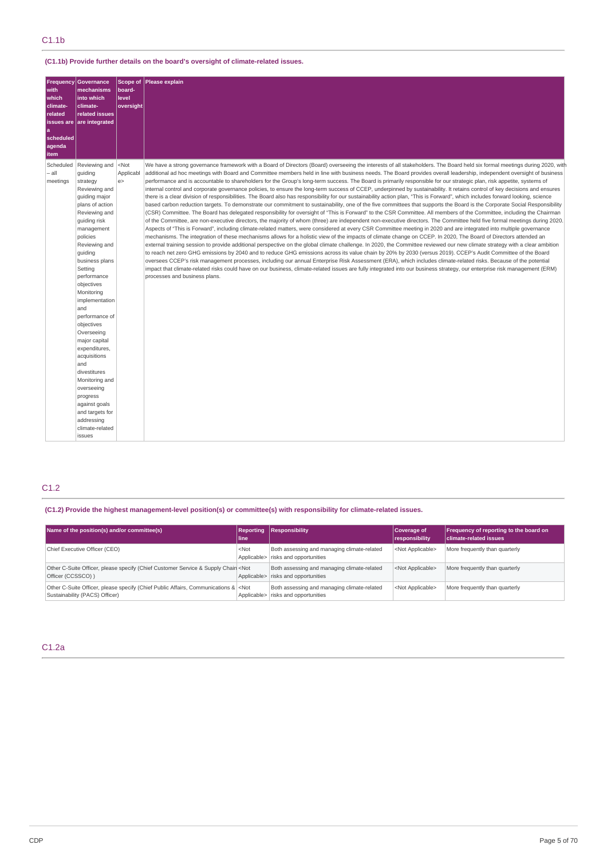# **(C1.1b) Provide further details on the board's oversight of climate-related issues.**

| Frequency<br>with<br>which<br>climate-<br>related<br>a<br>scheduled<br>agenda<br>item | <b>Governance</b><br>mechanisms<br>into which<br>climate-<br>related issues<br>issues are are integrated                                                                                                                                                                                                                                                                                                                                                                                                                            | board-<br>level<br>oversight | Scope of Please explain                                                                                                                                                                                                                                                                                                                                                                                                                                                                                                                                                                                                                                                                                                                                                                                                                                                                                                                                                                                                                                                                                                                                                                                                                                                                                                                                                                                                                                                                                                                                                                                                                                                                                                                                                                                                                                                                                                                                                                                                                                                                                                                                                                                                                                                                                                                                                                                                                                                                                           |
|---------------------------------------------------------------------------------------|-------------------------------------------------------------------------------------------------------------------------------------------------------------------------------------------------------------------------------------------------------------------------------------------------------------------------------------------------------------------------------------------------------------------------------------------------------------------------------------------------------------------------------------|------------------------------|-------------------------------------------------------------------------------------------------------------------------------------------------------------------------------------------------------------------------------------------------------------------------------------------------------------------------------------------------------------------------------------------------------------------------------------------------------------------------------------------------------------------------------------------------------------------------------------------------------------------------------------------------------------------------------------------------------------------------------------------------------------------------------------------------------------------------------------------------------------------------------------------------------------------------------------------------------------------------------------------------------------------------------------------------------------------------------------------------------------------------------------------------------------------------------------------------------------------------------------------------------------------------------------------------------------------------------------------------------------------------------------------------------------------------------------------------------------------------------------------------------------------------------------------------------------------------------------------------------------------------------------------------------------------------------------------------------------------------------------------------------------------------------------------------------------------------------------------------------------------------------------------------------------------------------------------------------------------------------------------------------------------------------------------------------------------------------------------------------------------------------------------------------------------------------------------------------------------------------------------------------------------------------------------------------------------------------------------------------------------------------------------------------------------------------------------------------------------------------------------------------------------|
| Scheduled<br>– all<br>meetings                                                        | Reviewing and<br>guiding<br>strategy<br>Reviewing and<br>guiding major<br>plans of action<br>Reviewing and<br>quiding risk<br>management<br>policies<br>Reviewing and<br>quiding<br>business plans<br>Setting<br>performance<br>objectives<br>Monitoring<br>implementation<br>and<br>performance of<br>objectives<br>Overseeing<br>major capital<br>expenditures,<br>acquisitions<br>and<br>divestitures<br>Monitoring and<br>overseeing<br>progress<br>against goals<br>and targets for<br>addressing<br>climate-related<br>issues | $<$ Not<br>Applicabl<br>e    | We have a strong governance framework with a Board of Directors (Board) overseeing the interests of all stakeholders. The Board held six formal meetings during 2020, with<br>additional ad hoc meetings with Board and Committee members held in line with business needs. The Board provides overall leadership, independent oversight of business<br>performance and is accountable to shareholders for the Group's long-term success. The Board is primarily responsible for our strategic plan, risk appetite, systems of<br>internal control and corporate governance policies, to ensure the long-term success of CCEP, underpinned by sustainability. It retains control of key decisions and ensures<br>there is a clear division of responsibilities. The Board also has responsibility for our sustainability action plan, "This is Forward", which includes forward looking, science<br>based carbon reduction targets. To demonstrate our commitment to sustainability, one of the five committees that supports the Board is the Corporate Social Responsibility<br>(CSR) Committee. The Board has delegated responsibility for oversight of "This is Forward" to the CSR Committee. All members of the Committee, including the Chairman<br>of the Committee, are non-executive directors, the majority of whom (three) are independent non-executive directors. The Committee held five formal meetings during 2020.<br>Aspects of "This is Forward", including climate-related matters, were considered at every CSR Committee meeting in 2020 and are integrated into multiple governance<br>mechanisms. The integration of these mechanisms allows for a holistic view of the impacts of climate change on CCEP. In 2020, The Board of Directors attended an<br>external training session to provide additional perspective on the global climate challenge. In 2020, the Committee reviewed our new climate strategy with a clear ambition<br>to reach net zero GHG emissions by 2040 and to reduce GHG emissions across its value chain by 20% by 2030 (versus 2019). CCEP's Audit Committee of the Board<br>oversees CCEP's risk management processes, including our annual Enterprise Risk Assessment (ERA), which includes climate-related risks. Because of the potential<br>impact that climate-related risks could have on our business, climate-related issues are fully integrated into our business strategy, our enterprise risk management (ERM)<br>processes and business plans. |

# C1.2

## **(C1.2) Provide the highest management-level position(s) or committee(s) with responsibility for climate-related issues.**

| Name of the position(s) and/or committee(s)                                                                                   | <b>Reporting</b><br>line | Responsibility                                                                     | Coverage of<br>responsibility | <b>Frequency of reporting to the board on</b><br>climate-related issues |
|-------------------------------------------------------------------------------------------------------------------------------|--------------------------|------------------------------------------------------------------------------------|-------------------------------|-------------------------------------------------------------------------|
| Chief Executive Officer (CEO)                                                                                                 | $<$ Not                  | Both assessing and managing climate-related<br>Applicable> risks and opportunities | <not applicable=""></not>     | More frequently than quarterly                                          |
| Other C-Suite Officer, please specify (Chief Customer Service & Supply Chain <not<br>Officer (CCSSCO))</not<br>               |                          | Both assessing and managing climate-related<br>Applicable> risks and opportunities | <not applicable=""></not>     | More frequently than quarterly                                          |
| Other C-Suite Officer, please specify (Chief Public Affairs, Communications & <not<br>Sustainability (PACS) Officer)</not<br> |                          | Both assessing and managing climate-related<br>Applicable> risks and opportunities | <not applicable=""></not>     | More frequently than quarterly                                          |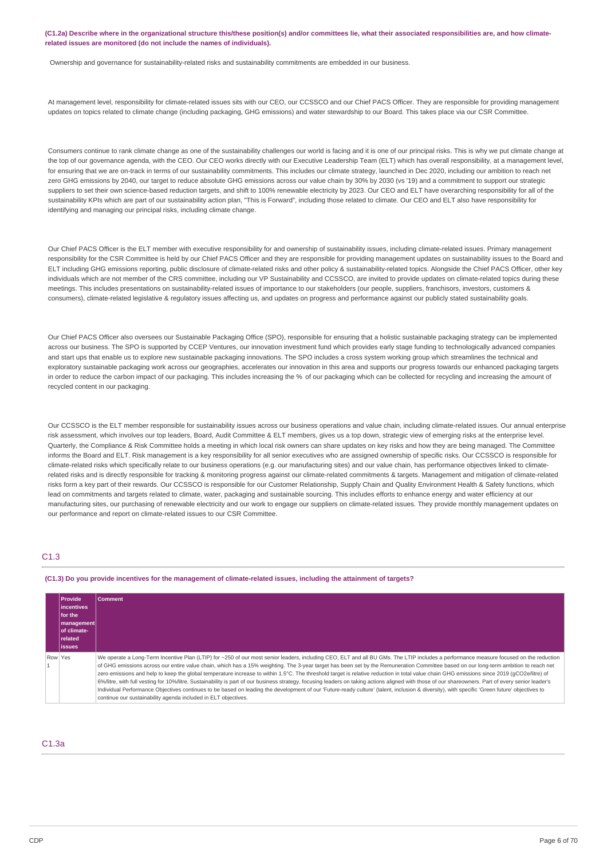(C1.2a) Describe where in the organizational structure this/these position(s) and/or committees lie, what their associated responsibilities are, and how climate**related issues are monitored (do not include the names of individuals).**

Ownership and governance for sustainability-related risks and sustainability commitments are embedded in our business.

At management level, responsibility for climate-related issues sits with our CEO, our CCSSCO and our Chief PACS Officer. They are responsible for providing management updates on topics related to climate change (including packaging, GHG emissions) and water stewardship to our Board. This takes place via our CSR Committee.

Consumers continue to rank climate change as one of the sustainability challenges our world is facing and it is one of our principal risks. This is why we put climate change at the top of our governance agenda, with the CEO. Our CEO works directly with our Executive Leadership Team (ELT) which has overall responsibility, at a management level, for ensuring that we are on-track in terms of our sustainability commitments. This includes our climate strategy, launched in Dec 2020, including our ambition to reach net zero GHG emissions by 2040, our target to reduce absolute GHG emissions across our value chain by 30% by 2030 (vs '19) and a commitment to support our strategic suppliers to set their own science-based reduction targets, and shift to 100% renewable electricity by 2023. Our CEO and ELT have overarching responsibility for all of the sustainability KPIs which are part of our sustainability action plan, "This is Forward", including those related to climate. Our CEO and ELT also have responsibility for identifying and managing our principal risks, including climate change.

Our Chief PACS Officer is the ELT member with executive responsibility for and ownership of sustainability issues, including climate-related issues. Primary management responsibility for the CSR Committee is held by our Chief PACS Officer and they are responsible for providing management updates on sustainability issues to the Board and ELT including GHG emissions reporting, public disclosure of climate-related risks and other policy & sustainability-related topics. Alongside the Chief PACS Officer, other key individuals which are not member of the CRS committee, including our VP Sustainability and CCSSCO, are invited to provide updates on climate-related topics during these meetings. This includes presentations on sustainability-related issues of importance to our stakeholders (our people, suppliers, franchisors, investors, customers & consumers), climate-related legislative & regulatory issues affecting us, and updates on progress and performance against our publicly stated sustainability goals.

Our Chief PACS Officer also oversees our Sustainable Packaging Office (SPO), responsible for ensuring that a holistic sustainable packaging strategy can be implemented across our business. The SPO is supported by CCEP Ventures, our innovation investment fund which provides early stage funding to technologically advanced companies and start ups that enable us to explore new sustainable packaging innovations. The SPO includes a cross system working group which streamlines the technical and exploratory sustainable packaging work across our geographies, accelerates our innovation in this area and supports our progress towards our enhanced packaging targets in order to reduce the carbon impact of our packaging. This includes increasing the % of our packaging which can be collected for recycling and increasing the amount of recycled content in our packaging.

Our CCSSCO is the ELT member responsible for sustainability issues across our business operations and value chain, including climate-related issues. Our annual enterprise risk assessment, which involves our top leaders, Board, Audit Committee & ELT members, gives us a top down, strategic view of emerging risks at the enterprise level. Quarterly, the Compliance & Risk Committee holds a meeting in which local risk owners can share updates on key risks and how they are being managed. The Committee informs the Board and ELT. Risk management is a key responsibility for all senior executives who are assigned ownership of specific risks. Our CCSSCO is responsible for climate-related risks which specifically relate to our business operations (e.g. our manufacturing sites) and our value chain, has performance objectives linked to climaterelated risks and is directly responsible for tracking & monitoring progress against our climate-related commitments & targets. Management and mitigation of climate-related risks form a key part of their rewards. Our CCSSCO is responsible for our Customer Relationship, Supply Chain and Quality Environment Health & Safety functions, which lead on commitments and targets related to climate, water, packaging and sustainable sourcing. This includes efforts to enhance energy and water efficiency at our manufacturing sites, our purchasing of renewable electricity and our work to engage our suppliers on climate-related issues. They provide monthly management updates on our performance and report on climate-related issues to our CSR Committee.

## C1.3

(C1.3) Do you provide incentives for the management of climate-related issues, including the attainment of targets?

| <b>Provide</b><br>lincentives<br><b>for the</b><br>  management  <br><b>of climate-</b><br>  related<br>lissues | Comment                                                                                                                                                                                                                                                                                                                                                                                                                                                                                                                                                                                                                                                                                                                                                                                                                                                                                                                                                                                                                                              |
|-----------------------------------------------------------------------------------------------------------------|------------------------------------------------------------------------------------------------------------------------------------------------------------------------------------------------------------------------------------------------------------------------------------------------------------------------------------------------------------------------------------------------------------------------------------------------------------------------------------------------------------------------------------------------------------------------------------------------------------------------------------------------------------------------------------------------------------------------------------------------------------------------------------------------------------------------------------------------------------------------------------------------------------------------------------------------------------------------------------------------------------------------------------------------------|
| Row Yes                                                                                                         | We operate a Long-Term Incentive Plan (LTIP) for ~250 of our most senior leaders, including CEO, ELT and all BU GMs. The LTIP includes a performance measure focused on the reduction<br>of GHG emissions across our entire value chain, which has a 15% weighting. The 3-year target has been set by the Remuneration Committee based on our long-term ambition to reach net<br>zero emissions and help to keep the global temperature increase to within 1.5°C. The threshold target is relative reduction in total value chain GHG emissions since 2019 (qCO2e/litre) of<br>6%/litre, with full vesting for 10%/litre. Sustainability is part of our business strategy, focusing leaders on taking actions aligned with those of our shareowners. Part of every senior leader's<br>Individual Performance Obiectives continues to be based on leading the development of our 'Future-ready culture' (talent, inclusion & diversity), with specific 'Green future' obiectives to<br>continue our sustainability agenda included in ELT objectives. |

# C1.3a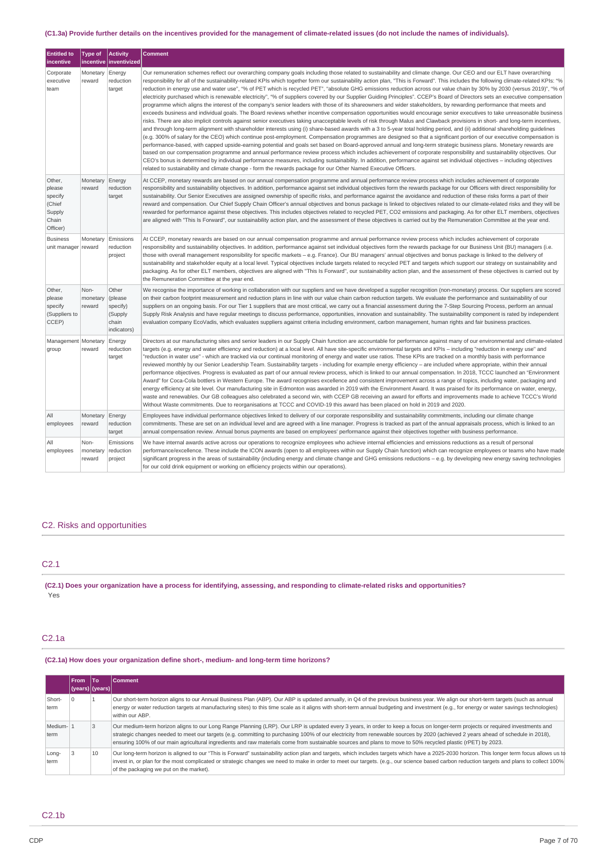## (C1.3a) Provide further details on the incentives provided for the management of climate-related issues (do not include the names of individuals).

| <b>Entitled to</b><br>incentive                                      | <b>Type of</b>             | <b>Activity</b><br>incentive   inventivized                      | <b>Comment</b>                                                                                                                                                                                                                                                                                                                                                                                                                                                                                                                                                                                                                                                                                                                                                                                                                                                                                                                                                                                                                                                                                                                                                                                                                                                                                                                                                                                                                                                                                                                                                                                                                                                                                                                                                                                                                                                                                                                                                                                                                                                                                                                                                                                                                                             |
|----------------------------------------------------------------------|----------------------------|------------------------------------------------------------------|------------------------------------------------------------------------------------------------------------------------------------------------------------------------------------------------------------------------------------------------------------------------------------------------------------------------------------------------------------------------------------------------------------------------------------------------------------------------------------------------------------------------------------------------------------------------------------------------------------------------------------------------------------------------------------------------------------------------------------------------------------------------------------------------------------------------------------------------------------------------------------------------------------------------------------------------------------------------------------------------------------------------------------------------------------------------------------------------------------------------------------------------------------------------------------------------------------------------------------------------------------------------------------------------------------------------------------------------------------------------------------------------------------------------------------------------------------------------------------------------------------------------------------------------------------------------------------------------------------------------------------------------------------------------------------------------------------------------------------------------------------------------------------------------------------------------------------------------------------------------------------------------------------------------------------------------------------------------------------------------------------------------------------------------------------------------------------------------------------------------------------------------------------------------------------------------------------------------------------------------------------|
| Corporate<br>executive<br>team                                       | Monetary<br>reward         | Energy<br>reduction<br>target                                    | Our remuneration schemes reflect our overarching company goals including those related to sustainability and climate change. Our CEO and our ELT have overarching<br>responsibility for all of the sustainability-related KPIs which together form our sustainability action plan, "This is Forward". This includes the following climate-related KPIs: "%<br>reduction in energy use and water use", "% of PET which is recycled PET", "absolute GHG emissions reduction across our value chain by 30% by 2030 (versus 2019)", "% of<br>electricity purchased which is renewable electricity", "% of suppliers covered by our Supplier Guiding Principles". CCEP's Board of Directors sets an executive compensation<br>programme which aligns the interest of the company's senior leaders with those of its shareowners and wider stakeholders, by rewarding performance that meets and<br>exceeds business and individual goals. The Board reviews whether incentive compensation opportunities would encourage senior executives to take unreasonable business<br>risks. There are also implicit controls against senior executives taking unacceptable levels of risk through Malus and Clawback provisions in short- and long-term incentives,<br>and through long-term alignment with shareholder interests using (i) share-based awards with a 3 to 5-year total holding period, and (ii) additional shareholding guidelines<br>(e.g. 300% of salary for the CEO) which continue post-employment. Compensation programmes are designed so that a significant portion of our executive compensation is<br>performance-based, with capped upside-earning potential and goals set based on Board-approved annual and long-term strategic business plans. Monetary rewards are<br>based on our compensation programme and annual performance review process which includes achievement of corporate responsibility and sustainability objectives. Our<br>CEO's bonus is determined by individual performance measures, including sustainability. In addition, performance against set individual objectives - including objectives<br>related to sustainability and climate change - form the rewards package for our Other Named Executive Officers. |
| Other,<br>please<br>specify<br>(Chief<br>Supply<br>Chain<br>Officer) | Monetary<br>reward         | Energy<br>reduction<br>target                                    | At CCEP, monetary rewards are based on our annual compensation programme and annual performance review process which includes achievement of corporate<br>responsibility and sustainability objectives. In addition, performance against set individual objectives form the rewards package for our Officers with direct responsibility for<br>sustainability. Our Senior Executives are assigned ownership of specific risks, and performance against the avoidance and reduction of these risks forms a part of their<br>reward and compensation. Our Chief Supply Chain Officer's annual objectives and bonus package is linked to objectives related to our climate-related risks and they will be<br>rewarded for performance against these objectives. This includes objectives related to recycled PET, CO2 emissions and packaging. As for other ELT members, objectives<br>are aligned with "This Is Forward", our sustainability action plan, and the assessment of these objectives is carried out by the Remuneration Committee at the year end.                                                                                                                                                                                                                                                                                                                                                                                                                                                                                                                                                                                                                                                                                                                                                                                                                                                                                                                                                                                                                                                                                                                                                                                               |
| <b>Business</b><br>unit manager                                      | Monetary<br>reward         | Emissions<br>reduction<br>project                                | At CCEP, monetary rewards are based on our annual compensation programme and annual performance review process which includes achievement of corporate<br>responsibility and sustainability objectives. In addition, performance against set individual objectives form the rewards package for our Business Unit (BU) managers (i.e.<br>those with overall management responsibility for specific markets – e.g. France). Our BU managers' annual objectives and bonus package is linked to the delivery of<br>sustainability and stakeholder equity at a local level. Typical objectives include targets related to recycled PET and targets which support our strategy on sustainability and<br>packaging. As for other ELT members, objectives are aligned with "This Is Forward", our sustainability action plan, and the assessment of these objectives is carried out by<br>the Remuneration Committee at the year end.                                                                                                                                                                                                                                                                                                                                                                                                                                                                                                                                                                                                                                                                                                                                                                                                                                                                                                                                                                                                                                                                                                                                                                                                                                                                                                                             |
| Other,<br>please<br>specify<br>(Suppliers to<br>CCEP)                | Non-<br>monetary<br>reward | Other<br>(please)<br>specify)<br>(Supply<br>chain<br>indicators) | We recognise the importance of working in collaboration with our suppliers and we have developed a supplier recognition (non-monetary) process. Our suppliers are scored<br>on their carbon footprint measurement and reduction plans in line with our value chain carbon reduction targets. We evaluate the performance and sustainability of our<br>suppliers on an ongoing basis. For our Tier 1 suppliers that are most critical, we carry out a financial assessment during the 7-Step Sourcing Process, perform an annual<br>Supply Risk Analysis and have regular meetings to discuss performance, opportunities, innovation and sustainability. The sustainability component is rated by independent<br>evaluation company EcoVadis, which evaluates suppliers against criteria including environment, carbon management, human rights and fair business practices.                                                                                                                                                                                                                                                                                                                                                                                                                                                                                                                                                                                                                                                                                                                                                                                                                                                                                                                                                                                                                                                                                                                                                                                                                                                                                                                                                                                |
| Management   Monetary<br>group                                       | reward                     | Energy<br>reduction<br>target                                    | Directors at our manufacturing sites and senior leaders in our Supply Chain function are accountable for performance against many of our environmental and climate-related<br>targets (e.g. energy and water efficiency and reduction) at a local level. All have site-specific environmental targets and KPIs – including "reduction in energy use" and<br>"reduction in water use" - which are tracked via our continual monitoring of energy and water use ratios. These KPIs are tracked on a monthly basis with performance<br>reviewed monthly by our Senior Leadership Team. Sustainability targets - including for example energy efficiency – are included where appropriate, within their annual<br>performance objectives. Progress is evaluated as part of our annual review process, which is linked to our annual compensation. In 2018, TCCC launched an "Environment<br>Award" for Coca-Cola bottlers in Western Europe. The award recognises excellence and consistent improvement across a range of topics, including water, packaging and<br>energy efficiency at site level. Our manufacturing site in Edmonton was awarded in 2019 with the Environment Award. It was praised for its performance on water, energy,<br>waste and renewables. Our GB colleagues also celebrated a second win, with CCEP GB receiving an award for efforts and improvements made to achieve TCCC's World<br>Without Waste commitments. Due to reorganisations at TCCC and COVID-19 this award has been placed on hold in 2019 and 2020.                                                                                                                                                                                                                                                                                                                                                                                                                                                                                                                                                                                                                                                                                                                 |
| All<br>employees                                                     | Monetary<br>reward         | Energy<br>reduction<br>target                                    | Employees have individual performance objectives linked to delivery of our corporate responsibility and sustainability commitments, including our climate change<br>commitments. These are set on an individual level and are agreed with a line manager. Progress is tracked as part of the annual appraisals process, which is linked to an<br>annual compensation review. Annual bonus payments are based on employees' performance against their objectives together with business performance.                                                                                                                                                                                                                                                                                                                                                                                                                                                                                                                                                                                                                                                                                                                                                                                                                                                                                                                                                                                                                                                                                                                                                                                                                                                                                                                                                                                                                                                                                                                                                                                                                                                                                                                                                        |
| All<br>employees                                                     | Non-<br>monetary<br>reward | Emissions<br>reduction<br>project                                | We have internal awards active across our operations to recognize employees who achieve internal efficiencies and emissions reductions as a result of personal<br>performance/excellence. These include the ICON awards (open to all employees within our Supply Chain function) which can recognize employees or teams who have made<br>significant progress in the areas of sustainability (including energy and climate change and GHG emissions reductions - e.g. by developing new energy saving technologies<br>for our cold drink equipment or working on efficiency projects within our operations).                                                                                                                                                                                                                                                                                                                                                                                                                                                                                                                                                                                                                                                                                                                                                                                                                                                                                                                                                                                                                                                                                                                                                                                                                                                                                                                                                                                                                                                                                                                                                                                                                                               |

# C2. Risks and opportunities

# C2.1

(C2.1) Does your organization have a process for identifying, assessing, and responding to climate-related risks and opportunities? Yes

## C2.1a

**(C2.1a) How does your organization define short-, medium- and long-term time horizons?**

|                  | <b>From</b><br>$(years)$  (years) | lTo. | Comment                                                                                                                                                                                                                                                                                                                                                                                                                                                                                                                             |
|------------------|-----------------------------------|------|-------------------------------------------------------------------------------------------------------------------------------------------------------------------------------------------------------------------------------------------------------------------------------------------------------------------------------------------------------------------------------------------------------------------------------------------------------------------------------------------------------------------------------------|
| Short-<br>term   |                                   |      | Our short-term horizon aligns to our Annual Business Plan (ABP). Our ABP is updated annually, in Q4 of the previous business year. We align our short-term targets (such as annual<br>energy or water reduction targets at manufacturing sites) to this time scale as it aligns with short-term annual budgeting and investment (e.g., for energy or water savings technologies)<br>within our ABP.                                                                                                                                 |
| Medium-1<br>term |                                   |      | Our medium-term horizon aligns to our Long Range Planning (LRP). Our LRP is updated every 3 years, in order to keep a focus on longer-term projects or required investments and<br>strategic changes needed to meet our targets (e.g. committing to purchasing 100% of our electricity from renewable sources by 2020 (achieved 2 years ahead of schedule in 2018),<br>ensuring 100% of our main agricultural ingredients and raw materials come from sustainable sources and plans to move to 50% recycled plastic (rPET) by 2023. |
| Long-<br>term    |                                   | 10   | Our long-term horizon is aligned to our "This is Forward" sustainability action plan and targets, which includes targets which have a 2025-2030 horizon. This longer term focus allows us to<br>invest in, or plan for the most complicated or strategic changes we need to make in order to meet our targets. (e.g., our science based carbon reduction targets and plans to collect 100%)<br>of the packaging we put on the market).                                                                                              |

C2.1b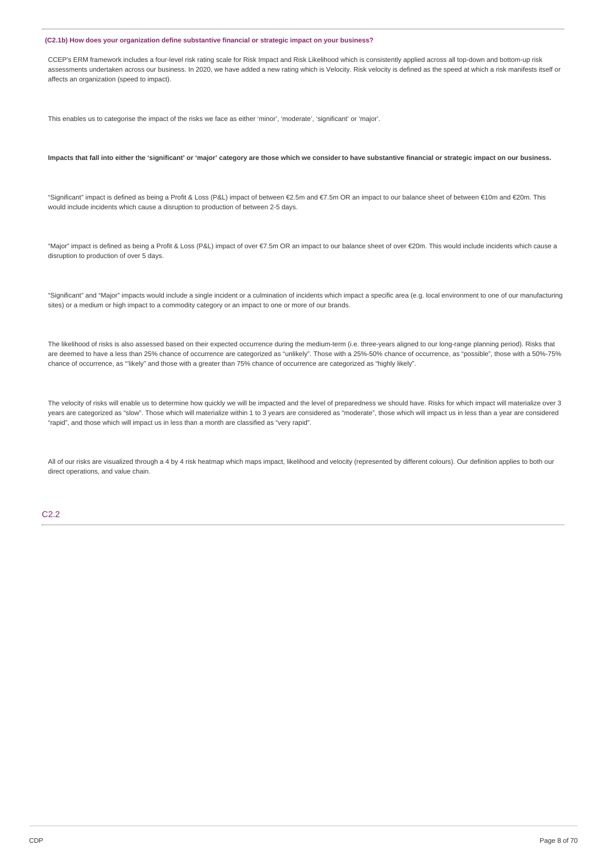## **(C2.1b) How does your organization define substantive financial or strategic impact on your business?**

CCEP's ERM framework includes a four-level risk rating scale for Risk Impact and Risk Likelihood which is consistently applied across all top-down and bottom-up risk assessments undertaken across our business. In 2020, we have added a new rating which is Velocity. Risk velocity is defined as the speed at which a risk manifests itself or affects an organization (speed to impact).

This enables us to categorise the impact of the risks we face as either 'minor', 'moderate', 'significant' or 'major'.

### Impacts that fall into either the 'significant' or 'major' category are those which we consider to have substantive financial or strategic impact on our business.

"Significant" impact is defined as being a Profit & Loss (P&L) impact of between €2.5m and €7.5m OR an impact to our balance sheet of between €10m and €20m. This would include incidents which cause a disruption to production of between 2-5 days.

"Major" impact is defined as being a Profit & Loss (P&L) impact of over €7.5m OR an impact to our balance sheet of over €20m. This would include incidents which cause a disruption to production of over 5 days.

"Significant" and "Major" impacts would include a single incident or a culmination of incidents which impact a specific area (e.g. local environment to one of our manufacturing sites) or a medium or high impact to a commodity category or an impact to one or more of our brands.

The likelihood of risks is also assessed based on their expected occurrence during the medium-term (i.e. three-years aligned to our long-range planning period). Risks that are deemed to have a less than 25% chance of occurrence are categorized as "unlikely". Those with a 25%-50% chance of occurrence, as "possible", those with a 50%-75% chance of occurrence, as "'likely" and those with a greater than 75% chance of occurrence are categorized as "highly likely".

The velocity of risks will enable us to determine how quickly we will be impacted and the level of preparedness we should have. Risks for which impact will materialize over 3 years are categorized as "slow". Those which will materialize within 1 to 3 years are considered as "moderate", those which will impact us in less than a year are considered "rapid", and those which will impact us in less than a month are classified as "very rapid".

All of our risks are visualized through a 4 by 4 risk heatmap which maps impact, likelihood and velocity (represented by different colours). Our definition applies to both our direct operations, and value chain.

## $C2.2$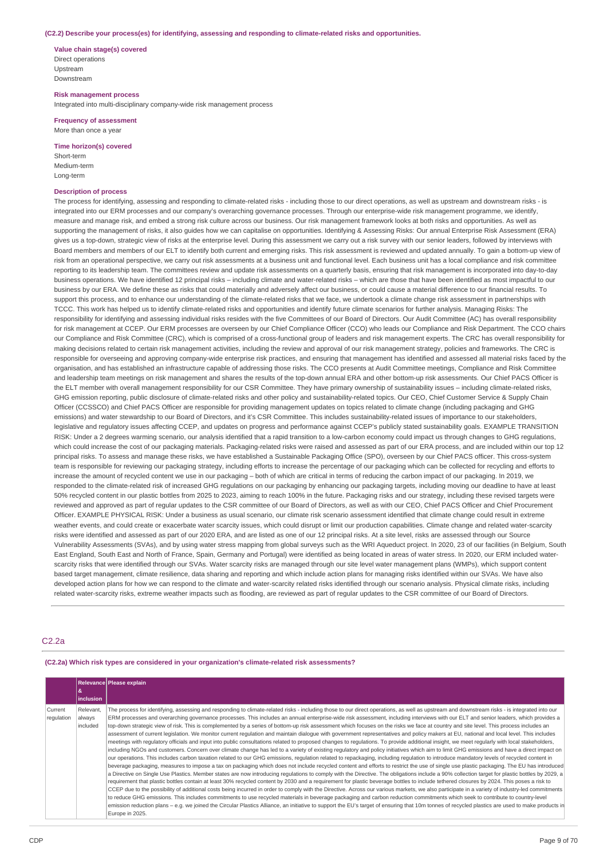### **(C2.2) Describe your process(es) for identifying, assessing and responding to climate-related risks and opportunities.**

**Value chain stage(s) covered** Direct operations Upstream Downstream

**Risk management process** Integrated into multi-disciplinary company-wide risk management process

**Frequency of assessment** More than once a year

**Time horizon(s) covered**

Short-term Medium-term Long-term

## **Description of process**

The process for identifying, assessing and responding to climate-related risks - including those to our direct operations, as well as upstream and downstream risks - is integrated into our ERM processes and our company's overarching governance processes. Through our enterprise-wide risk management programme, we identify, measure and manage risk, and embed a strong risk culture across our business. Our risk management framework looks at both risks and opportunities. As well as supporting the management of risks, it also guides how we can capitalise on opportunities. Identifying & Assessing Risks: Our annual Enterprise Risk Assessment (ERA) gives us a top-down, strategic view of risks at the enterprise level. During this assessment we carry out a risk survey with our senior leaders, followed by interviews with Board members and members of our ELT to identify both current and emerging risks. This risk assessment is reviewed and updated annually. To gain a bottom-up view of risk from an operational perspective, we carry out risk assessments at a business unit and functional level. Each business unit has a local compliance and risk committee reporting to its leadership team. The committees review and update risk assessments on a quarterly basis, ensuring that risk management is incorporated into day-to-day business operations. We have identified 12 principal risks – including climate and water-related risks – which are those that have been identified as most impactful to our business by our ERA. We define these as risks that could materially and adversely affect our business, or could cause a material difference to our financial results. To support this process, and to enhance our understanding of the climate-related risks that we face, we undertook a climate change risk assessment in partnerships with TCCC. This work has helped us to identify climate-related risks and opportunities and identify future climate scenarios for further analysis. Managing Risks: The responsibility for identifying and assessing individual risks resides with the five Committees of our Board of Directors. Our Audit Committee (AC) has overall responsibility for risk management at CCEP. Our ERM processes are overseen by our Chief Compliance Officer (CCO) who leads our Compliance and Risk Department. The CCO chairs our Compliance and Risk Committee (CRC), which is comprised of a cross-functional group of leaders and risk management experts. The CRC has overall responsibility for making decisions related to certain risk management activities, including the review and approval of our risk management strategy, policies and frameworks. The CRC is responsible for overseeing and approving company-wide enterprise risk practices, and ensuring that management has identified and assessed all material risks faced by the organisation, and has established an infrastructure capable of addressing those risks. The CCO presents at Audit Committee meetings, Compliance and Risk Committee and leadership team meetings on risk management and shares the results of the top-down annual ERA and other bottom-up risk assessments. Our Chief PACS Officer is the ELT member with overall management responsibility for our CSR Committee. They have primary ownership of sustainability issues – including climate-related risks, GHG emission reporting, public disclosure of climate-related risks and other policy and sustainability-related topics. Our CEO, Chief Customer Service & Supply Chain Officer (CCSSCO) and Chief PACS Officer are responsible for providing management updates on topics related to climate change (including packaging and GHG emissions) and water stewardship to our Board of Directors, and it's CSR Committee. This includes sustainability-related issues of importance to our stakeholders, legislative and regulatory issues affecting CCEP, and updates on progress and performance against CCEP's publicly stated sustainability goals. EXAMPLE TRANSITION RISK: Under a 2 degrees warming scenario, our analysis identified that a rapid transition to a low-carbon economy could impact us through changes to GHG regulations, which could increase the cost of our packaging materials. Packaging-related risks were raised and assessed as part of our ERA process, and are included within our top 12 principal risks. To assess and manage these risks, we have established a Sustainable Packaging Office (SPO), overseen by our Chief PACS officer. This cross-system team is responsible for reviewing our packaging strategy, including efforts to increase the percentage of our packaging which can be collected for recycling and efforts to increase the amount of recycled content we use in our packaging – both of which are critical in terms of reducing the carbon impact of our packaging. In 2019, we responded to the climate-related risk of increased GHG regulations on our packaging by enhancing our packaging targets, including moving our deadline to have at least 50% recycled content in our plastic bottles from 2025 to 2023, aiming to reach 100% in the future. Packaging risks and our strategy, including these revised targets were reviewed and approved as part of regular updates to the CSR committee of our Board of Directors, as well as with our CEO, Chief PACS Officer and Chief Procurement Officer. EXAMPLE PHYSICAL RISK: Under a business as usual scenario, our climate risk scenario assessment identified that climate change could result in extreme weather events, and could create or exacerbate water scarcity issues, which could disrupt or limit our production capabilities. Climate change and related water-scarcity risks were identified and assessed as part of our 2020 ERA, and are listed as one of our 12 principal risks. At a site level, risks are assessed through our Source Vulnerability Assessments (SVAs), and by using water stress mapping from global surveys such as the WRI Aqueduct project. In 2020, 23 of our facilities (in Belgium, South East England, South East and North of France, Spain, Germany and Portugal) were identified as being located in areas of water stress. In 2020, our ERM included waterscarcity risks that were identified through our SVAs. Water scarcity risks are managed through our site level water management plans (WMPs), which support content based target management, climate resilience, data sharing and reporting and which include action plans for managing risks identified within our SVAs. We have also developed action plans for how we can respond to the climate and water-scarcity related risks identified through our scenario analysis. Physical climate risks, including related water-scarcity risks, extreme weather impacts such as flooding, are reviewed as part of regular updates to the CSR committee of our Board of Directors.

## C2.2a

#### **(C2.2a) Which risk types are considered in your organization's climate-related risk assessments?**

|                       |                                 | Relevance Please explain                                                                                                                                                                                                                                                                                                                                                                                                                                                                                                                                                                                                                                                                                                                                                                                                                                                                                                                                                                                                                                                                                                                                                                                                                                                                                                                                                                                                                                                                                                                                                                                                                                                                                                                                                                                                                                                                                                                                                                                                                                                                                                                                                                                                                                                                                                                                                                                                                                                                                                                                             |
|-----------------------|---------------------------------|----------------------------------------------------------------------------------------------------------------------------------------------------------------------------------------------------------------------------------------------------------------------------------------------------------------------------------------------------------------------------------------------------------------------------------------------------------------------------------------------------------------------------------------------------------------------------------------------------------------------------------------------------------------------------------------------------------------------------------------------------------------------------------------------------------------------------------------------------------------------------------------------------------------------------------------------------------------------------------------------------------------------------------------------------------------------------------------------------------------------------------------------------------------------------------------------------------------------------------------------------------------------------------------------------------------------------------------------------------------------------------------------------------------------------------------------------------------------------------------------------------------------------------------------------------------------------------------------------------------------------------------------------------------------------------------------------------------------------------------------------------------------------------------------------------------------------------------------------------------------------------------------------------------------------------------------------------------------------------------------------------------------------------------------------------------------------------------------------------------------------------------------------------------------------------------------------------------------------------------------------------------------------------------------------------------------------------------------------------------------------------------------------------------------------------------------------------------------------------------------------------------------------------------------------------------------|
|                       | 8                               |                                                                                                                                                                                                                                                                                                                                                                                                                                                                                                                                                                                                                                                                                                                                                                                                                                                                                                                                                                                                                                                                                                                                                                                                                                                                                                                                                                                                                                                                                                                                                                                                                                                                                                                                                                                                                                                                                                                                                                                                                                                                                                                                                                                                                                                                                                                                                                                                                                                                                                                                                                      |
|                       | inclusion                       |                                                                                                                                                                                                                                                                                                                                                                                                                                                                                                                                                                                                                                                                                                                                                                                                                                                                                                                                                                                                                                                                                                                                                                                                                                                                                                                                                                                                                                                                                                                                                                                                                                                                                                                                                                                                                                                                                                                                                                                                                                                                                                                                                                                                                                                                                                                                                                                                                                                                                                                                                                      |
| Current<br>regulation | Relevant.<br>always<br>included | The process for identifying, assessing and responding to climate-related risks - including those to our direct operations, as well as upstream and downstream risks - is integrated into our<br>ERM processes and overarching governance processes. This includes an annual enterprise-wide risk assessment, including interviews with our ELT and senior leaders, which provides a<br>top-down strategic view of risk. This is complemented by a series of bottom-up risk assessment which focuses on the risks we face at country and site level. This process includes an<br>assessment of current legislation. We monitor current regulation and maintain dialogue with government representatives and policy makers at EU, national and local level. This includes<br>meetings with regulatory officials and input into public consultations related to proposed changes to regulations. To provide additional insight, we meet regularly with local stakeholders,<br>including NGOs and customers. Concern over climate change has led to a variety of existing regulatory and policy initiatives which aim to limit GHG emissions and have a direct impact on<br>our operations. This includes carbon taxation related to our GHG emissions, regulation related to repackaging, including regulation to introduce mandatory levels of recycled content in<br>beverage packaging, measures to impose a tax on packaging which does not include recycled content and efforts to restrict the use of single use plastic packaging. The EU has introduced<br>a Directive on Single Use Plastics. Member states are now introducing regulations to comply with the Directive. The obligations include a 90% collection target for plastic bottles by 2029, a<br>requirement that plastic bottles contain at least 30% recycled content by 2030 and a requirement for plastic beverage bottles to include tethered closures by 2024. This poses a risk to<br>CCEP due to the possibility of additional costs being incurred in order to comply with the Directive. Across our various markets, we also participate in a variety of industry-led commitments<br>to reduce GHG emissions. This includes commitments to use recycled materials in beverage packaging and carbon reduction commitments which seek to contribute to country-level<br>emission reduction plans - e.g. we joined the Circular Plastics Alliance, an initiative to support the EU's target of ensuring that 10m tonnes of recycled plastics are used to make products in<br>Europe in 2025. |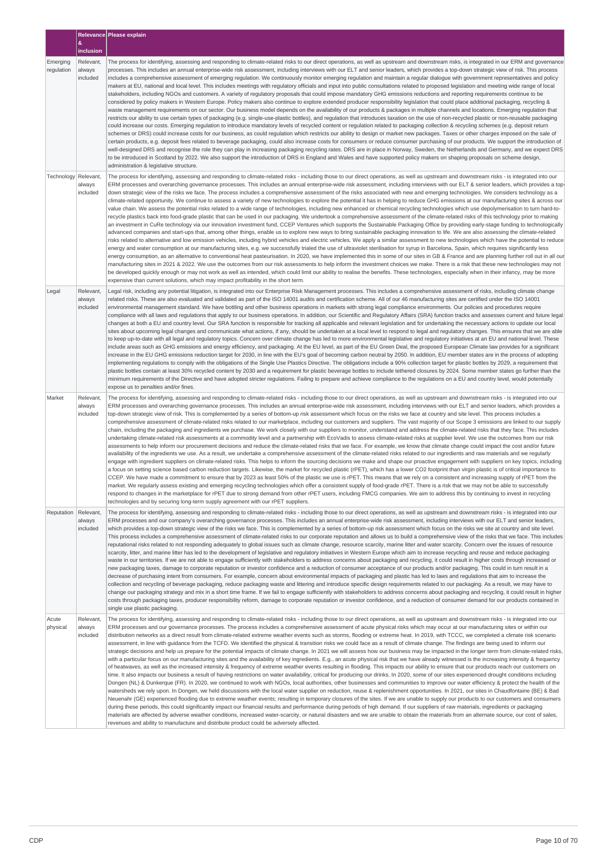|                        | &                               | Relevance Please explain                                                                                                                                                                                                                                                                                                                                                                                                                                                                                                                                                                                                                                                                                                                                                                                                                                                                                                                                                                                                                                                                                                                                                                                                                                                                                                                                                                                                                                                                                                                                                                                                                                                                                                                                                                                                                                                                                                                                                                                                                                                                                                                                                                                                                                                                                                                                                                                                                                                                                                                                                                                                               |
|------------------------|---------------------------------|----------------------------------------------------------------------------------------------------------------------------------------------------------------------------------------------------------------------------------------------------------------------------------------------------------------------------------------------------------------------------------------------------------------------------------------------------------------------------------------------------------------------------------------------------------------------------------------------------------------------------------------------------------------------------------------------------------------------------------------------------------------------------------------------------------------------------------------------------------------------------------------------------------------------------------------------------------------------------------------------------------------------------------------------------------------------------------------------------------------------------------------------------------------------------------------------------------------------------------------------------------------------------------------------------------------------------------------------------------------------------------------------------------------------------------------------------------------------------------------------------------------------------------------------------------------------------------------------------------------------------------------------------------------------------------------------------------------------------------------------------------------------------------------------------------------------------------------------------------------------------------------------------------------------------------------------------------------------------------------------------------------------------------------------------------------------------------------------------------------------------------------------------------------------------------------------------------------------------------------------------------------------------------------------------------------------------------------------------------------------------------------------------------------------------------------------------------------------------------------------------------------------------------------------------------------------------------------------------------------------------------------|
|                        | inclusion                       |                                                                                                                                                                                                                                                                                                                                                                                                                                                                                                                                                                                                                                                                                                                                                                                                                                                                                                                                                                                                                                                                                                                                                                                                                                                                                                                                                                                                                                                                                                                                                                                                                                                                                                                                                                                                                                                                                                                                                                                                                                                                                                                                                                                                                                                                                                                                                                                                                                                                                                                                                                                                                                        |
| Emerging<br>regulation | Relevant,<br>always<br>included | The process for identifying, assessing and responding to climate-related risks to our direct operations, as well as upstream and downstream risks, is integrated in our ERM and governance<br>processes. This includes an annual enterprise-wide risk assessment, including interviews with our ELT and senior leaders, which provides a top-down strategic view of risk. This process<br>includes a comprehensive assessment of emerging regulation. We continuously monitor emerging regulation and maintain a regular dialogue with government representatives and policy<br>makers at EU, national and local level. This includes meetings with regulatory officials and input into public consultations related to proposed legislation and meeting wide range of local<br>stakeholders, including NGOs and customers. A variety of regulatory proposals that could impose mandatory GHG emissions reductions and reporting requirements continue to be<br>considered by policy makers in Western Europe. Policy makers also continue to explore extended producer responsibility legislation that could place additional packaging, recycling &<br>waste management requirements on our sector. Our business model depends on the availability of our products & packages in multiple channels and locations. Emerging regulation that<br>restricts our ability to use certain types of packaging (e.g. single-use-plastic bottles), and regulation that introduces taxation on the use of non-recycled plastic or non-reusable packaging<br>could increase our costs. Emerging regulation to introduce mandatory levels of recycled content or regulation related to packaging collection & recycling schemes (e.g. deposit return<br>schemes or DRS) could increase costs for our business, as could regulation which restricts our ability to design or market new packages. Taxes or other charges imposed on the sale of<br>certain products, e.g. deposit fees related to beverage packaging, could also increase costs for consumers or reduce consumer purchasing of our products. We support the introduction of<br>well-designed DRS and recognise the role they can play in increasing packaging recycling rates. DRS are in place in Norway, Sweden, the Netherlands and Germany, and we expect DRS<br>to be introduced in Scotland by 2022. We also support the introduction of DRS in England and Wales and have supported policy makers on shaping proposals on scheme design,<br>administration & legislative structure.                                                                                         |
| Technology Relevant,   | always<br>included              | The process for identifying, assessing and responding to climate-related risks - including those to our direct operations, as well as upstream and downstream risks - is integrated into our<br>ERM processes and overarching governance processes. This includes an annual enterprise-wide risk assessment, including interviews with our ELT & senior leaders, which provides a top-<br>down strategic view of the risks we face. The process includes a comprehensive assessment of the risks associated with new and emerging technologies. We considers technology as a<br>climate-related opportunity. We continue to assess a variety of new technologies to explore the potential it has in helping to reduce GHG emissions at our manufacturing sites & across our<br>value chain. We assess the potential risks related to a wide range of technologies, including new enhanced or chemical recycling technologies which use depolymerisation to turn hard-to-<br>recycle plastics back into food-grade plastic that can be used in our packaging. We undertook a comprehensive assessment of the climate-related risks of this technology prior to making<br>an investment in CuRe technology via our innovation investment fund, CCEP Ventures which supports the Sustainable Packaging Office by providing early-stage funding to technologically<br>advanced companies and start-ups that, among other things, enable us to explore new ways to bring sustainable packaging innovation to life. We are also assessing the climate-related<br>risks related to alternative and low emission vehicles, including hybrid vehicles and electric vehicles. We apply a similar assessment to new technologies which have the potential to reduce<br>energy and water consumption at our manufacturing sites, e.g. we successfully trialed the use of ultraviolet sterilisation for syrup in Barcelona, Spain, which requires significantly less<br>energy consumption, as an alternative to conventional heat pasteurisation. In 2020, we have implemented this in some of our sites in GB & France and are planning further roll out in all our<br>manufacturing sites in 2021 & 2022. We use the outcomes from our risk assessments to help inform the investment choices we make. There is a risk that these new technologies may not<br>be developed quickly enough or may not work as well as intended, which could limit our ability to realise the benefits. These technologies, especially when in their infancy, may be more<br>expensive than current solutions, which may impact profitability in the short term.   |
| Legal                  | Relevant,<br>always<br>included | Legal risk, including any potential litigation, is integrated into our Enterprise Risk Management processes. This includes a comprehensive assessment of risks, including climate change<br>related risks. These are also evaluated and validated as part of the ISO 14001 audits and certification scheme. All of our 46 manufacturing sites are certified under the ISO 14001<br>environmental management standard. We have bottling and other business operations in markets with strong legal compliance environments. Our policies and procedures require<br>compliance with all laws and regulations that apply to our business operations. In addition, our Scientific and Regulatory Affairs (SRA) function tracks and assesses current and future legal<br>changes at both a EU and country level. Our SRA function is responsible for tracking all applicable and relevant legislation and for undertaking the necessary actions to update our local<br>sites about upcoming legal changes and communicate what actions, if any, should be undertaken at a local level to respond to legal and regulatory changes. This ensures that we are able<br>to keep up-to-date with all legal and regulatory topics. Concern over climate change has led to more environmental legislative and regulatory initiatives at an EU and national level. These<br>include areas such as GHG emissions and energy efficiency, and packaging. At the EU level, as part of the EU Green Deal, the proposed European Climate law provides for a significant<br>increase in the EU GHG emissions reduction target for 2030, in line with the EU's goal of becoming carbon neutral by 2050. In addition, EU member states are in the process of adopting<br>implementing regulations to comply with the obligations of the Single Use Plastics Directive. The obligations include a 90% collection target for plastic bottles by 2029, a requirement that<br>plastic bottles contain at least 30% recycled content by 2030 and a requirement for plastic beverage bottles to include tethered closures by 2024. Some member states go further than the<br>minimum requirements of the Directive and have adopted stricter regulations. Failing to prepare and achieve compliance to the regulations on a EU and country level, would potentially<br>expose us to penalties and/or fines.                                                                                                                                                                                                                                                         |
| Market                 | Relevant,<br>always<br>included | The process for identifying, assessing and responding to climate-related risks - including those to our direct operations, as well as upstream and downstream risks - is integrated into our<br>ERM processes and overarching governance processes. This includes an annual enterprise-wide risk assessment, including interviews with our ELT and senior leaders, which provides a<br>top-down strategic view of risk. This is complemented by a series of bottom-up risk assessment which focus on the risks we face at country and site level. This process includes a<br>comprehensive assessment of climate-related risks related to our marketplace, including our customers and suppliers. The vast majority of our Scope 3 emissions are linked to our supply<br>chain, including the packaging and ingredients we purchase. We work closely with our suppliers to monitor, understand and address the climate-related risks that they face. This includes<br>undertaking climate-related risk assessments at a commodity level and a partnership with EcoVadis to assess climate-related risks at supplier level. We use the outcomes from our risk<br>assessments to help inform our procurement decisions and reduce the climate-related risks that we face. For example, we know that climate change could impact the cost and/or future<br>availability of the ingredients we use. As a result, we undertake a comprehensive assessment of the climate-related risks related to our ingredients and raw materials and we reqularly<br>engage with ingredient suppliers on climate-related risks. This helps to inform the sourcing decisions we make and shape our proactive engagement with suppliers on key topics, including<br>a focus on setting science based carbon reduction targets. Likewise, the market for recycled plastic (rPET), which has a lower CO2 footprint than virgin plastic is of critical importance to<br>CCEP. We have made a commitment to ensure that by 2023 as least 50% of the plastic we use is rPET. This means that we rely on a consistent and increasing supply of rPET from the<br>market. We regularly assess existing and emerging recycling technologies which offer a consistent supply of food-grade rPET. There is a risk that we may not be able to successfully<br>respond to changes in the marketplace for rPET due to strong demand from other rPET users, including FMCG companies. We aim to address this by continuing to invest in recycling<br>technologies and by securing long-term supply agreement with our rPET suppliers.                                     |
| Reputation             | Relevant,<br>always<br>included | The process for identifying, assessing and responding to climate-related risks - including those to our direct operations, as well as upstream and downstream risks - is integrated into our<br>ERM processes and our company's overarching governance processes. This includes an annual enterprise-wide risk assessment, including interviews with our ELT and senior leaders,<br>which provides a top-down strategic view of the risks we face. This is complemented by a series of bottom-up risk assessment which focus on the risks we site at country and site level.<br>This process includes a comprehensive assessment of climate-related risks to our corporate reputation and allows us to build a comprehensive view of the risks that we face. This includes<br>reputational risks related to not responding adequately to global issues such as climate change, resource scarcity, marine litter and water scarcity. Concern over the issues of resource<br>scarcity, litter, and marine litter has led to the development of legislative and regulatory initiatives in Western Europe which aim to increase recycling and reuse and reduce packaging<br>waste in our territories. If we are not able to engage sufficiently with stakeholders to address concerns about packaging and recycling, it could result in higher costs through increased or<br>new packaging taxes, damage to corporate reputation or investor confidence and a reduction of consumer acceptance of our products and/or packaging. This could in turn result in a<br>decrease of purchasing intent from consumers. For example, concern about environmental impacts of packaging and plastic has led to laws and regulations that aim to increase the<br>collection and recycling of beverage packaging, reduce packaging waste and littering and introduce specific design requirements related to our packaging. As a result, we may have to<br>change our packaging strategy and mix in a short time frame. If we fail to engage sufficiently with stakeholders to address concerns about packaging and recycling, it could result in higher<br>costs through packaging taxes, producer responsibility reform, damage to corporate reputation or investor confidence, and a reduction of consumer demand for our products contained in<br>single use plastic packaging.                                                                                                                                                                                                                                                                   |
| Acute<br>physical      | Relevant,<br>always<br>included | The process for identifying, assessing and responding to climate-related risks - including those to our direct operations, as well as upstream and downstream risks - is integrated into our<br>ERM processes and our governance processes. The process includes a comprehensive assessment of acute physical risks which may occur at our manufacturing sites or within our<br>distribution networks as a direct result from climate-related extreme weather events such as storms, flooding or extreme heat. In 2019, with TCCC, we completed a climate risk scenario<br>assessment, in line with guidance from the TCFD. We identified the physical & transition risks we could face as a result of climate change. The findings are being used to inform our<br>strategic decisions and help us prepare for the potential impacts of climate change. In 2021 we will assess how our business may be impacted in the longer term from climate-related risks,<br>with a particular focus on our manufacturing sites and the availability of key ingredients. E.g., an acute physical risk that we have already witnessed is the increasing intensity & frequency<br>of heatwaves, as well as the increased intensity & frequency of extreme weather events resulting in flooding. This impacts our ability to ensure that our products reach our customers on<br>time. It also impacts our business a result of having restrictions on water availability, critical for producing our drinks. In 2020, some of our sites experienced drought conditions including<br>Dongen (NL) & Dunkerque (FR). In 2020, we continued to work with NGOs, local authorities, other businesses and communities to improve our water efficiency & protect the health of the<br>watersheds we rely upon. In Dongen, we held discussions with the local water supplier on reduction, reuse & replenishment opportunities. In 2021, our sites in Chaudfontaine (BE) & Bad<br>Neuenahr (GE) experienced flooding due to extreme weather events; resulting in temporary closures of the sites. If we are unable to supply our products to our customers and consumers<br>during these periods, this could significantly impact our financial results and performance during periods of high demand. If our suppliers of raw materials, ingredients or packaging<br>materials are affected by adverse weather conditions, increased water-scarcity, or natural disasters and we are unable to obtain the materials from an alternate source, our cost of sales,<br>revenues and ability to manufacture and distribute product could be adversely affected. |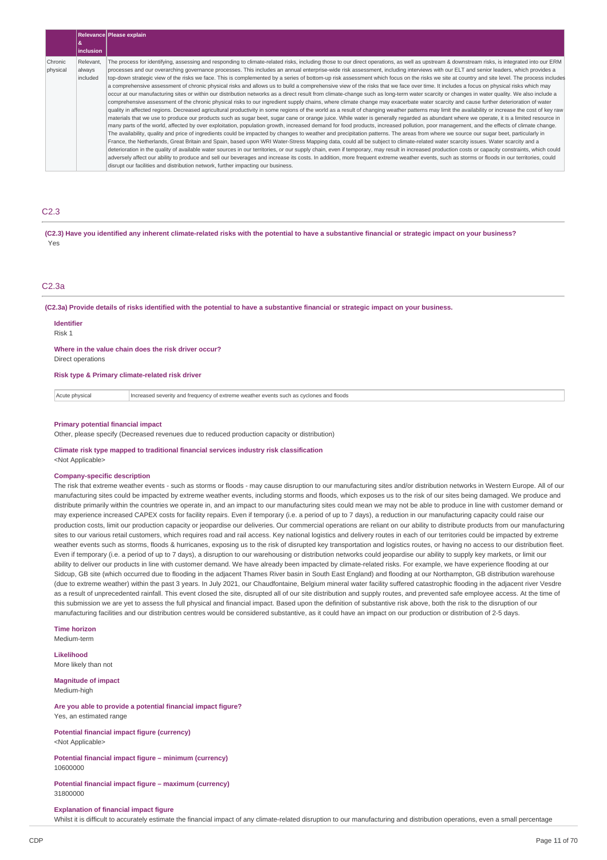|                     |                                 | Relevance Please explain                                                                                                                                                                                                                                                                                                                                                                                                                                                                                                                                                                                                                                                                                                                                                                                                                                                                                                                                                                                                                                                                                                                                                                                                                                                                                                                                                                                                                                                                                                                                                                                                                                                                                                                                                                                                                                                                                                                                                                                                                                                                                                                                                                                                                                                                                                                                                                                                                                                                                                                                                                                                             |
|---------------------|---------------------------------|--------------------------------------------------------------------------------------------------------------------------------------------------------------------------------------------------------------------------------------------------------------------------------------------------------------------------------------------------------------------------------------------------------------------------------------------------------------------------------------------------------------------------------------------------------------------------------------------------------------------------------------------------------------------------------------------------------------------------------------------------------------------------------------------------------------------------------------------------------------------------------------------------------------------------------------------------------------------------------------------------------------------------------------------------------------------------------------------------------------------------------------------------------------------------------------------------------------------------------------------------------------------------------------------------------------------------------------------------------------------------------------------------------------------------------------------------------------------------------------------------------------------------------------------------------------------------------------------------------------------------------------------------------------------------------------------------------------------------------------------------------------------------------------------------------------------------------------------------------------------------------------------------------------------------------------------------------------------------------------------------------------------------------------------------------------------------------------------------------------------------------------------------------------------------------------------------------------------------------------------------------------------------------------------------------------------------------------------------------------------------------------------------------------------------------------------------------------------------------------------------------------------------------------------------------------------------------------------------------------------------------------|
|                     | inclusion                       |                                                                                                                                                                                                                                                                                                                                                                                                                                                                                                                                                                                                                                                                                                                                                                                                                                                                                                                                                                                                                                                                                                                                                                                                                                                                                                                                                                                                                                                                                                                                                                                                                                                                                                                                                                                                                                                                                                                                                                                                                                                                                                                                                                                                                                                                                                                                                                                                                                                                                                                                                                                                                                      |
| Chronic<br>physical | Relevant,<br>always<br>included | The process for identifying, assessing and responding to climate-related risks, including those to our direct operations, as well as upstream & downstream risks, is integrated into our ERM<br>processes and our overarching governance processes. This includes an annual enterprise-wide risk assessment, including interviews with our ELT and senior leaders, which provides a<br>top-down strategic view of the risks we face. This is complemented by a series of bottom-up risk assessment which focus on the risks we site at country and site level. The process includes<br>a comprehensive assessment of chronic physical risks and allows us to build a comprehensive view of the risks that we face over time. It includes a focus on physical risks which may<br>occur at our manufacturing sites or within our distribution networks as a direct result from climate-change such as long-term water scarcity or changes in water quality. We also include a<br>comprehensive assessment of the chronic physical risks to our ingredient supply chains, where climate change may exacerbate water scarcity and cause further deterioration of water<br>quality in affected regions. Decreased agricultural productivity in some regions of the world as a result of changing weather patterns may limit the availability or increase the cost of key raw<br>materials that we use to produce our products such as sugar beet, sugar cane or orange juice. While water is generally regarded as abundant where we operate, it is a limited resource in<br>many parts of the world, affected by over exploitation, population growth, increased demand for food products, increased pollution, poor management, and the effects of climate change.<br>The availability, quality and price of ingredients could be impacted by changes to weather and precipitation patterns. The areas from where we source our sugar beet, particularly in<br>France, the Netherlands, Great Britain and Spain, based upon WRI Water-Stress Mapping data, could all be subject to climate-related water scarcity issues. Water scarcity and a<br>deterioration in the quality of available water sources in our territories, or our supply chain, even if temporary, may result in increased production costs or capacity constraints, which could<br>adversely affect our ability to produce and sell our beverages and increase its costs. In addition, more frequent extreme weather events, such as storms or floods in our territories, could<br>disrupt our facilities and distribution network, further impacting our business. |

## C2.3

(C2.3) Have you identified any inherent climate-related risks with the potential to have a substantive financial or strategic impact on your business? Yes

## C2.3a

(C2.3a) Provide details of risks identified with the potential to have a substantive financial or strategic impact on your business.

**Identifier** Risk 1

### **Where in the value chain does the risk driver occur?**

Direct operations

**Risk type & Primary climate-related risk driver**

Acute physical **Increased severity and frequency of extreme weather events such as cyclones and floods** 

### **Primary potential financial impact**

Other, please specify (Decreased revenues due to reduced production capacity or distribution)

#### **Climate risk type mapped to traditional financial services industry risk classification** <Not Applicable>

#### **Company-specific description**

The risk that extreme weather events - such as storms or floods - may cause disruption to our manufacturing sites and/or distribution networks in Western Europe. All of our manufacturing sites could be impacted by extreme weather events, including storms and floods, which exposes us to the risk of our sites being damaged. We produce and distribute primarily within the countries we operate in, and an impact to our manufacturing sites could mean we may not be able to produce in line with customer demand or may experience increased CAPEX costs for facility repairs. Even if temporary (i.e. a period of up to 7 days), a reduction in our manufacturing capacity could raise our production costs, limit our production capacity or jeopardise our deliveries. Our commercial operations are reliant on our ability to distribute products from our manufacturing sites to our various retail customers, which requires road and rail access. Key national logistics and delivery routes in each of our territories could be impacted by extreme weather events such as storms, floods & hurricanes, exposing us to the risk of disrupted key transportation and logistics routes, or having no access to our distribution fleet. Even if temporary (i.e. a period of up to 7 days), a disruption to our warehousing or distribution networks could jeopardise our ability to supply key markets, or limit our ability to deliver our products in line with customer demand. We have already been impacted by climate-related risks. For example, we have experience flooding at our Sidcup, GB site (which occurred due to flooding in the adjacent Thames River basin in South East England) and flooding at our Northampton, GB distribution warehouse (due to extreme weather) within the past 3 years. In July 2021, our Chaudfontaine, Belgium mineral water facility suffered catastrophic flooding in the adjacent river Vesdre as a result of unprecedented rainfall. This event closed the site, disrupted all of our site distribution and supply routes, and prevented safe employee access. At the time of this submission we are yet to assess the full physical and financial impact. Based upon the definition of substantive risk above, both the risk to the disruption of our manufacturing facilities and our distribution centres would be considered substantive, as it could have an impact on our production or distribution of 2-5 days.

#### **Time horizon** Medium-term

**Likelihood**

More likely than not

**Magnitude of impact** Medium-high

## **Are you able to provide a potential financial impact figure?** Yes, an estimated range

**Potential financial impact figure (currency)** <Not Applicable>

**Potential financial impact figure – minimum (currency)** 10600000

### **Potential financial impact figure – maximum (currency)** 31800000

#### **Explanation of financial impact figure**

Whilst it is difficult to accurately estimate the financial impact of any climate-related disruption to our manufacturing and distribution operations, even a small percentage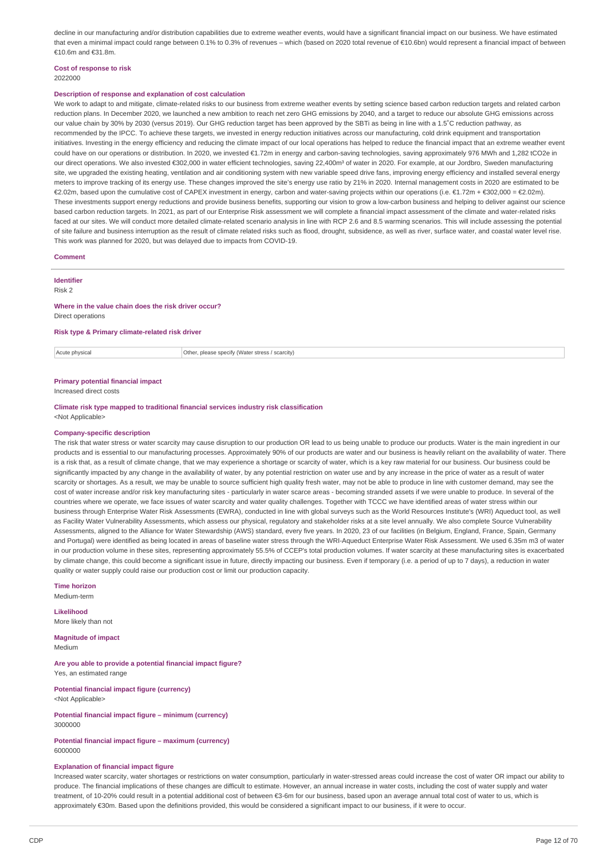decline in our manufacturing and/or distribution capabilities due to extreme weather events, would have a significant financial impact on our business. We have estimated that even a minimal impact could range between 0.1% to 0.3% of revenues – which (based on 2020 total revenue of €10.6bn) would represent a financial impact of between €10.6m and €31.8m.

#### **Cost of response to risk** 2022000

## **Description of response and explanation of cost calculation**

We work to adapt to and mitigate, climate-related risks to our business from extreme weather events by setting science based carbon reduction targets and related carbon reduction plans. In December 2020, we launched a new ambition to reach net zero GHG emissions by 2040, and a target to reduce our absolute GHG emissions across our value chain by 30% by 2030 (versus 2019). Our GHG reduction target has been approved by the SBTi as being in line with a 1.5˚C reduction pathway, as recommended by the IPCC. To achieve these targets, we invested in energy reduction initiatives across our manufacturing, cold drink equipment and transportation initiatives. Investing in the energy efficiency and reducing the climate impact of our local operations has helped to reduce the financial impact that an extreme weather event could have on our operations or distribution. In 2020, we invested €1.72m in energy and carbon-saving technologies, saving approximately 976 MWh and 1,282 tCO2e in our direct operations. We also invested €302,000 in water efficient technologies, saving 22,400m<sup>3</sup> of water in 2020. For example, at our Jordbro, Sweden manufacturing site, we upgraded the existing heating, ventilation and air conditioning system with new variable speed drive fans, improving energy efficiency and installed several energy meters to improve tracking of its energy use. These changes improved the site's energy use ratio by 21% in 2020. Internal management costs in 2020 are estimated to be €2.02m, based upon the cumulative cost of CAPEX investment in energy, carbon and water-saving projects within our operations (i.e. €1.72m + €302,000 = €2.02m). These investments support energy reductions and provide business benefits, supporting our vision to grow a low-carbon business and helping to deliver against our science based carbon reduction targets. In 2021, as part of our Enterprise Risk assessment we will complete a financial impact assessment of the climate and water-related risks faced at our sites. We will conduct more detailed climate-related scenario analysis in line with RCP 2.6 and 8.5 warming scenarios. This will include assessing the potential of site failure and business interruption as the result of climate related risks such as flood, drought, subsidence, as well as river, surface water, and coastal water level rise. This work was planned for 2020, but was delayed due to impacts from COVID-19.

#### **Comment**

#### **Identifier**

Risk 2

## **Where in the value chain does the risk driver occur?**

Direct operations

## **Risk type & Primary climate-related risk driver**

Acute physical **Acute physical** Other, please specify (Water stress / scarcity)

### **Primary potential financial impact**

Increased direct costs

**Climate risk type mapped to traditional financial services industry risk classification** <Not Applicable>

#### **Company-specific description**

The risk that water stress or water scarcity may cause disruption to our production OR lead to us being unable to produce our products. Water is the main ingredient in our products and is essential to our manufacturing processes. Approximately 90% of our products are water and our business is heavily reliant on the availability of water. There is a risk that, as a result of climate change, that we may experience a shortage or scarcity of water, which is a key raw material for our business. Our business could be significantly impacted by any change in the availability of water, by any potential restriction on water use and by any increase in the price of water as a result of water scarcity or shortages. As a result, we may be unable to source sufficient high quality fresh water, may not be able to produce in line with customer demand, may see the cost of water increase and/or risk key manufacturing sites - particularly in water scarce areas - becoming stranded assets if we were unable to produce. In several of the countries where we operate, we face issues of water scarcity and water quality challenges. Together with TCCC we have identified areas of water stress within our business through Enterprise Water Risk Assessments (EWRA), conducted in line with global surveys such as the World Resources Institute's (WRI) Aqueduct tool, as well as Facility Water Vulnerability Assessments, which assess our physical, regulatory and stakeholder risks at a site level annually. We also complete Source Vulnerability Assessments, aligned to the Alliance for Water Stewardship (AWS) standard, every five years. In 2020, 23 of our facilities (in Belgium, England, France, Spain, Germany and Portugal) were identified as being located in areas of baseline water stress through the WRI-Aqueduct Enterprise Water Risk Assessment. We used 6.35m m3 of water in our production volume in these sites, representing approximately 55.5% of CCEP's total production volumes. If water scarcity at these manufacturing sites is exacerbated by climate change, this could become a significant issue in future, directly impacting our business. Even if temporary (i.e. a period of up to 7 days), a reduction in water quality or water supply could raise our production cost or limit our production capacity.

**Time horizon**

Medium-term

**Likelihood** More likely than not

**Magnitude of impact** Medium

**Are you able to provide a potential financial impact figure?** Yes, an estimated range

**Potential financial impact figure (currency)** <Not Applicable>

**Potential financial impact figure – minimum (currency)** 3000000

**Potential financial impact figure – maximum (currency)** 6000000

### **Explanation of financial impact figure**

Increased water scarcity, water shortages or restrictions on water consumption, particularly in water-stressed areas could increase the cost of water OR impact our ability to produce. The financial implications of these changes are difficult to estimate. However, an annual increase in water costs, including the cost of water supply and water treatment, of 10-20% could result in a potential additional cost of between €3-6m for our business, based upon an average annual total cost of water to us, which is approximately €30m. Based upon the definitions provided, this would be considered a significant impact to our business, if it were to occur.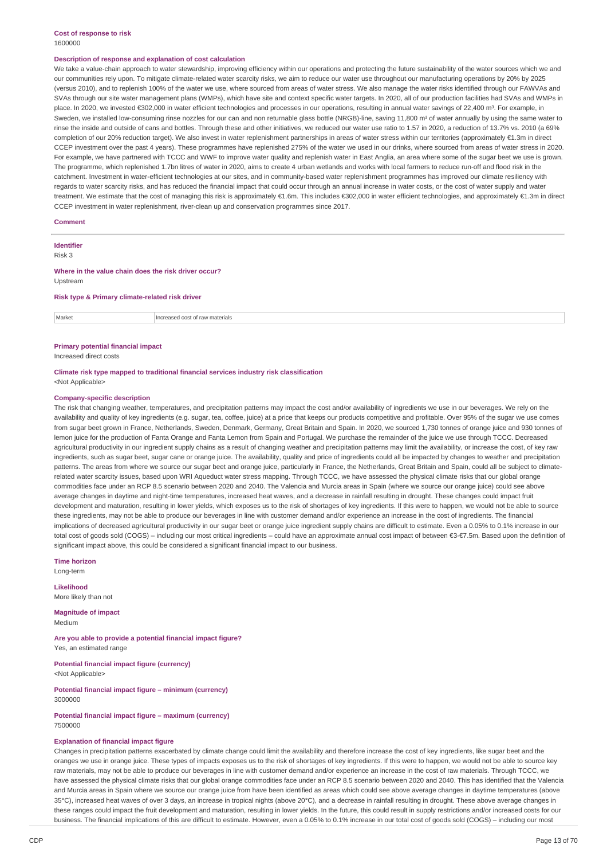### **Cost of response to risk** 1600000

### **Description of response and explanation of cost calculation**

We take a value-chain approach to water stewardship, improving efficiency within our operations and protecting the future sustainability of the water sources which we and our communities rely upon. To mitigate climate-related water scarcity risks, we aim to reduce our water use throughout our manufacturing operations by 20% by 2025 (versus 2010), and to replenish 100% of the water we use, where sourced from areas of water stress. We also manage the water risks identified through our FAWVAs and SVAs through our site water management plans (WMPs), which have site and context specific water targets. In 2020, all of our production facilities had SVAs and WMPs in place. In 2020, we invested €302,000 in water efficient technologies and processes in our operations, resulting in annual water savings of 22,400 m<sup>3</sup>. For example, in Sweden, we installed low-consuming rinse nozzles for our can and non returnable glass bottle (NRGB)-line, saving 11,800 m<sup>3</sup> of water annually by using the same water to rinse the inside and outside of cans and bottles. Through these and other initiatives, we reduced our water use ratio to 1.57 in 2020, a reduction of 13.7% vs. 2010 (a 69% completion of our 20% reduction target). We also invest in water replenishment partnerships in areas of water stress within our territories (approximately €1.3m in direct CCEP investment over the past 4 years). These programmes have replenished 275% of the water we used in our drinks, where sourced from areas of water stress in 2020. For example, we have partnered with TCCC and WWF to improve water quality and replenish water in East Anglia, an area where some of the sugar beet we use is grown. The programme, which replenished 1.7bn litres of water in 2020, aims to create 4 urban wetlands and works with local farmers to reduce run-off and flood risk in the catchment. Investment in water-efficient technologies at our sites, and in community-based water replenishment programmes has improved our climate resiliency with regards to water scarcity risks, and has reduced the financial impact that could occur through an annual increase in water costs, or the cost of water supply and water treatment. We estimate that the cost of managing this risk is approximately €1.6m. This includes €302,000 in water efficient technologies, and approximately €1.3m in direct CCEP investment in water replenishment, river-clean up and conservation programmes since 2017.

#### **Comment**

**Identifier**

Risk 3

## **Where in the value chain does the risk driver occur?**

Upstream

#### **Risk type & Primary climate-related risk driver**

**Market** Increased cost of raw materials

## **Primary potential financial impact**

Increased direct costs

## **Climate risk type mapped to traditional financial services industry risk classification**

<Not Applicable>

## **Company-specific description**

The risk that changing weather, temperatures, and precipitation patterns may impact the cost and/or availability of ingredients we use in our beverages. We rely on the availability and quality of key ingredients (e.g. sugar, tea, coffee, juice) at a price that keeps our products competitive and profitable. Over 95% of the sugar we use comes from sugar beet grown in France, Netherlands, Sweden, Denmark, Germany, Great Britain and Spain. In 2020, we sourced 1,730 tonnes of orange juice and 930 tonnes of lemon juice for the production of Fanta Orange and Fanta Lemon from Spain and Portugal. We purchase the remainder of the juice we use through TCCC. Decreased agricultural productivity in our ingredient supply chains as a result of changing weather and precipitation patterns may limit the availability, or increase the cost, of key raw ingredients, such as sugar beet, sugar cane or orange juice. The availability, quality and price of ingredients could all be impacted by changes to weather and precipitation patterns. The areas from where we source our sugar beet and orange juice, particularly in France, the Netherlands, Great Britain and Spain, could all be subject to climaterelated water scarcity issues, based upon WRI Aqueduct water stress mapping. Through TCCC, we have assessed the physical climate risks that our global orange commodities face under an RCP 8.5 scenario between 2020 and 2040. The Valencia and Murcia areas in Spain (where we source our orange juice) could see above average changes in daytime and night-time temperatures, increased heat waves, and a decrease in rainfall resulting in drought. These changes could impact fruit development and maturation, resulting in lower yields, which exposes us to the risk of shortages of key ingredients. If this were to happen, we would not be able to source these ingredients, may not be able to produce our beverages in line with customer demand and/or experience an increase in the cost of ingredients. The financial implications of decreased agricultural productivity in our sugar beet or orange juice ingredient supply chains are difficult to estimate. Even a 0.05% to 0.1% increase in our total cost of goods sold (COGS) – including our most critical ingredients – could have an approximate annual cost impact of between €3-€7.5m. Based upon the definition of significant impact above, this could be considered a significant financial impact to our business.

**Time horizon** Long-term

**Likelihood** More likely than not

**Magnitude of impact** Medium

**Are you able to provide a potential financial impact figure?** Yes, an estimated range

**Potential financial impact figure (currency)** <Not Applicable>

**Potential financial impact figure – minimum (currency)** 3000000

### **Potential financial impact figure – maximum (currency)** 7500000

### **Explanation of financial impact figure**

Changes in precipitation patterns exacerbated by climate change could limit the availability and therefore increase the cost of key ingredients, like sugar beet and the oranges we use in orange juice. These types of impacts exposes us to the risk of shortages of key ingredients. If this were to happen, we would not be able to source key raw materials, may not be able to produce our beverages in line with customer demand and/or experience an increase in the cost of raw materials. Through TCCC, we have assessed the physical climate risks that our global orange commodities face under an RCP 8.5 scenario between 2020 and 2040. This has identified that the Valencia and Murcia areas in Spain where we source our orange juice from have been identified as areas which could see above average changes in daytime temperatures (above 35°C), increased heat waves of over 3 days, an increase in tropical nights (above 20°C), and a decrease in rainfall resulting in drought. These above average changes in these ranges could impact the fruit development and maturation, resulting in lower yields. In the future, this could result in supply restrictions and/or increased costs for our business. The financial implications of this are difficult to estimate. However, even a 0.05% to 0.1% increase in our total cost of goods sold (COGS) – including our most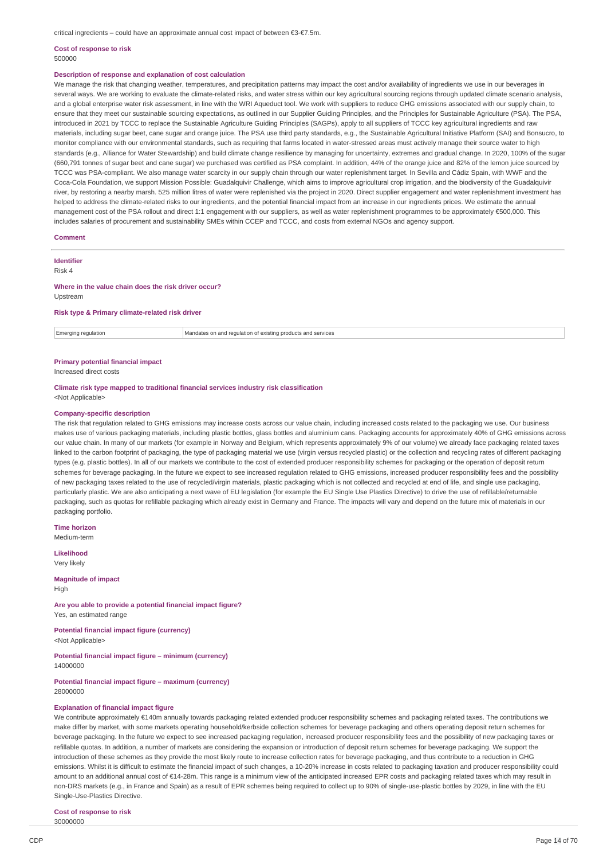critical ingredients – could have an approximate annual cost impact of between €3-€7.5m.

### **Cost of response to risk** 500000

### **Description of response and explanation of cost calculation**

We manage the risk that changing weather, temperatures, and precipitation patterns may impact the cost and/or availability of ingredients we use in our beverages in several ways. We are working to evaluate the climate-related risks, and water stress within our key agricultural sourcing regions through updated climate scenario analysis, and a global enterprise water risk assessment, in line with the WRI Aqueduct tool. We work with suppliers to reduce GHG emissions associated with our supply chain, to ensure that they meet our sustainable sourcing expectations, as outlined in our Supplier Guiding Principles, and the Principles for Sustainable Agriculture (PSA). The PSA, introduced in 2021 by TCCC to replace the Sustainable Agriculture Guiding Principles (SAGPs), apply to all suppliers of TCCC key agricultural ingredients and raw materials, including sugar beet, cane sugar and orange juice. The PSA use third party standards, e.g., the Sustainable Agricultural Initiative Platform (SAI) and Bonsucro, to monitor compliance with our environmental standards, such as requiring that farms located in water-stressed areas must actively manage their source water to high standards (e.g., Alliance for Water Stewardship) and build climate change resilience by managing for uncertainty, extremes and gradual change. In 2020, 100% of the sugar (660,791 tonnes of sugar beet and cane sugar) we purchased was certified as PSA complaint. In addition, 44% of the orange juice and 82% of the lemon juice sourced by TCCC was PSA-compliant. We also manage water scarcity in our supply chain through our water replenishment target. In Sevilla and Cádiz Spain, with WWF and the Coca-Cola Foundation, we support Mission Possible: Guadalquivir Challenge, which aims to improve agricultural crop irrigation, and the biodiversity of the Guadalquivir river, by restoring a nearby marsh. 525 million litres of water were replenished via the project in 2020. Direct supplier engagement and water replenishment investment has helped to address the climate-related risks to our ingredients, and the potential financial impact from an increase in our ingredients prices. We estimate the annual management cost of the PSA rollout and direct 1:1 engagement with our suppliers, as well as water replenishment programmes to be approximately €500,000. This includes salaries of procurement and sustainability SMEs within CCEP and TCCC, and costs from external NGOs and agency support.

#### **Comment**

**Identifier** 

Risk 4

### **Where in the value chain does the risk driver occur?**

Upstream

## **Risk type & Primary climate-related risk driver**

Emerging regulation Mandates on and regulation of existing products and services

# **Primary potential financial impact**

Increased direct costs

### **Climate risk type mapped to traditional financial services industry risk classification** <Not Applicable>

#### **Company-specific description**

The risk that regulation related to GHG emissions may increase costs across our value chain, including increased costs related to the packaging we use. Our business makes use of various packaging materials, including plastic bottles, glass bottles and aluminium cans. Packaging accounts for approximately 40% of GHG emissions across our value chain. In many of our markets (for example in Norway and Belgium, which represents approximately 9% of our volume) we already face packaging related taxes linked to the carbon footprint of packaging, the type of packaging material we use (virgin versus recycled plastic) or the collection and recycling rates of different packaging types (e.g. plastic bottles). In all of our markets we contribute to the cost of extended producer responsibility schemes for packaging or the operation of deposit return schemes for beverage packaging. In the future we expect to see increased regulation related to GHG emissions, increased producer responsibility fees and the possibility of new packaging taxes related to the use of recycled/virgin materials, plastic packaging which is not collected and recycled at end of life, and single use packaging, particularly plastic. We are also anticipating a next wave of EU legislation (for example the EU Single Use Plastics Directive) to drive the use of refillable/returnable packaging, such as quotas for refillable packaging which already exist in Germany and France. The impacts will vary and depend on the future mix of materials in our packaging portfolio.

**Time horizon** Medium-term

**Likelihood** Very likely

**Magnitude of impact** High

**Are you able to provide a potential financial impact figure?** Yes, an estimated range

**Potential financial impact figure (currency)** <Not Applicable>

**Potential financial impact figure – minimum (currency)** 14000000

**Potential financial impact figure – maximum (currency)** 28000000

### **Explanation of financial impact figure**

We contribute approximately €140m annually towards packaging related extended producer responsibility schemes and packaging related taxes. The contributions we make differ by market, with some markets operating household/kerbside collection schemes for beverage packaging and others operating deposit return schemes for beverage packaging. In the future we expect to see increased packaging regulation, increased producer responsibility fees and the possibility of new packaging taxes or refillable quotas. In addition, a number of markets are considering the expansion or introduction of deposit return schemes for beverage packaging. We support the introduction of these schemes as they provide the most likely route to increase collection rates for beverage packaging, and thus contribute to a reduction in GHG emissions. Whilst it is difficult to estimate the financial impact of such changes, a 10-20% increase in costs related to packaging taxation and producer responsibility could amount to an additional annual cost of €14-28m. This range is a minimum view of the anticipated increased EPR costs and packaging related taxes which may result in non-DRS markets (e.g., in France and Spain) as a result of EPR schemes being required to collect up to 90% of single-use-plastic bottles by 2029, in line with the EU Single-Use-Plastics Directive.

**Cost of response to risk**

30000000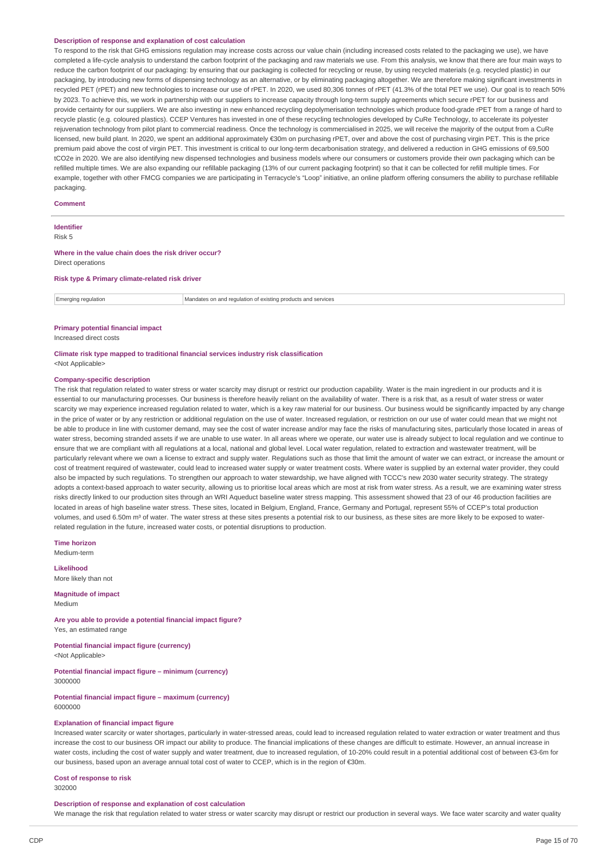### **Description of response and explanation of cost calculation**

To respond to the risk that GHG emissions regulation may increase costs across our value chain (including increased costs related to the packaging we use), we have completed a life-cycle analysis to understand the carbon footprint of the packaging and raw materials we use. From this analysis, we know that there are four main ways to reduce the carbon footprint of our packaging: by ensuring that our packaging is collected for recycling or reuse, by using recycled materials (e.g. recycled plastic) in our packaging, by introducing new forms of dispensing technology as an alternative, or by eliminating packaging altogether. We are therefore making significant investments in recycled PET (rPET) and new technologies to increase our use of rPET. In 2020, we used 80,306 tonnes of rPET (41,3% of the total PET we use). Our goal is to reach 50% by 2023. To achieve this, we work in partnership with our suppliers to increase capacity through long-term supply agreements which secure rPET for our business and provide certainty for our suppliers. We are also investing in new enhanced recycling depolymerisation technologies which produce food-grade rPET from a range of hard to recycle plastic (e.g. coloured plastics). CCEP Ventures has invested in one of these recycling technologies developed by CuRe Technology, to accelerate its polyester rejuvenation technology from pilot plant to commercial readiness. Once the technology is commercialised in 2025, we will receive the majority of the output from a CuRe licensed, new build plant. In 2020, we spent an additional approximately €30m on purchasing rPET, over and above the cost of purchasing virgin PET. This is the price premium paid above the cost of virgin PET. This investment is critical to our long-term decarbonisation strategy, and delivered a reduction in GHG emissions of 69,500 tCO2e in 2020. We are also identifying new dispensed technologies and business models where our consumers or customers provide their own packaging which can be refilled multiple times. We are also expanding our refillable packaging (13% of our current packaging footprint) so that it can be collected for refill multiple times. For example, together with other FMCG companies we are participating in Terracycle's "Loop" initiative, an online platform offering consumers the ability to purchase refillable packaging.

### **Comment**

## **Identifier**

Risk 5

#### **Where in the value chain does the risk driver occur?** Direct operations

**Risk type & Primary climate-related risk driver**

Emerging regulation Mandates on and regulation of existing products and services

## **Primary potential financial impact**

Increased direct costs

## **Climate risk type mapped to traditional financial services industry risk classification** <Not Applicable>

#### **Company-specific description**

The risk that regulation related to water stress or water scarcity may disrupt or restrict our production capability. Water is the main ingredient in our products and it is essential to our manufacturing processes. Our business is therefore heavily reliant on the availability of water. There is a risk that, as a result of water stress or water scarcity we may experience increased regulation related to water, which is a key raw material for our business. Our business would be significantly impacted by any change in the price of water or by any restriction or additional regulation on the use of water. Increased regulation, or restriction on our use of water could mean that we might not be able to produce in line with customer demand, may see the cost of water increase and/or may face the risks of manufacturing sites, particularly those located in areas of water stress, becoming stranded assets if we are unable to use water. In all areas where we operate, our water use is already subject to local regulation and we continue to ensure that we are compliant with all regulations at a local, national and global level. Local water regulation, related to extraction and wastewater treatment, will be particularly relevant where we own a license to extract and supply water. Regulations such as those that limit the amount of water we can extract, or increase the amount or cost of treatment required of wastewater, could lead to increased water supply or water treatment costs. Where water is supplied by an external water provider, they could also be impacted by such regulations. To strengthen our approach to water stewardship, we have aligned with TCCC's new 2030 water security strategy. The strategy adopts a context-based approach to water security, allowing us to prioritise local areas which are most at risk from water stress. As a result, we are examining water stress risks directly linked to our production sites through an WRI Aqueduct baseline water stress mapping. This assessment showed that 23 of our 46 production facilities are located in areas of high baseline water stress. These sites, located in Belgium, England, France, Germany and Portugal, represent 55% of CCEP's total production volumes, and used 6.50m m<sup>3</sup> of water. The water stress at these sites presents a potential risk to our business, as these sites are more likely to be exposed to waterrelated regulation in the future, increased water costs, or potential disruptions to production.

**Time horizon** Medium-term

**Likelihood**

More likely than not

**Magnitude of impact** Medium

**Are you able to provide a potential financial impact figure?** Yes, an estimated range

**Potential financial impact figure (currency)** <Not Applicable>

**Potential financial impact figure – minimum (currency)** 3000000

**Potential financial impact figure – maximum (currency)** 6000000

## **Explanation of financial impact figure**

Increased water scarcity or water shortages, particularly in water-stressed areas, could lead to increased regulation related to water extraction or water treatment and thus increase the cost to our business OR impact our ability to produce. The financial implications of these changes are difficult to estimate. However, an annual increase in water costs, including the cost of water supply and water treatment, due to increased regulation, of 10-20% could result in a potential additional cost of between €3-6m for our business, based upon an average annual total cost of water to CCEP, which is in the region of €30m.

# **Cost of response to risk**

302000

### **Description of response and explanation of cost calculation**

We manage the risk that regulation related to water stress or water scarcity may disrupt or restrict our production in several ways. We face water scarcity and water quality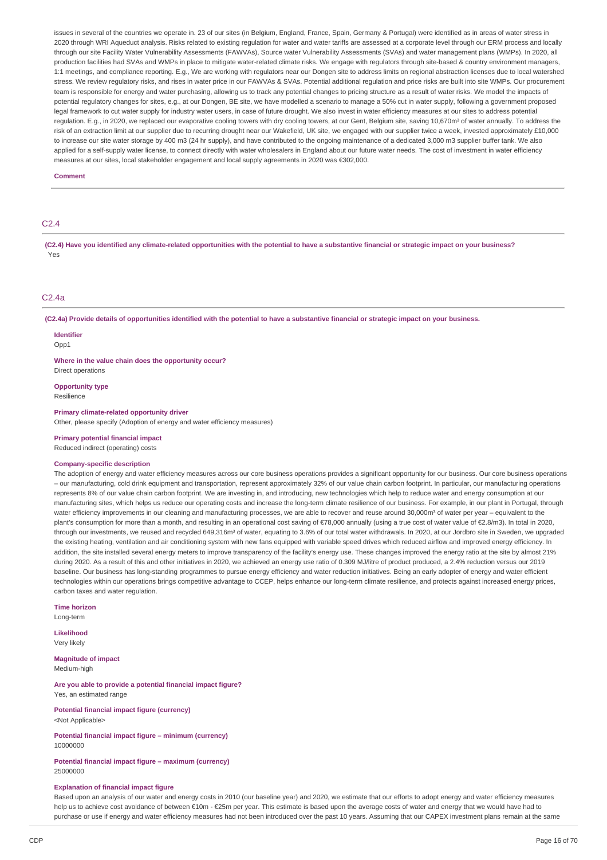issues in several of the countries we operate in. 23 of our sites (in Belgium, England, France, Spain, Germany & Portugal) were identified as in areas of water stress in 2020 through WRI Aqueduct analysis. Risks related to existing regulation for water and water tariffs are assessed at a corporate level through our ERM process and locally through our site Facility Water Vulnerability Assessments (FAWVAs), Source water Vulnerability Assessments (SVAs) and water management plans (WMPs). In 2020, all production facilities had SVAs and WMPs in place to mitigate water-related climate risks. We engage with regulators through site-based & country environment managers, 1:1 meetings, and compliance reporting. E.g., We are working with regulators near our Dongen site to address limits on regional abstraction licenses due to local watershed stress. We review regulatory risks, and rises in water price in our FAWVAs & SVAs. Potential additional regulation and price risks are built into site WMPs. Our procurement team is responsible for energy and water purchasing, allowing us to track any potential changes to pricing structure as a result of water risks. We model the impacts of potential regulatory changes for sites, e.g., at our Dongen, BE site, we have modelled a scenario to manage a 50% cut in water supply, following a government proposed legal framework to cut water supply for industry water users, in case of future drought. We also invest in water efficiency measures at our sites to address potential regulation. E.g., in 2020, we replaced our evaporative cooling towers with dry cooling towers, at our Gent, Belgium site, saying 10,670m<sup>3</sup> of water annually. To address the risk of an extraction limit at our supplier due to recurring drought near our Wakefield, UK site, we engaged with our supplier twice a week, invested approximately £10,000 to increase our site water storage by 400 m3 (24 hr supply), and have contributed to the ongoing maintenance of a dedicated 3,000 m3 supplier buffer tank. We also applied for a self-supply water license, to connect directly with water wholesalers in England about our future water needs. The cost of investment in water efficiency measures at our sites, local stakeholder engagement and local supply agreements in 2020 was €302,000.

### **Comment**

## C2.4

(C2.4) Have you identified any climate-related opportunities with the potential to have a substantive financial or strategic impact on your business? Yes

## C2.4a

(C2.4a) Provide details of opportunities identified with the potential to have a substantive financial or strategic impact on your business.

## **Identifier**

 $Onn1$ 

**Where in the value chain does the opportunity occur?**

Direct operations **Opportunity type**

Resilience

### **Primary climate-related opportunity driver**

Other, please specify (Adoption of energy and water efficiency measures)

### **Primary potential financial impact**

Reduced indirect (operating) costs

## **Company-specific description**

The adoption of energy and water efficiency measures across our core business operations provides a significant opportunity for our business. Our core business operations – our manufacturing, cold drink equipment and transportation, represent approximately 32% of our value chain carbon footprint. In particular, our manufacturing operations represents 8% of our value chain carbon footprint. We are investing in, and introducing, new technologies which help to reduce water and energy consumption at our manufacturing sites, which helps us reduce our operating costs and increase the long-term climate resilience of our business. For example, in our plant in Portugal, through water efficiency improvements in our cleaning and manufacturing processes, we are able to recover and reuse around 30,000m<sup>3</sup> of water per year – equivalent to the plant's consumption for more than a month, and resulting in an operational cost saving of €78,000 annually (using a true cost of water value of €2.8/m3). In total in 2020, through our investments, we reused and recycled 649,316m<sup>3</sup> of water, equating to 3.6% of our total water withdrawals. In 2020, at our Jordbro site in Sweden, we upgraded the existing heating, ventilation and air conditioning system with new fans equipped with variable speed drives which reduced airflow and improved energy efficiency. In addition, the site installed several energy meters to improve transparency of the facility's energy use. These changes improved the energy ratio at the site by almost 21% during 2020. As a result of this and other initiatives in 2020, we achieved an energy use ratio of 0.309 MJ/litre of product produced, a 2.4% reduction versus our 2019 baseline. Our business has long-standing programmes to pursue energy efficiency and water reduction initiatives. Being an early adopter of energy and water efficient technologies within our operations brings competitive advantage to CCEP, helps enhance our long-term climate resilience, and protects against increased energy prices, carbon taxes and water regulation.

**Time horizon**

Long-term

**Likelihood** Very likely

**Magnitude of impact** Medium-high

**Are you able to provide a potential financial impact figure?** Yes, an estimated range

**Potential financial impact figure (currency)** <Not Applicable>

**Potential financial impact figure – minimum (currency)** 10000000

**Potential financial impact figure – maximum (currency)** 25000000

### **Explanation of financial impact figure**

Based upon an analysis of our water and energy costs in 2010 (our baseline year) and 2020, we estimate that our efforts to adopt energy and water efficiency measures help us to achieve cost avoidance of between €10m - €25m per year. This estimate is based upon the average costs of water and energy that we would have had to purchase or use if energy and water efficiency measures had not been introduced over the past 10 years. Assuming that our CAPEX investment plans remain at the same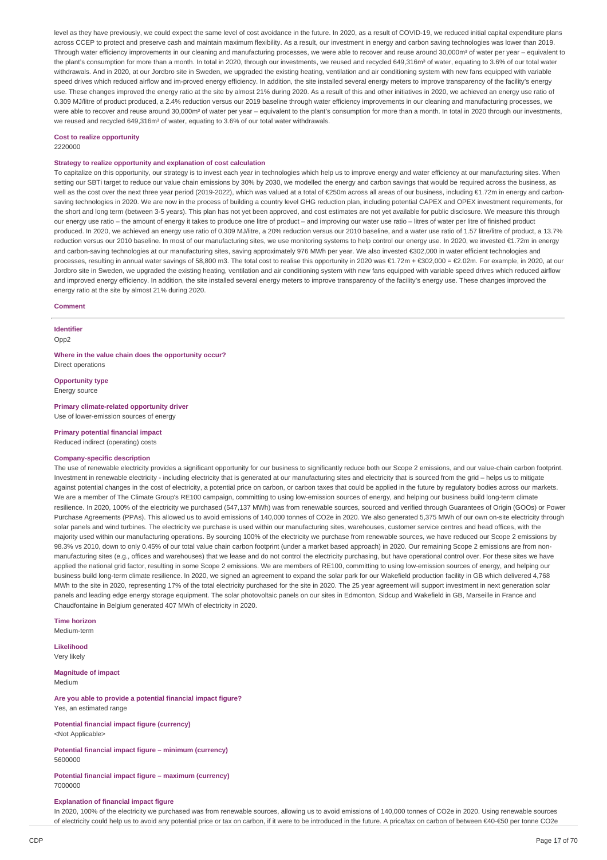level as they have previously, we could expect the same level of cost avoidance in the future. In 2020, as a result of COVID-19, we reduced initial capital expenditure plans across CCEP to protect and preserve cash and maintain maximum flexibility. As a result, our investment in energy and carbon saving technologies was lower than 2019. Through water efficiency improvements in our cleaning and manufacturing processes, we were able to recover and reuse around 30,000m<sup>3</sup> of water per year – equivalent to the plant's consumption for more than a month. In total in 2020, through our investments, we reused and recycled 649,316m<sup>3</sup> of water, equating to 3.6% of our total water withdrawals. And in 2020, at our Jordbro site in Sweden, we upgraded the existing heating, ventilation and air conditioning system with new fans equipped with variable speed drives which reduced airflow and im-proved energy efficiency. In addition, the site installed several energy meters to improve transparency of the facility's energy use. These changes improved the energy ratio at the site by almost 21% during 2020. As a result of this and other initiatives in 2020, we achieved an energy use ratio of 0.309 MJ/litre of product produced, a 2.4% reduction versus our 2019 baseline through water efficiency improvements in our cleaning and manufacturing processes, we were able to recover and reuse around 30,000m<sup>3</sup> of water per year – equivalent to the plant's consumption for more than a month. In total in 2020 through our investments, we reused and recycled 649,316m<sup>3</sup> of water, equating to 3.6% of our total water withdrawals.

### **Cost to realize opportunity**

2220000

## **Strategy to realize opportunity and explanation of cost calculation**

To capitalize on this opportunity, our strategy is to invest each year in technologies which help us to improve energy and water efficiency at our manufacturing sites. When setting our SBTi target to reduce our value chain emissions by 30% by 2030, we modelled the energy and carbon savings that would be required across the business, as well as the cost over the next three year period (2019-2022), which was valued at a total of €250m across all areas of our business, including €1.72m in energy and carbonsaving technologies in 2020. We are now in the process of building a country level GHG reduction plan, including potential CAPEX and OPEX investment requirements, for the short and long term (between 3-5 years). This plan has not yet been approved, and cost estimates are not yet available for public disclosure. We measure this through our energy use ratio – the amount of energy it takes to produce one litre of product – and improving our water use ratio – litres of water per litre of finished product produced. In 2020, we achieved an energy use ratio of 0.309 MJ/litre, a 20% reduction versus our 2010 baseline, and a water use ratio of 1.57 litre/litre of product, a 13.7% reduction versus our 2010 baseline. In most of our manufacturing sites, we use monitoring systems to help control our energy use. In 2020, we invested €1.72m in energy and carbon-saving technologies at our manufacturing sites, saving approximately 976 MWh per year. We also invested €302,000 in water efficient technologies and processes, resulting in annual water savings of 58,800 m3. The total cost to realise this opportunity in 2020 was €1.72m + €302,000 = €2.02m. For example, in 2020, at our Jordbro site in Sweden, we upgraded the existing heating, ventilation and air conditioning system with new fans equipped with variable speed drives which reduced airflow and improved energy efficiency. In addition, the site installed several energy meters to improve transparency of the facility's energy use. These changes improved the energy ratio at the site by almost 21% during 2020.

## **Comment**

**Identifier** Opp<sub>2</sub>

**Where in the value chain does the opportunity occur?** Direct operations

# **Opportunity type**

Energy source

# **Primary climate-related opportunity driver**

Use of lower-emission sources of energy

**Primary potential financial impact** Reduced indirect (operating) costs

#### **Company-specific description**

The use of renewable electricity provides a significant opportunity for our business to significantly reduce both our Scope 2 emissions, and our value-chain carbon footprint. Investment in renewable electricity - including electricity that is generated at our manufacturing sites and electricity that is sourced from the grid - helps us to mitigate against potential changes in the cost of electricity, a potential price on carbon, or carbon taxes that could be applied in the future by regulatory bodies across our markets. We are a member of The Climate Group's RE100 campaign, committing to using low-emission sources of energy, and helping our business build long-term climate resilience. In 2020, 100% of the electricity we purchased (547,137 MWh) was from renewable sources, sourced and verified through Guarantees of Origin (GOOs) or Power Purchase Agreements (PPAs). This allowed us to avoid emissions of 140,000 tonnes of CO2e in 2020. We also generated 5,375 MWh of our own on-site electricity through solar panels and wind turbines. The electricity we purchase is used within our manufacturing sites, warehouses, customer service centres and head offices, with the majority used within our manufacturing operations. By sourcing 100% of the electricity we purchase from renewable sources, we have reduced our Scope 2 emissions by 98.3% vs 2010, down to only 0.45% of our total value chain carbon footprint (under a market based approach) in 2020. Our remaining Scope 2 emissions are from nonmanufacturing sites (e.g., offices and warehouses) that we lease and do not control the electricity purchasing, but have operational control over. For these sites we have applied the national grid factor, resulting in some Scope 2 emissions. We are members of RE100, committing to using low-emission sources of energy, and helping our business build long-term climate resilience. In 2020, we signed an agreement to expand the solar park for our Wakefield production facility in GB which delivered 4,768 MWh to the site in 2020, representing 17% of the total electricity purchased for the site in 2020. The 25 year agreement will support investment in next generation solar panels and leading edge energy storage equipment. The solar photovoltaic panels on our sites in Edmonton, Sidcup and Wakefield in GB, Marseille in France and Chaudfontaine in Belgium generated 407 MWh of electricity in 2020.

### **Time horizon**

Medium-term

**Likelihood** Very likely

# **Magnitude of impact**

Medium

### **Are you able to provide a potential financial impact figure?** Yes, an estimated range

**Potential financial impact figure (currency)** <Not Applicable>

**Potential financial impact figure – minimum (currency)** 5600000

### **Potential financial impact figure – maximum (currency)** 7000000

### **Explanation of financial impact figure**

In 2020, 100% of the electricity we purchased was from renewable sources, allowing us to avoid emissions of 140,000 tonnes of CO2e in 2020. Using renewable sources of electricity could help us to avoid any potential price or tax on carbon, if it were to be introduced in the future. A price/tax on carbon of between €40-€50 per tonne CO2e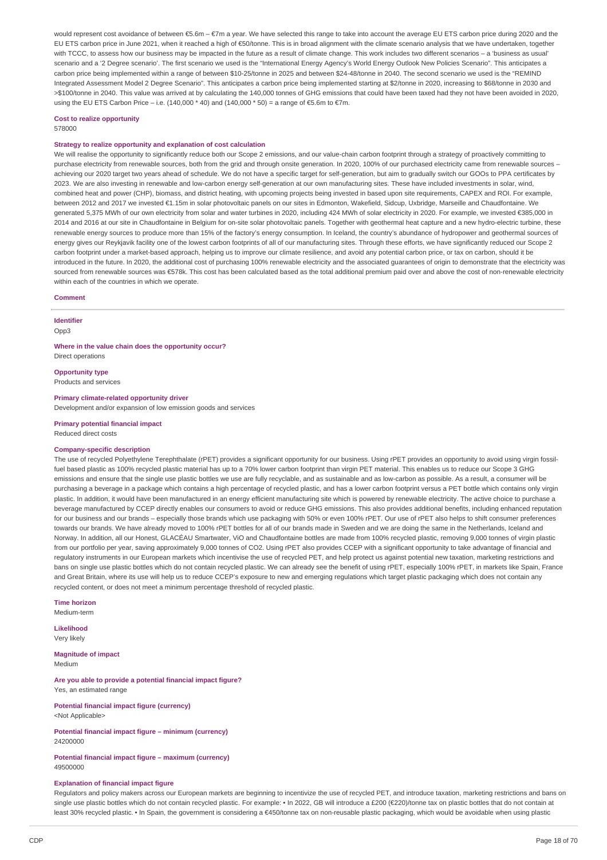would represent cost avoidance of between €5.6m - €7m a year. We have selected this range to take into account the average EU ETS carbon price during 2020 and the EU ETS carbon price in June 2021, when it reached a high of €50/tonne. This is in broad alignment with the climate scenario analysis that we have undertaken, together with TCCC, to assess how our business may be impacted in the future as a result of climate change. This work includes two different scenarios – a 'business as usual' scenario and a '2 Degree scenario'. The first scenario we used is the "International Energy Agency's World Energy Outlook New Policies Scenario". This anticipates a carbon price being implemented within a range of between \$10-25/tonne in 2025 and between \$24-48/tonne in 2040. The second scenario we used is the "REMIND Integrated Assessment Model 2 Degree Scenario". This anticipates a carbon price being implemented starting at \$2/tonne in 2020, increasing to \$68/tonne in 2030 and >\$100/tonne in 2040. This value was arrived at by calculating the 140,000 tonnes of GHG emissions that could have been taxed had they not have been avoided in 2020, using the EU ETS Carbon Price – i.e. (140,000  $*$  40) and (140,000  $*$  50) = a range of €5.6m to €7m.

## **Cost to realize opportunity**

578000

## **Strategy to realize opportunity and explanation of cost calculation**

We will realise the opportunity to significantly reduce both our Scope 2 emissions, and our value-chain carbon footprint through a strategy of proactively committing to purchase electricity from renewable sources, both from the grid and through onsite generation. In 2020, 100% of our purchased electricity came from renewable sources – achieving our 2020 target two years ahead of schedule. We do not have a specific target for self-generation, but aim to gradually switch our GOOs to PPA certificates by 2023. We are also investing in renewable and low-carbon energy self-generation at our own manufacturing sites. These have included investments in solar, wind, combined heat and power (CHP), biomass, and district heating, with upcoming projects being invested in based upon site requirements, CAPEX and ROI. For example, between 2012 and 2017 we invested €1.15m in solar photovoltaic panels on our sites in Edmonton, Wakefield, Sidcup, Uxbridge, Marseille and Chaudfontaine. We generated 5,375 MWh of our own electricity from solar and water turbines in 2020, including 424 MWh of solar electricity in 2020. For example, we invested €385,000 in 2014 and 2016 at our site in Chaudfontaine in Belgium for on-site solar photovoltaic panels. Together with geothermal heat capture and a new hydro-electric turbine, these renewable energy sources to produce more than 15% of the factory's energy consumption. In Iceland, the country's abundance of hydropower and geothermal sources of energy gives our Reykjavik facility one of the lowest carbon footprints of all of our manufacturing sites. Through these efforts, we have significantly reduced our Scope 2 carbon footprint under a market-based approach, helping us to improve our climate resilience, and avoid any potential carbon price, or tax on carbon, should it be introduced in the future. In 2020, the additional cost of purchasing 100% renewable electricity and the associated guarantees of origin to demonstrate that the electricity was sourced from renewable sources was €578k. This cost has been calculated based as the total additional premium paid over and above the cost of non-renewable electricity within each of the countries in which we operate.

### **Comment**

**Identifier** Opp3

**Where in the value chain does the opportunity occur?** Direct operations

**Opportunity type** Products and services

**Primary climate-related opportunity driver** Development and/or expansion of low emission goods and services

**Primary potential financial impact**

Reduced direct costs

### **Company-specific description**

The use of recycled Polyethylene Terephthalate (rPET) provides a significant opportunity for our business. Using rPET provides an opportunity to avoid using virgin fossilfuel based plastic as 100% recycled plastic material has up to a 70% lower carbon footprint than virgin PET material. This enables us to reduce our Scope 3 GHG emissions and ensure that the single use plastic bottles we use are fully recyclable, and as sustainable and as low-carbon as possible. As a result, a consumer will be purchasing a beverage in a package which contains a high percentage of recycled plastic, and has a lower carbon footprint versus a PET bottle which contains only virgin plastic. In addition, it would have been manufactured in an energy efficient manufacturing site which is powered by renewable electricity. The active choice to purchase a beverage manufactured by CCEP directly enables our consumers to avoid or reduce GHG emissions. This also provides additional benefits, including enhanced reputation for our business and our brands – especially those brands which use packaging with 50% or even 100% rPET. Our use of rPET also helps to shift consumer preferences towards our brands. We have already moved to 100% rPET bottles for all of our brands made in Sweden and we are doing the same in the Netherlands, Iceland and Norway. In addition, all our Honest, GLACÉAU Smartwater, ViO and Chaudfontaine bottles are made from 100% recycled plastic, removing 9,000 tonnes of virgin plastic from our portfolio per year, saving approximately 9,000 tonnes of CO2. Using rPET also provides CCEP with a significant opportunity to take advantage of financial and regulatory instruments in our European markets which incentivise the use of recycled PET, and help protect us against potential new taxation, marketing restrictions and bans on single use plastic bottles which do not contain recycled plastic. We can already see the benefit of using rPET, especially 100% rPET, in markets like Spain, France and Great Britain, where its use will help us to reduce CCEP's exposure to new and emerging regulations which target plastic packaging which does not contain any recycled content, or does not meet a minimum percentage threshold of recycled plastic.

**Time horizon**

Medium-term

**Likelihood** Very likely

**Magnitude of impact** Medium

**Are you able to provide a potential financial impact figure?** Yes, an estimated range

**Potential financial impact figure (currency)** <Not Applicable>

**Potential financial impact figure – minimum (currency)** 24200000

**Potential financial impact figure – maximum (currency)** 49500000

### **Explanation of financial impact figure**

Regulators and policy makers across our European markets are beginning to incentivize the use of recycled PET, and introduce taxation, marketing restrictions and bans on single use plastic bottles which do not contain recycled plastic. For example: • In 2022, GB will introduce a £200 (€220)/tonne tax on plastic bottles that do not contain at least 30% recycled plastic. • In Spain, the government is considering a €450/tonne tax on non-reusable plastic packaging, which would be avoidable when using plastic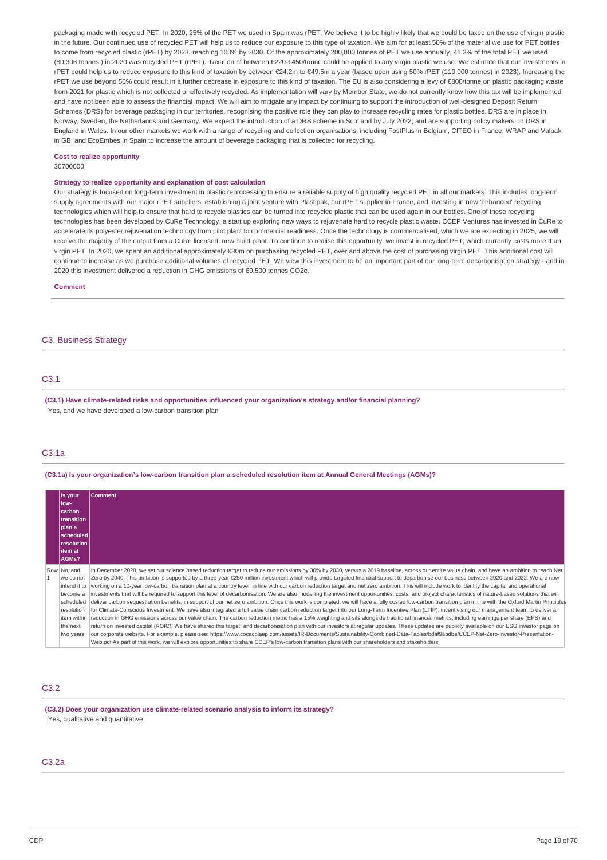packaging made with recycled PET. In 2020, 25% of the PET we used in Spain was rPET. We believe it to be highly likely that we could be taxed on the use of virgin plastic in the future. Our continued use of recycled PET will help us to reduce our exposure to this type of taxation. We aim for at least 50% of the material we use for PET bottles to come from recycled plastic (rPET) by 2023, reaching 100% by 2030. Of the approximately 200,000 tonnes of PET we use annually, 41.3% of the total PET we used (80,306 tonnes ) in 2020 was recycled PET (rPET). Taxation of between €220-€450/tonne could be applied to any virgin plastic we use. We estimate that our investments in rPET could help us to reduce exposure to this kind of taxation by between €24.2m to €49.5m a year (based upon using 50% rPET (110,000 tonnes) in 2023). Increasing the rPET we use beyond 50% could result in a further decrease in exposure to this kind of taxation. The EU is also considering a levy of €800/tonne on plastic packaging waste from 2021 for plastic which is not collected or effectively recycled. As implementation will vary by Member State, we do not currently know how this tax will be implemented and have not been able to assess the financial impact. We will aim to mitigate any impact by continuing to support the introduction of well-designed Deposit Return Schemes (DRS) for beverage packaging in our territories, recognising the positive role they can play to increase recycling rates for plastic bottles. DRS are in place in Norway, Sweden, the Netherlands and Germany. We expect the introduction of a DRS scheme in Scotland by July 2022, and are supporting policy makers on DRS in England in Wales. In our other markets we work with a range of recycling and collection organisations, including FostPlus in Belgium, CITEO in France, WRAP and Valpak in GB, and EcoEmbes in Spain to increase the amount of beverage packaging that is collected for recycling.

## **Cost to realize opportunity**

30700000

### **Strategy to realize opportunity and explanation of cost calculation**

Our strategy is focused on long-term investment in plastic reprocessing to ensure a reliable supply of high quality recycled PET in all our markets. This includes long-term supply agreements with our major rPET suppliers, establishing a joint venture with Plastipak, our rPET supplier in France, and investing in new 'enhanced' recycling technologies which will help to ensure that hard to recycle plastics can be turned into recycled plastic that can be used again in our bottles. One of these recycling technologies has been developed by CuRe Technology, a start up exploring new ways to rejuvenate hard to recycle plastic waste. CCEP Ventures has invested in CuRe to accelerate its polyester rejuvenation technology from pilot plant to commercial readiness. Once the technology is commercialised, which we are expecting in 2025, we will receive the majority of the output from a CuRe licensed, new build plant. To continue to realise this opportunity, we invest in recycled PET, which currently costs more than virgin PET. In 2020, we spent an additional approximately €30m on purchasing recycled PET, over and above the cost of purchasing virgin PET. This additional cost will continue to increase as we purchase additional volumes of recycled PET. We view this investment to be an important part of our long-term decarbonisation strategy - and in 2020 this investment delivered a reduction in GHG emissions of 69,500 tonnes CO2e.

**Comment**

## C3. Business Strategy

## C3.1

**(C3.1) Have climate-related risks and opportunities influenced your organization's strategy and/or financial planning?** Yes, and we have developed a low-carbon transition plan

## C3.1a

(C3.1a) Is your organization's low-carbon transition plan a scheduled resolution item at Annual General Meetings (AGMs)?

| Is your<br>llow-<br>  carbon <br><b>transition</b><br> plan a<br> scheduled <br>resolution                              | <b>Comment</b>                                                                                                                                                                                                                                                                                                                                                                                                                                                                                                                                                                                                                                                                                                                                                                                                                                                                                                                                                                                                                                                                                                                                                                                                                                                                                                                                                                                                                                                                                                                                                                                                                                                                                                                                                                                                                                                                                                                                                        |
|-------------------------------------------------------------------------------------------------------------------------|-----------------------------------------------------------------------------------------------------------------------------------------------------------------------------------------------------------------------------------------------------------------------------------------------------------------------------------------------------------------------------------------------------------------------------------------------------------------------------------------------------------------------------------------------------------------------------------------------------------------------------------------------------------------------------------------------------------------------------------------------------------------------------------------------------------------------------------------------------------------------------------------------------------------------------------------------------------------------------------------------------------------------------------------------------------------------------------------------------------------------------------------------------------------------------------------------------------------------------------------------------------------------------------------------------------------------------------------------------------------------------------------------------------------------------------------------------------------------------------------------------------------------------------------------------------------------------------------------------------------------------------------------------------------------------------------------------------------------------------------------------------------------------------------------------------------------------------------------------------------------------------------------------------------------------------------------------------------------|
| litem at<br>AGMs?                                                                                                       |                                                                                                                                                                                                                                                                                                                                                                                                                                                                                                                                                                                                                                                                                                                                                                                                                                                                                                                                                                                                                                                                                                                                                                                                                                                                                                                                                                                                                                                                                                                                                                                                                                                                                                                                                                                                                                                                                                                                                                       |
| Row No, and<br>we do not<br>intend it to<br>become a<br>scheduled<br>resolution<br>item within<br>the next<br>two years | In December 2020, we set our science based reduction target to reduce our emissions by 30% by 2030, versus a 2019 baseline, across our entire value chain, and have an ambition to reach Net<br>Zero by 2040. This ambition is supported by a three-year €250 million investment which will provide targeted financial support to decarbonise our business between 2020 and 2022. We are now<br>working on a 10-year low-carbon transition plan at a country level, in line with our carbon reduction target and net zero ambition. This will include work to identify the capital and operational<br>investments that will be required to support this level of decarbonisation. We are also modelling the investment opportunities, costs, and project characteristics of nature-based solutions that will<br>deliver carbon sequestration benefits, in support of our net zero ambition. Once this work is completed, we will have a fully costed low-carbon transition plan in line with the Oxford Martin Principles<br>for Climate-Conscious Investment. We have also integrated a full value chain carbon reduction target into our Long-Term Incentive Plan (LTIP), incentivising our management team to deliver a<br>reduction in GHG emissions across our value chain. The carbon reduction metric has a 15% weighting and sits alongside traditional financial metrics, including earnings per share (EPS) and<br>return on invested capital (ROIC). We have shared this target, and decarbonisation plan with our investors at regular updates. These updates are publicly available on our ESG investor page on<br>our corporate website. For example, please see: https://www.cocacolaep.com/assets/IR-Documents/Sustainability-Combined-Data-Tables/bdaf9abdbe/CCEP-Net-Zero-Investor-Presentation-<br>Web.pdf As part of this work, we will explore opportunities to share CCEP's low-carbon transition plans with our shareholders and stakeholders. |

## C3.2

**(C3.2) Does your organization use climate-related scenario analysis to inform its strategy?** Yes, qualitative and quantitative

### C3.2a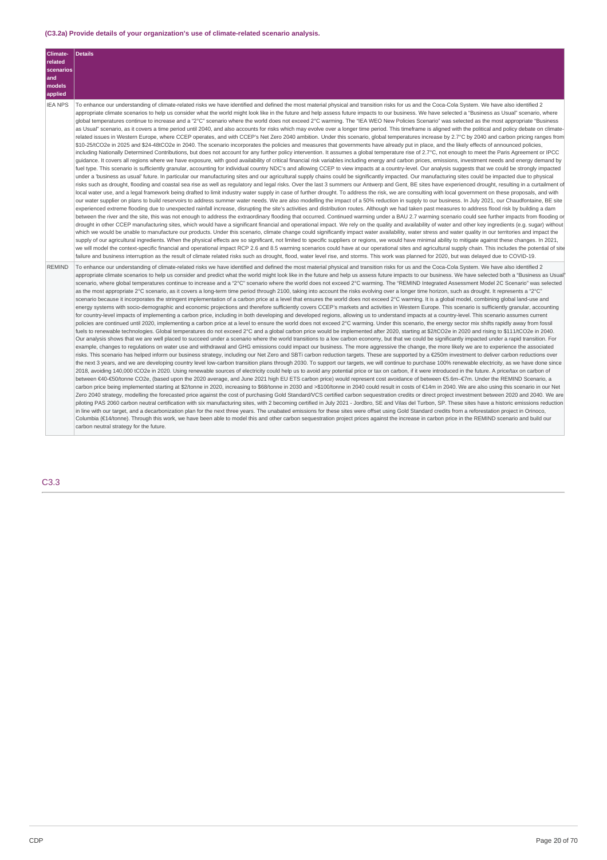## **(C3.2a) Provide details of your organization's use of climate-related scenario analysis.**

| Climate-<br>related<br>scenarios<br>and<br>models<br>applied | <b>Details</b>                                                                                                                                                                                                                                                                                                                                                                                                                                                                                                                                                                                                                                                                                                                                                                                                                                                                                                                                                                                                                                                                                                                                                                                                                                                                                                                                                                                                                                                                                                                                                                                                                                                                                                                                                                                                                                                                                                                                                                                                                                                                                                                                                                                                                                                                                                                                                                                                                                                                                                                                                                                                                                                                                                                                                                                                                                                                                                                                                                                                                                                                                                                                                                                                                                                                                                                                                                                                                                                                                                                                                                                                                                                                                                                                                                                                                                                                                                                                                                                                                                                                                                                                                                                          |
|--------------------------------------------------------------|---------------------------------------------------------------------------------------------------------------------------------------------------------------------------------------------------------------------------------------------------------------------------------------------------------------------------------------------------------------------------------------------------------------------------------------------------------------------------------------------------------------------------------------------------------------------------------------------------------------------------------------------------------------------------------------------------------------------------------------------------------------------------------------------------------------------------------------------------------------------------------------------------------------------------------------------------------------------------------------------------------------------------------------------------------------------------------------------------------------------------------------------------------------------------------------------------------------------------------------------------------------------------------------------------------------------------------------------------------------------------------------------------------------------------------------------------------------------------------------------------------------------------------------------------------------------------------------------------------------------------------------------------------------------------------------------------------------------------------------------------------------------------------------------------------------------------------------------------------------------------------------------------------------------------------------------------------------------------------------------------------------------------------------------------------------------------------------------------------------------------------------------------------------------------------------------------------------------------------------------------------------------------------------------------------------------------------------------------------------------------------------------------------------------------------------------------------------------------------------------------------------------------------------------------------------------------------------------------------------------------------------------------------------------------------------------------------------------------------------------------------------------------------------------------------------------------------------------------------------------------------------------------------------------------------------------------------------------------------------------------------------------------------------------------------------------------------------------------------------------------------------------------------------------------------------------------------------------------------------------------------------------------------------------------------------------------------------------------------------------------------------------------------------------------------------------------------------------------------------------------------------------------------------------------------------------------------------------------------------------------------------------------------------------------------------------------------------------------------------------------------------------------------------------------------------------------------------------------------------------------------------------------------------------------------------------------------------------------------------------------------------------------------------------------------------------------------------------------------------------------------------------------------------------------------------------------------|
| <b>IEA NPS</b>                                               | To enhance our understanding of climate-related risks we have identified and defined the most material physical and transition risks for us and the Coca-Cola System. We have also identified 2<br>appropriate climate scenarios to help us consider what the world might look like in the future and help assess future impacts to our business. We have selected a "Business as Usual" scenario, where<br>qlobal temperatures continue to increase and a "2°C" scenario where the world does not exceed 2°C warming. The "IEA WEO New Policies Scenario" was selected as the most appropriate "Business<br>as Usual" scenario, as it covers a time period until 2040, and also accounts for risks which may evolve over a longer time period. This timeframe is aligned with the political and policy debate on climate-<br>related issues in Western Europe, where CCEP operates, and with CCEP's Net Zero 2040 ambition. Under this scenario, global temperatures increase by 2.7°C by 2040 and carbon pricing ranges from<br>\$10-25/tCO2e in 2025 and \$24-48tCO2e in 2040. The scenario incorporates the policies and measures that governments have already put in place, and the likely effects of announced policies,<br>including Nationally Determined Contributions, but does not account for any further policy intervention. It assumes a global temperature rise of 2.7°C, not enough to meet the Paris Agreement or IPCC<br>quidance. It covers all regions where we have exposure, with good availability of critical financial risk variables including energy and carbon prices, emissions, investment needs and energy demand by<br>fuel type. This scenario is sufficiently granular, accounting for individual country NDC's and allowing CCEP to view impacts at a country-level. Our analysis suggests that we could be strongly impacted<br>under a 'business as usual' future. In particular our manufacturing sites and our agricultural supply chains could be significantly impacted. Our manufacturing sites could be impacted due to physical<br>risks such as drought, flooding and coastal sea rise as well as regulatory and legal risks. Over the last 3 summers our Antwerp and Gent, BE sites have experienced drought, resulting in a curtailment of<br>local water use, and a legal framework being drafted to limit industry water supply in case of further drought. To address the risk, we are consulting with local government on these proposals, and with<br>our water supplier on plans to build reservoirs to address summer water needs. We are also modelling the impact of a 50% reduction in supply to our business. In July 2021, our Chaudfontaine, BE site<br>experienced extreme flooding due to unexpected rainfall increase, disrupting the site's activities and distribution routes. Although we had taken past measures to address flood risk by building a dam<br>between the river and the site, this was not enough to address the extraordinary flooding that occurred. Continued warming under a BAU 2.7 warming scenario could see further impacts from flooding or<br>drought in other CCEP manufacturing sites, which would have a significant financial and operational impact. We rely on the quality and availability of water and other key ingredients (e.g. sugar) without<br>which we would be unable to manufacture our products. Under this scenario, climate change could significantly impact water availability, water stress and water quality in our territories and impact the<br>supply of our agricultural ingredients. When the physical effects are so significant, not limited to specific suppliers or regions, we would have minimal ability to mitigate against these changes. In 2021,<br>we will model the context-specific financial and operational impact RCP 2.6 and 8.5 warming scenarios could have at our operational sites and agricultural supply chain. This includes the potential of site<br>failure and business interruption as the result of climate related risks such as drought, flood, water level rise, and storms. This work was planned for 2020, but was delayed due to COVID-19. |
| <b>REMIND</b>                                                | To enhance our understanding of climate-related risks we have identified and defined the most material physical and transition risks for us and the Coca-Cola System. We have also identified 2<br>appropriate climate scenarios to help us consider and predict what the world might look like in the future and help us assess future impacts to our business. We have selected both a "Business as Usual"<br>scenario, where global temperatures continue to increase and a "2°C" scenario where the world does not exceed 2°C warming. The "REMIND Integrated Assessment Model 2C Scenario" was selected<br>as the most appropriate 2°C scenario, as it covers a long-term time period through 2100, taking into account the risks evolving over a longer time horizon, such as drought. It represents a "2°C"<br>scenario because it incorporates the stringent implementation of a carbon price at a level that ensures the world does not exceed 2°C warming. It is a global model, combining global land-use and<br>energy systems with socio-demographic and economic projections and therefore sufficiently covers CCEP's markets and activities in Western Europe. This scenario is sufficiently granular, accounting<br>for country-level impacts of implementing a carbon price, including in both developing and developed regions, allowing us to understand impacts at a country-level. This scenario assumes current<br>policies are continued until 2020, implementing a carbon price at a level to ensure the world does not exceed 2°C warming. Under this scenario, the energy sector mix shifts rapidly away from fossil<br>fuels to renewable technologies. Global temperatures do not exceed 2°C and a global carbon price would be implemented after 2020, starting at \$2/tCO2e in 2020 and rising to \$111/tCO2e in 2040.<br>Our analysis shows that we are well placed to succeed under a scenario where the world transitions to a low carbon economy, but that we could be significantly impacted under a rapid transition. For<br>example, changes to requlations on water use and withdrawal and GHG emissions could impact our business. The more aggressive the change, the more likely we are to experience the associated<br>risks. This scenario has helped inform our business strategy, including our Net Zero and SBTi carbon reduction targets. These are supported by a €250m investment to deliver carbon reductions over<br>the next 3 years, and we are developing country level low-carbon transition plans through 2030. To support our targets, we will continue to purchase 100% renewable electricity, as we have done since<br>2018, avoiding 140,000 tCO2e in 2020. Using renewable sources of electricity could help us to avoid any potential price or tax on carbon, if it were introduced in the future. A price/tax on carbon of<br>between €40-€50/tonne CO2e, (based upon the 2020 average, and June 2021 high EU ETS carbon price) would represent cost avoidance of between €5.6m–€7m. Under the REMIND Scenario, a<br>carbon price being implemented starting at \$2/tonne in 2020, increasing to \$68/tonne in 2030 and >\$100/tonne in 2040 could result in costs of €14m in 2040. We are also using this scenario in our Net<br>Zero 2040 strategy, modelling the forecasted price against the cost of purchasing Gold Standard/VCS certified carbon sequestration credits or direct project investment between 2020 and 2040. We are<br>piloting PAS 2060 carbon neutral certification with six manufacturing sites, with 2 becoming certified in July 2021 - Jordbro, SE and Vilas del Turbon, SP. These sites have a historic emissions reduction<br>in line with our target, and a decarbonization plan for the next three years. The unabated emissions for these sites were offset using Gold Standard credits from a reforestation project in Orinoco,<br>Columbia (€14/tonne). Through this work, we have been able to model this and other carbon sequestration project prices against the increase in carbon price in the REMIND scenario and build our<br>carbon neutral strategy for the future.                           |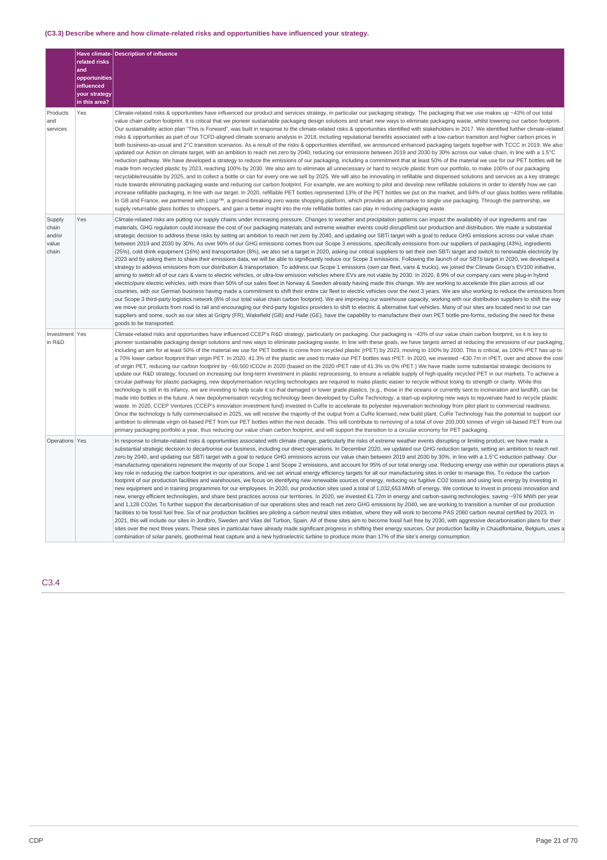# **(C3.3) Describe where and how climate-related risks and opportunities have influenced your strategy.**

|                                             | related risks                      | Have climate-Description of influence                                                                                                                                                                                                                                                                                                                                                                                                                                                                                                                                                                                                                                                                                                                                                                                                                                                                                                                                                                                                                                                                                                                                                                                                                                                                                                                                                                                                                                                                                                                                                                                                                                                                                                                                                                                                                                                                                                                                                                                                                                                                                                                                                                                                                                                                                                                                                                                                                                                                                     |  |  |  |  |
|---------------------------------------------|------------------------------------|---------------------------------------------------------------------------------------------------------------------------------------------------------------------------------------------------------------------------------------------------------------------------------------------------------------------------------------------------------------------------------------------------------------------------------------------------------------------------------------------------------------------------------------------------------------------------------------------------------------------------------------------------------------------------------------------------------------------------------------------------------------------------------------------------------------------------------------------------------------------------------------------------------------------------------------------------------------------------------------------------------------------------------------------------------------------------------------------------------------------------------------------------------------------------------------------------------------------------------------------------------------------------------------------------------------------------------------------------------------------------------------------------------------------------------------------------------------------------------------------------------------------------------------------------------------------------------------------------------------------------------------------------------------------------------------------------------------------------------------------------------------------------------------------------------------------------------------------------------------------------------------------------------------------------------------------------------------------------------------------------------------------------------------------------------------------------------------------------------------------------------------------------------------------------------------------------------------------------------------------------------------------------------------------------------------------------------------------------------------------------------------------------------------------------------------------------------------------------------------------------------------------------|--|--|--|--|
|                                             | and<br>opportunities<br>influenced |                                                                                                                                                                                                                                                                                                                                                                                                                                                                                                                                                                                                                                                                                                                                                                                                                                                                                                                                                                                                                                                                                                                                                                                                                                                                                                                                                                                                                                                                                                                                                                                                                                                                                                                                                                                                                                                                                                                                                                                                                                                                                                                                                                                                                                                                                                                                                                                                                                                                                                                           |  |  |  |  |
|                                             | your strategy<br>in this area?     |                                                                                                                                                                                                                                                                                                                                                                                                                                                                                                                                                                                                                                                                                                                                                                                                                                                                                                                                                                                                                                                                                                                                                                                                                                                                                                                                                                                                                                                                                                                                                                                                                                                                                                                                                                                                                                                                                                                                                                                                                                                                                                                                                                                                                                                                                                                                                                                                                                                                                                                           |  |  |  |  |
| Products<br>and<br>services                 | Yes                                | Climate-related risks & opportunities have influenced our product and services strategy, in particular our packaging strategy. The packaging that we use makes up ~43% of our total<br>value chain carbon footprint. It is critical that we pioneer sustainable packaging design solutions and smart new ways to eliminate packaging waste, whilst lowering our carbon footprint.<br>Our sustainability action plan "This is Forward", was built in response to the climate-related risks & opportunities identified with stakeholders in 2017. We identified further climate-related<br>risks & opportunities as part of our TCFD-aligned climate scenario analysis in 2018, including reputational benefits associated with a low-carbon transition and higher carbon prices in<br>both business-as-usual and 2°C transition scenarios. As a result of the risks & opportunities identified, we announced enhanced packaging targets together with TCCC in 2019. We also<br>updated our Action on climate target, with an ambition to reach net zero by 2040, reducing our emissions between 2019 and 2030 by 30% across our value chain, in line with a 1.5℃<br>reduction pathway. We have developed a strategy to reduce the emissions of our packaging, including a commitment that at least 50% of the material we use for our PET bottles will be<br>made from recycled plastic by 2023, reaching 100% by 2030. We also aim to eliminate all unnecessary or hard to recycle plastic from our portfolio, to make 100% of our packaging<br>recyclable/reusable by 2025, and to collect a bottle or can for every one we sell by 2025. We will also be innovating in refillable and dispensed solutions and services as a key strategic<br>route towards eliminating packaging waste and reducing our carbon footprint. For example, we are working to pilot and develop new refillable solutions in order to identify how we can<br>increase refillable packaging, in line with our target. In 2020, refillable PET bottles represented 13% of the PET bottles we put on the market, and 84% of our glass bottles were refillable.<br>In GB and France, we partnered with Loop™, a ground-breaking zero waste shopping platform, which provides an alternative to single use packaging. Through the partnership, we<br>supply returnable glass bottles to shoppers, and gain a better insight into the role refillable bottles can play in reducing packaging waste.                                                 |  |  |  |  |
| Supply<br>chain<br>and/or<br>value<br>chain | Yes                                | Climate-related risks are putting our supply chains under increasing pressure. Changes to weather and precipitation patterns can impact the availability of our ingredients and raw<br>materials, GHG regulation could increase the cost of our packaging materials and extreme weather events could disrupt/limit our production and distribution. We made a substantial<br>strategic decision to address these risks by setting an ambition to reach net zero by 2040, and updating our SBTi target with a goal to reduce GHG emissions across our value chain<br>between 2019 and 2030 by 30%. As over 90% of our GHG emissions comes from our Scope 3 emissions, specifically emissions from our suppliers of packaging (43%), ingredients<br>(25%), cold drink equipment (16%) and transportation (8%), we also set a target in 2020, asking our critical suppliers to set their own SBTi target and switch to renewable electricity by<br>2023 and by asking them to share their emissions data, we will be able to significantly reduce our Scope 3 emissions. Following the launch of our SBTti target in 2020, we developed a<br>strategy to address emissions from our distribution & transportation. To address our Scope 1 emissions (own car fleet, vans & trucks), we joined the Climate Group's EV100 initiative,<br>aiming to switch all of our cars & vans to electric vehicles, or ultra-low emission vehicles where EVs are not viable by 2030. In 2020, 8.9% of our company cars were plug-in hybrid<br>electric/pure electric vehicles, with more than 50% of our sales fleet in Norway & Sweden already having made this change. We are working to accelerate this plan across all our<br>countries, with our German business having made a commitment to shift their entire car fleet to electric vehicles over the next 3 years. We are also working to reduce the emissions from<br>our Scope 3 third-party logistics network (8% of our total value chain carbon footprint). We are improving our warehouse capacity, working with our distribution suppliers to shift the way<br>we move our products from road to rail and encouraging our third-party logistics providers to shift to electric & alternative fuel vehicles. Many of our sites are located next to our can<br>suppliers and some, such as our sites at Grigny (FR), Wakefield (GB) and Halle (GE), have the capability to manufacture their own PET bottle pre-forms, reducing the need for these<br>goods to be transported. |  |  |  |  |
| Investment Yes<br>in R&D                    |                                    | Climate-related risks and opportunities have influenced CCEP's R&D strategy, particularly on packaging. Our packaging is ~43% of our value chain carbon footprint, so it is key to<br>pioneer sustainable packaging design solutions and new ways to eliminate packaging waste. In line with these goals, we have targets aimed at reducing the emissions of our packaging,<br>including an aim for at least 50% of the material we use for PET bottles to come from recycled plastic (rPET) by 2023, moving to 100% by 2030. This is critical, as 100% rPET has up to<br>a 70% lower carbon footprint than virgin PET. In 2020, 41.3% of the plastic we used to make our PET bottles was rPET. In 2020, we invested ~€30.7m in rPET, over and above the cost<br>of virgin PET, reducing our carbon footprint by ~69,500 tCO2e in 2020 (based on the 2020 rPET rate of 41.3% vs 0% rPET.) We have made some substantial strategic decisions to<br>update our R&D strategy, focused on increasing our long-term investment in plastic reprocessing, to ensure a reliable supply of high-quality recycled PET in our markets. To achieve a<br>circular pathway for plastic packaging, new depolymerisation recycling technologies are required to make plastic easier to recycle without losing its strength or clarity. While this<br>technology is still in its infancy, we are investing to help scale it so that damaged or lower grade plastics, (e.g., those in the oceans or currently sent to incineration and landfill), can be<br>made into bottles in the future. A new depolymerisation recycling technology been developed by CuRe Technology, a start-up exploring new ways to rejuvenate hard to recycle plastic<br>waste. In 2020, CCEP Ventures (CCEP's innovation investment fund) invested in CuRe to accelerate its polyester rejuvenation technology from pilot plant to commercial readiness.<br>Once the technology is fully commercialised in 2025, we will receive the majority of the output from a CuRe licensed, new build plant. CuRe Technology has the potential to support our<br>ambition to eliminate virgin oil-based PET from our PET bottles within the next decade. This will contribute to removing of a total of over 200,000 tonnes of virgin oil-based PET from our<br>primary packaging portfolio a year, thus reducing our value chain carbon footprint, and will support the transition to a circular economy for PET packaging.                                               |  |  |  |  |
| Operations Yes                              |                                    | In response to climate-related risks & opportunities associated with climate change, particularly the risks of extreme weather events disrupting or limiting product, we have made a<br>substantial strategic decision to decarbonise our business, including our direct operations. In December 2020, we updated our GHG reduction targets, setting an ambition to reach net<br>zero by 2040, and updating our SBTi target with a goal to reduce GHG emissions across our value chain between 2019 and 2030 by 30%, in line with a 1.5°C reduction pathway. Our<br>manufacturing operations represent the majority of our Scope 1 and Scope 2 emissions, and account for 95% of our total energy use. Reducing energy use within our operations plays a<br>key role in reducing the carbon footprint in our operations, and we set annual energy efficiency targets for all our manufacturing sites in order to manage this. To reduce the carbon<br>footprint of our production facilities and warehouses, we focus on identifying new renewable sources of energy, reducing our fugitive CO2 losses and using less energy by investing in<br>new equipment and in training programmes for our employees. In 2020, our production sites used a total of 1,032,653 MWh of energy. We continue to invest in process innovation and<br>new, energy efficient technologies, and share best practices across our territories. In 2020, we invested €1.72m in energy and carbon-saving technologies, saving ~976 MWh per year<br>and 1,128 CO2et. To further support the decarbonisation of our operations sites and reach net zero GHG emissions by 2040, we are working to transition a number of our production<br>facilities to be fossil fuel free. Six of our production facilities are piloting a carbon neutral sites initiative, where they will work to become PAS 2060 carbon neutral certified by 2023. In<br>2021, this will include our sites in Jordbro, Sweden and Vilas del Turbon, Spain. All of these sites aim to become fossil fuel free by 2030, with aggressive decarbonisation plans for their<br>sites over the next three years. These sites in particular have already made significant progress in shifting their energy sources. Our production facility in Chaudfontaine, Belgium, uses a<br>combination of solar panels, geothermal heat capture and a new hydroelectric turbine to produce more than 17% of the site's energy consumption.                                                    |  |  |  |  |

# C3.4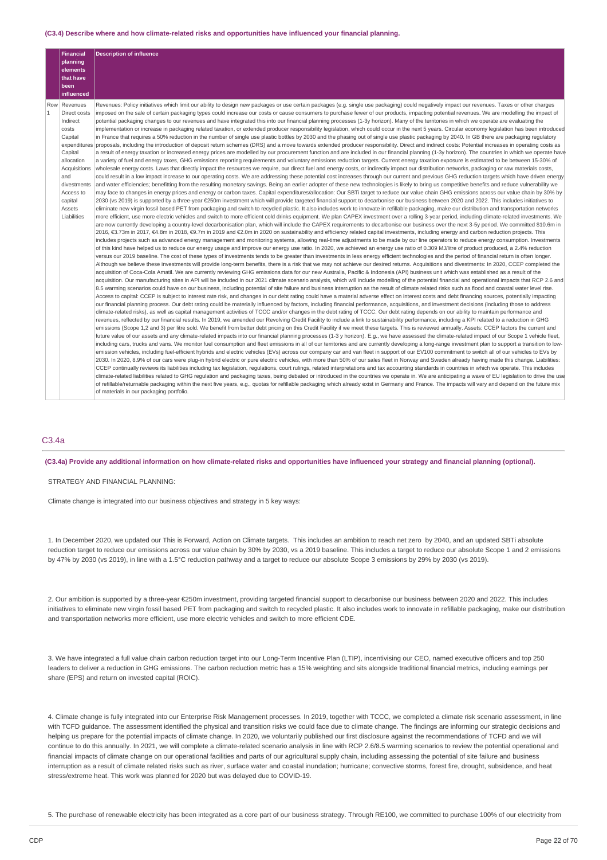#### **(C3.4) Describe where and how climate-related risks and opportunities have influenced your financial planning.**

|                | Financial          | <b>Description of influence</b>                                                                                                                                                                                                                                                                                                                                                                     |
|----------------|--------------------|-----------------------------------------------------------------------------------------------------------------------------------------------------------------------------------------------------------------------------------------------------------------------------------------------------------------------------------------------------------------------------------------------------|
|                | planning           |                                                                                                                                                                                                                                                                                                                                                                                                     |
|                | elements           |                                                                                                                                                                                                                                                                                                                                                                                                     |
|                | that have<br>been  |                                                                                                                                                                                                                                                                                                                                                                                                     |
|                | influenced         |                                                                                                                                                                                                                                                                                                                                                                                                     |
|                | Row Revenues       | Revenues: Policy initiatives which limit our ability to design new packages or use certain packages (e.g. single use packaging) could negatively impact our revenues. Taxes or other charges                                                                                                                                                                                                        |
| $\overline{1}$ | Direct costs       | imposed on the sale of certain packaging types could increase our costs or cause consumers to purchase fewer of our products, impacting potential revenues. We are modelling the impact of                                                                                                                                                                                                          |
|                | Indirect           | potential packaging changes to our revenues and have integrated this into our financial planning processes (1-3y horizon). Many of the territories in which we operate are evaluating the                                                                                                                                                                                                           |
|                | costs              | implementation or increase in packaging related taxation, or extended producer responsibility legislation, which could occur in the next 5 years. Circular economy legislation has been introduced                                                                                                                                                                                                  |
|                | Capital            | in France that requires a 50% reduction in the number of single use plastic bottles by 2030 and the phasing out of single use plastic packaging by 2040. In GB there are packaging regulatory                                                                                                                                                                                                       |
|                |                    | expenditures proposals, including the introduction of deposit return schemes (DRS) and a move towards extended producer responsibility. Direct and indirect costs: Potential increases in operating costs as                                                                                                                                                                                        |
|                | Capital            | a result of energy taxation or increased energy prices are modelled by our procurement function and are included in our financial planning (1-3y horizon). The countries in which we operate have                                                                                                                                                                                                   |
|                | allocation         | a variety of fuel and energy taxes, GHG emissions reporting requirements and voluntary emissions reduction targets. Current energy taxation exposure is estimated to be between 15-30% of                                                                                                                                                                                                           |
|                | Acquisitions       | wholesale energy costs. Laws that directly impact the resources we require, our direct fuel and energy costs, or indirectly impact our distribution networks, packaging or raw materials costs,                                                                                                                                                                                                     |
|                | and<br>divestments | could result in a low impact increase to our operating costs. We are addressing these potential cost increases through our current and previous GHG reduction targets which have driven energy                                                                                                                                                                                                      |
|                | Access to          | and water efficiencies; benefitting from the resulting monetary savings. Being an earlier adopter of these new technologies is likely to bring us competitive benefits and reduce vulnerability we<br>may face to changes in energy prices and energy or carbon taxes. Capital expenditures/allocation: Our SBTi target to reduce our value chain GHG emissions across our value chain by 30% by    |
|                | capital            | 2030 (vs 2019) is supported by a three-year €250m investment which will provide targeted financial support to decarbonise our business between 2020 and 2022. This includes initiatives to                                                                                                                                                                                                          |
|                | Assets             | eliminate new virgin fossil based PET from packaging and switch to recycled plastic. It also includes work to innovate in refillable packaging, make our distribution and transportation networks                                                                                                                                                                                                   |
|                | Liabilities        | more efficient, use more electric vehicles and switch to more efficient cold drinks equipment. We plan CAPEX investment over a rolling 3-year period, including climate-related investments. We                                                                                                                                                                                                     |
|                |                    | are now currently developing a country-level decarbonisation plan, which will include the CAPEX requirements to decarbonise our business over the next 3-5y period. We committed \$10.6m in                                                                                                                                                                                                         |
|                |                    | 2016, €3.73m in 2017, €4.8m in 2018, €9.7m in 2019 and €2.0m in 2020 on sustainability and efficiency related capital investments, including energy and carbon reduction projects. This                                                                                                                                                                                                             |
|                |                    | includes projects such as advanced energy management and monitoring systems, allowing real-time adjustments to be made by our line operators to reduce energy consumption. Investments                                                                                                                                                                                                              |
|                |                    | of this kind have helped us to reduce our energy usage and improve our energy use ratio. In 2020, we achieved an energy use ratio of 0.309 MJ/litre of product produced, a 2.4% reduction                                                                                                                                                                                                           |
|                |                    | versus our 2019 baseline. The cost of these types of investments tends to be greater than investments in less energy efficient technologies and the period of financial return is often longer.                                                                                                                                                                                                     |
|                |                    | Although we believe these investments will provide long-term benefits, there is a risk that we may not achieve our desired returns. Acquisitions and divestments: In 2020, CCEP completed the                                                                                                                                                                                                       |
|                |                    | acquisition of Coca-Cola Amatil. We are currently reviewing GHG emissions data for our new Australia, Pacific & Indonesia (API) business unit which was established as a result of the                                                                                                                                                                                                              |
|                |                    | acquisition. Our manufacturing sites in API will be included in our 2021 climate scenario analysis, which will include modelling of the potential financial and operational impacts that RCP 2.6 and                                                                                                                                                                                                |
|                |                    | 8.5 warming scenarios could have on our business, including potential of site failure and business interruption as the result of climate related risks such as flood and coastal water level rise.                                                                                                                                                                                                  |
|                |                    | Access to capital: CCEP is subject to interest rate risk, and changes in our debt rating could have a material adverse effect on interest costs and debt financing sources, potentially impacting                                                                                                                                                                                                   |
|                |                    | our financial planning process. Our debt rating could be materially influenced by factors, including financial performance, acquisitions, and investment decisions (including those to address                                                                                                                                                                                                      |
|                |                    | climate-related risks), as well as capital management activities of TCCC and/or changes in the debt rating of TCCC. Our debt rating depends on our ability to maintain performance and                                                                                                                                                                                                              |
|                |                    | revenues, reflected by our financial results. In 2019, we amended our Revolving Credit Facility to include a link to sustainability performance, including a KPI related to a reduction in GHG<br>emissions (Scope 1,2 and 3) per litre sold. We benefit from better debt pricing on this Credit Facility if we meet these targets. This is reviewed annually. Assets: CCEP factors the current and |
|                |                    | future value of our assets and any climate-related impacts into our financial planning processes (1-3 y horizon). E.g., we have assessed the climate-related impact of our Scope 1 vehicle fleet,                                                                                                                                                                                                   |
|                |                    | including cars, trucks and vans. We monitor fuel consumption and fleet emissions in all of our territories and are currently developing a long-range investment plan to support a transition to low-                                                                                                                                                                                                |
|                |                    | emission vehicles, including fuel-efficient hybrids and electric vehicles (EVs) across our company car and van fleet in support of our EV100 commitment to switch all of our vehicles to EVs by                                                                                                                                                                                                     |
|                |                    | 2030. In 2020, 8.9% of our cars were plug-in hybrid electric or pure electric vehicles, with more than 50% of our sales fleet in Norway and Sweden already having made this change. Liabilities:                                                                                                                                                                                                    |
|                |                    | CCEP continually reviews its liabilities including tax legislation, regulations, court rulings, related interpretations and tax accounting standards in countries in which we operate. This includes                                                                                                                                                                                                |
|                |                    | climate-related liabilities related to GHG regulation and packaging taxes, being debated or introduced in the countries we operate in. We are anticipating a wave of EU legislation to drive the use                                                                                                                                                                                                |
|                |                    | of refillable/returnable packaging within the next five years, e.g., quotas for refillable packaging which already exist in Germany and France. The impacts will vary and depend on the future mix                                                                                                                                                                                                  |
|                |                    | of materials in our packaging portfolio.                                                                                                                                                                                                                                                                                                                                                            |

## C3.4a

### (C3.4a) Provide any additional information on how climate-related risks and opportunities have influenced your strategy and financial planning (optional).

STRATEGY AND FINANCIAL PLANNING:

Climate change is integrated into our business objectives and strategy in 5 key ways:

1. In December 2020, we updated our This is Forward, Action on Climate targets. This includes an ambition to reach net zero by 2040, and an updated SBTi absolute reduction target to reduce our emissions across our value chain by 30% by 2030, vs a 2019 baseline. This includes a target to reduce our absolute Scope 1 and 2 emissions by 47% by 2030 (vs 2019), in line with a 1.5°C reduction pathway and a target to reduce our absolute Scope 3 emissions by 29% by 2030 (vs 2019).

2. Our ambition is supported by a three-year €250m investment, providing targeted financial support to decarbonise our business between 2020 and 2022. This includes initiatives to eliminate new virgin fossil based PET from packaging and switch to recycled plastic. It also includes work to innovate in refillable packaging, make our distribution and transportation networks more efficient, use more electric vehicles and switch to more efficient CDE.

3. We have integrated a full value chain carbon reduction target into our Long-Term Incentive Plan (LTIP), incentivising our CEO, named executive officers and top 250 leaders to deliver a reduction in GHG emissions. The carbon reduction metric has a 15% weighting and sits alongside traditional financial metrics, including earnings per share (EPS) and return on invested capital (ROIC).

4. Climate change is fully integrated into our Enterprise Risk Management processes. In 2019, together with TCCC, we completed a climate risk scenario assessment, in line with TCFD guidance. The assessment identified the physical and transition risks we could face due to climate change. The findings are informing our strategic decisions and helping us prepare for the potential impacts of climate change. In 2020, we voluntarily published our first disclosure against the recommendations of TCFD and we will continue to do this annually. In 2021, we will complete a climate-related scenario analysis in line with RCP 2.6/8.5 warming scenarios to review the potential operational and financial impacts of climate change on our operational facilities and parts of our agricultural supply chain, including assessing the potential of site failure and business interruption as a result of climate related risks such as river, surface water and coastal inundation; hurricane; convective storms, forest fire, drought, subsidence, and heat stress/extreme heat. This work was planned for 2020 but was delayed due to COVID-19.

5. The purchase of renewable electricity has been integrated as a core part of our business strategy. Through RE100, we committed to purchase 100% of our electricity from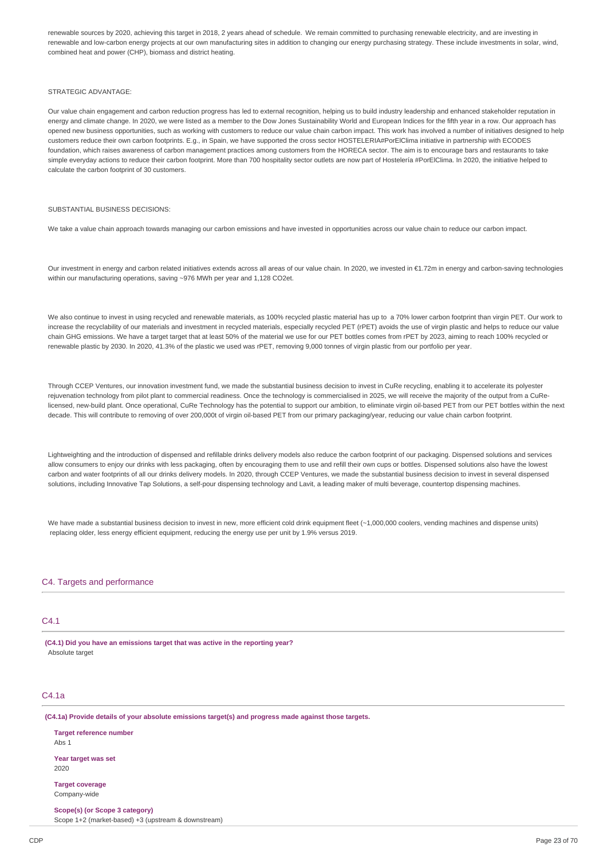renewable sources by 2020, achieving this target in 2018, 2 years ahead of schedule. We remain committed to purchasing renewable electricity, and are investing in renewable and low-carbon energy projects at our own manufacturing sites in addition to changing our energy purchasing strategy. These include investments in solar, wind, combined heat and power (CHP), biomass and district heating.

#### STRATEGIC ADVANTAGE:

Our value chain engagement and carbon reduction progress has led to external recognition, helping us to build industry leadership and enhanced stakeholder reputation in energy and climate change. In 2020, we were listed as a member to the Dow Jones Sustainability World and European Indices for the fifth year in a row. Our approach has opened new business opportunities, such as working with customers to reduce our value chain carbon impact. This work has involved a number of initiatives designed to help customers reduce their own carbon footprints. E.g., in Spain, we have supported the cross sector HOSTELERIA#PorElClima initiative in partnership with ECODES foundation, which raises awareness of carbon management practices among customers from the HORECA sector. The aim is to encourage bars and restaurants to take simple everyday actions to reduce their carbon footprint. More than 700 hospitality sector outlets are now part of Hostelería #PorElClima. In 2020, the initiative helped to calculate the carbon footprint of 30 customers.

### SUBSTANTIAL BUSINESS DECISIONS:

We take a value chain approach towards managing our carbon emissions and have invested in opportunities across our value chain to reduce our carbon impact.

Our investment in energy and carbon related initiatives extends across all areas of our value chain. In 2020, we invested in €1.72m in energy and carbon-saving technologies within our manufacturing operations, saving ~976 MWh per year and 1,128 CO2et.

We also continue to invest in using recycled and renewable materials, as 100% recycled plastic material has up to a 70% lower carbon footprint than virgin PET. Our work to increase the recyclability of our materials and investment in recycled materials, especially recycled PET (rPET) avoids the use of virgin plastic and helps to reduce our value chain GHG emissions. We have a target target that at least 50% of the material we use for our PET bottles comes from rPET by 2023, aiming to reach 100% recycled or renewable plastic by 2030. In 2020, 41.3% of the plastic we used was rPET, removing 9,000 tonnes of virgin plastic from our portfolio per year.

Through CCEP Ventures, our innovation investment fund, we made the substantial business decision to invest in CuRe recycling, enabling it to accelerate its polyester rejuvenation technology from pilot plant to commercial readiness. Once the technology is commercialised in 2025, we will receive the majority of the output from a CuRelicensed, new-build plant. Once operational, CuRe Technology has the potential to support our ambition, to eliminate virgin oil-based PET from our PET bottles within the next decade. This will contribute to removing of over 200,000t of virgin oil-based PET from our primary packaging/year, reducing our value chain carbon footprint.

Lightweighting and the introduction of dispensed and refillable drinks delivery models also reduce the carbon footprint of our packaging. Dispensed solutions and services allow consumers to enjoy our drinks with less packaging, often by encouraging them to use and refill their own cups or bottles. Dispensed solutions also have the lowest carbon and water footprints of all our drinks delivery models. In 2020, through CCEP Ventures, we made the substantial business decision to invest in several dispensed solutions, including Innovative Tap Solutions, a self-pour dispensing technology and Lavit, a leading maker of multi beverage, countertop dispensing machines.

We have made a substantial business decision to invest in new, more efficient cold drink equipment fleet (~1,000,000 coolers, vending machines and dispense units) replacing older, less energy efficient equipment, reducing the energy use per unit by 1.9% versus 2019.

## C4. Targets and performance

## $C4.1$

**(C4.1) Did you have an emissions target that was active in the reporting year?** Absolute target

### C4.1a

**(C4.1a) Provide details of your absolute emissions target(s) and progress made against those targets.**

**Target reference number** Abs 1 **Year target was set** 2020

**Target coverage** Company-wide

**Scope(s) (or Scope 3 category)** Scope 1+2 (market-based) +3 (upstream & downstream)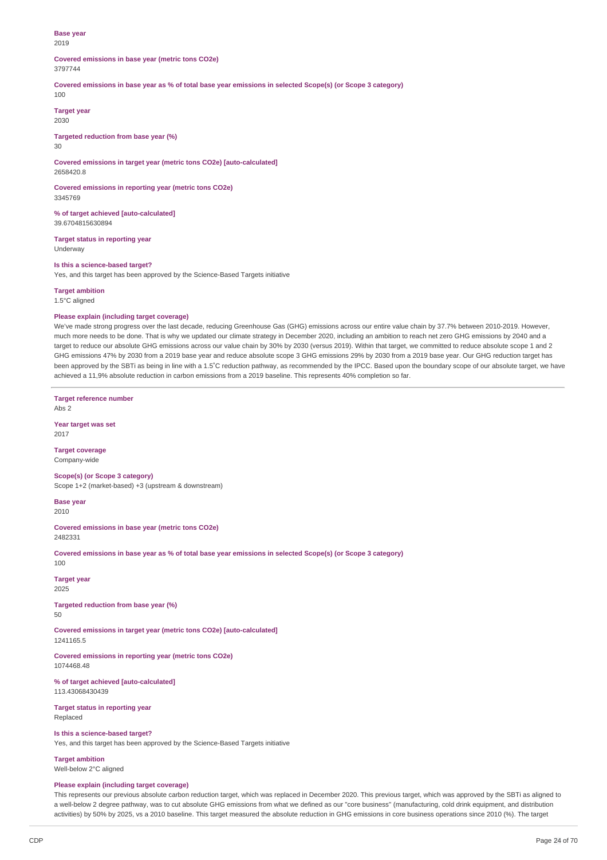#### **Base year** 2019

# **Covered emissions in base year (metric tons CO2e)**

## 3797744

Covered emissions in base year as % of total base year emissions in selected Scope(s) (or Scope 3 category)

100

**Target year** 2030

## **Targeted reduction from base year (%)**

30

#### **Covered emissions in target year (metric tons CO2e) [auto-calculated]** 2658420.8

**Covered emissions in reporting year (metric tons CO2e)** 3345769

**% of target achieved [auto-calculated]** 39.6704815630894

**Target status in reporting year** Underway

## **Is this a science-based target?**

Yes, and this target has been approved by the Science-Based Targets initiative

**Target ambition**

1.5°C aligned

## **Please explain (including target coverage)**

We've made strong progress over the last decade, reducing Greenhouse Gas (GHG) emissions across our entire value chain by 37.7% between 2010-2019. However, much more needs to be done. That is why we updated our climate strategy in December 2020, including an ambition to reach net zero GHG emissions by 2040 and a target to reduce our absolute GHG emissions across our value chain by 30% by 2030 (versus 2019). Within that target, we committed to reduce absolute scope 1 and 2 GHG emissions 47% by 2030 from a 2019 base year and reduce absolute scope 3 GHG emissions 29% by 2030 from a 2019 base year. Our GHG reduction target has been approved by the SBTi as being in line with a 1.5˚C reduction pathway, as recommended by the IPCC. Based upon the boundary scope of our absolute target, we have achieved a 11,9% absolute reduction in carbon emissions from a 2019 baseline. This represents 40% completion so far.

**Target reference number** Abs 2

**Year target was set** 2017

**Target coverage** Company-wide

**Scope(s) (or Scope 3 category)** Scope 1+2 (market-based) +3 (upstream & downstream)

**Base year** 2010

**Covered emissions in base year (metric tons CO2e)** 2482331

Covered emissions in base year as % of total base year emissions in selected Scope(s) (or Scope 3 category) 100

**Target year** 2025

**Targeted reduction from base year (%)** 50

**Covered emissions in target year (metric tons CO2e) [auto-calculated]** 1241165.5

**Covered emissions in reporting year (metric tons CO2e)** 1074468.48

**% of target achieved [auto-calculated]** 113.43068430439

**Target status in reporting year** Replaced

**Is this a science-based target?**

Yes, and this target has been approved by the Science-Based Targets initiative

**Target ambition** Well-below 2°C aligned

### **Please explain (including target coverage)**

This represents our previous absolute carbon reduction target, which was replaced in December 2020. This previous target, which was approved by the SBTi as aligned to a well-below 2 degree pathway, was to cut absolute GHG emissions from what we defined as our "core business" (manufacturing, cold drink equipment, and distribution activities) by 50% by 2025, vs a 2010 baseline. This target measured the absolute reduction in GHG emissions in core business operations since 2010 (%). The target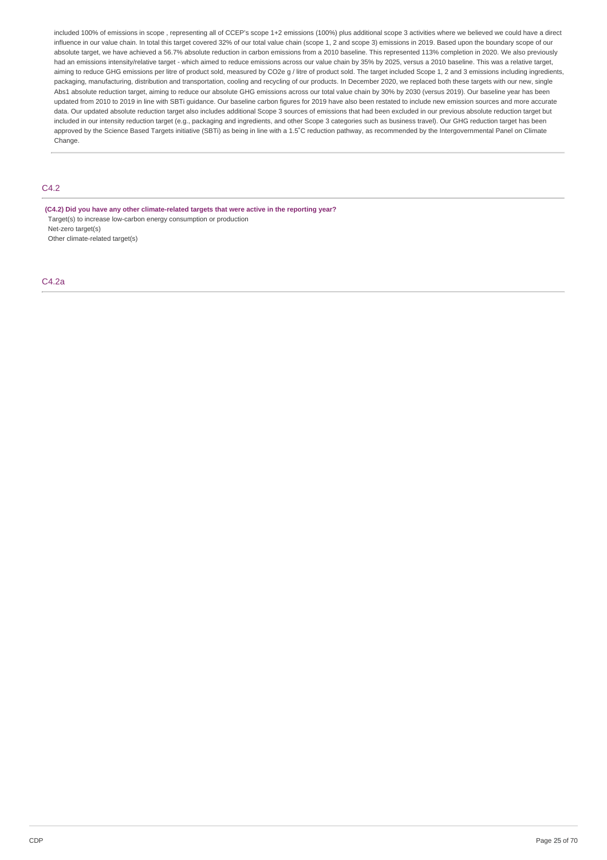included 100% of emissions in scope , representing all of CCEP's scope 1+2 emissions (100%) plus additional scope 3 activities where we believed we could have a direct influence in our value chain. In total this target covered 32% of our total value chain (scope 1, 2 and scope 3) emissions in 2019. Based upon the boundary scope of our absolute target, we have achieved a 56.7% absolute reduction in carbon emissions from a 2010 baseline. This represented 113% completion in 2020. We also previously had an emissions intensity/relative target - which aimed to reduce emissions across our value chain by 35% by 2025, versus a 2010 baseline. This was a relative target, aiming to reduce GHG emissions per litre of product sold, measured by CO2e g / litre of product sold. The target included Scope 1, 2 and 3 emissions including ingredients, packaging, manufacturing, distribution and transportation, cooling and recycling of our products. In December 2020, we replaced both these targets with our new, single Abs1 absolute reduction target, aiming to reduce our absolute GHG emissions across our total value chain by 30% by 2030 (versus 2019). Our baseline year has been updated from 2010 to 2019 in line with SBTi guidance. Our baseline carbon figures for 2019 have also been restated to include new emission sources and more accurate data. Our updated absolute reduction target also includes additional Scope 3 sources of emissions that had been excluded in our previous absolute reduction target but included in our intensity reduction target (e.g., packaging and ingredients, and other Scope 3 categories such as business travel). Our GHG reduction target has been approved by the Science Based Targets initiative (SBTi) as being in line with a 1.5℃ reduction pathway, as recommended by the Intergovernmental Panel on Climate Change.

# $C_{4.2}$

**(C4.2) Did you have any other climate-related targets that were active in the reporting year?** Target(s) to increase low-carbon energy consumption or production Net-zero target(s) Other climate-related target(s)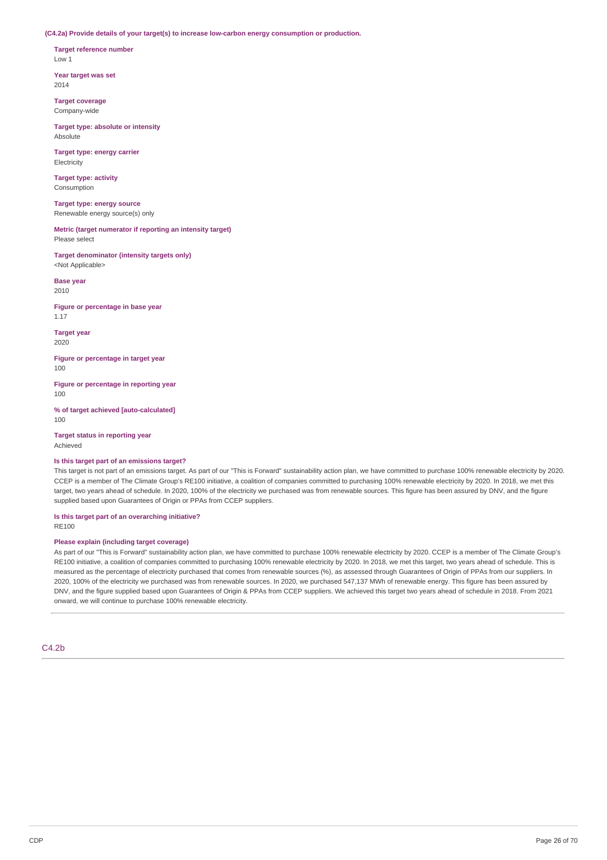**(C4.2a) Provide details of your target(s) to increase low-carbon energy consumption or production.**

**Target reference number** Low 1

**Year target was set** 2014

**Target coverage** Company-wide

**Target type: absolute or intensity** Absolute

**Target type: energy carrier** Electricity

**Target type: activity** Consumption

**Target type: energy source** Renewable energy source(s) only

**Metric (target numerator if reporting an intensity target)** Please select

**Target denominator (intensity targets only)** <Not Applicable>

**Base year** 2010

**Figure or percentage in base year** 1.17

**Target year** 2020

**Figure or percentage in target year** 100

**Figure or percentage in reporting year** 100

**% of target achieved [auto-calculated]** 100

**Target status in reporting year** Achieved

## **Is this target part of an emissions target?**

This target is not part of an emissions target. As part of our "This is Forward" sustainability action plan, we have committed to purchase 100% renewable electricity by 2020. CCEP is a member of The Climate Group's RE100 initiative, a coalition of companies committed to purchasing 100% renewable electricity by 2020. In 2018, we met this target, two years ahead of schedule. In 2020, 100% of the electricity we purchased was from renewable sources. This figure has been assured by DNV, and the figure supplied based upon Guarantees of Origin or PPAs from CCEP suppliers.

**Is this target part of an overarching initiative?**  $P$ E100

## **Please explain (including target coverage)**

As part of our "This is Forward" sustainability action plan, we have committed to purchase 100% renewable electricity by 2020. CCEP is a member of The Climate Group's RE100 initiative, a coalition of companies committed to purchasing 100% renewable electricity by 2020. In 2018, we met this target, two years ahead of schedule. This is measured as the percentage of electricity purchased that comes from renewable sources (%), as assessed through Guarantees of Origin of PPAs from our suppliers. In 2020, 100% of the electricity we purchased was from renewable sources. In 2020, we purchased 547,137 MWh of renewable energy. This figure has been assured by DNV, and the figure supplied based upon Guarantees of Origin & PPAs from CCEP suppliers. We achieved this target two years ahead of schedule in 2018. From 2021 onward, we will continue to purchase 100% renewable electricity.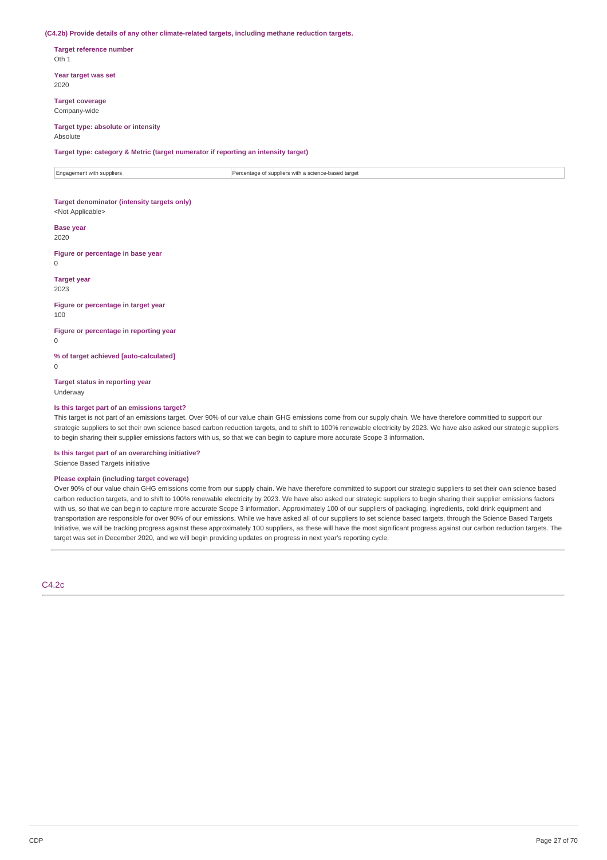#### **(C4.2b) Provide details of any other climate-related targets, including methane reduction targets.**

**Target reference number** Oth 1

**Year target was set** 2020

**Target coverage** Company-wide

# **Target type: absolute or intensity**

Absolute

**Target type: category & Metric (target numerator if reporting an intensity target)**

 $\boxed{\color{black}$  Engagement with suppliers  $\color{black}$  Percentage of suppliers with a science-based target

# **Target denominator (intensity targets only)**

<Not Applicable>

#### **Base year** 2020

**Figure or percentage in base year**  $\Omega$ 

**Target year**

2023

#### **Figure or percentage in target year** 100

**Figure or percentage in reporting year**  $\theta$ 

**% of target achieved [auto-calculated]**

 $\Omega$ 

**Target status in reporting year** Underway

### **Is this target part of an emissions target?**

This target is not part of an emissions target. Over 90% of our value chain GHG emissions come from our supply chain. We have therefore committed to support our strategic suppliers to set their own science based carbon reduction targets, and to shift to 100% renewable electricity by 2023. We have also asked our strategic suppliers to begin sharing their supplier emissions factors with us, so that we can begin to capture more accurate Scope 3 information.

**Is this target part of an overarching initiative?** Science Based Targets initiative

## **Please explain (including target coverage)**

Over 90% of our value chain GHG emissions come from our supply chain. We have therefore committed to support our strategic suppliers to set their own science based carbon reduction targets, and to shift to 100% renewable electricity by 2023. We have also asked our strategic suppliers to begin sharing their supplier emissions factors with us, so that we can begin to capture more accurate Scope 3 information. Approximately 100 of our suppliers of packaging, ingredients, cold drink equipment and transportation are responsible for over 90% of our emissions. While we have asked all of our suppliers to set science based targets, through the Science Based Targets Initiative, we will be tracking progress against these approximately 100 suppliers, as these will have the most significant progress against our carbon reduction targets. The target was set in December 2020, and we will begin providing updates on progress in next year's reporting cycle.

C4.2c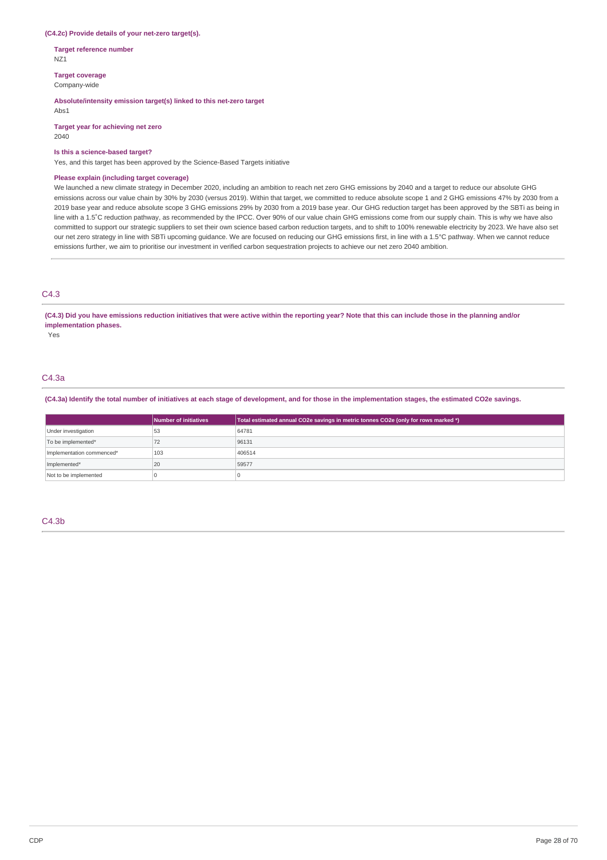### **(C4.2c) Provide details of your net-zero target(s).**

**Target reference number** NZ1

**Target coverage**

Company-wide

## **Absolute/intensity emission target(s) linked to this net-zero target**

Abs1

**Target year for achieving net zero** 2040

### **Is this a science-based target?**

Yes, and this target has been approved by the Science-Based Targets initiative

## **Please explain (including target coverage)**

We launched a new climate strategy in December 2020, including an ambition to reach net zero GHG emissions by 2040 and a target to reduce our absolute GHG emissions across our value chain by 30% by 2030 (versus 2019). Within that target, we committed to reduce absolute scope 1 and 2 GHG emissions 47% by 2030 from a 2019 base year and reduce absolute scope 3 GHG emissions 29% by 2030 from a 2019 base year. Our GHG reduction target has been approved by the SBTi as being in line with a 1.5˚C reduction pathway, as recommended by the IPCC. Over 90% of our value chain GHG emissions come from our supply chain. This is why we have also committed to support our strategic suppliers to set their own science based carbon reduction targets, and to shift to 100% renewable electricity by 2023. We have also set our net zero strategy in line with SBTi upcoming guidance. We are focused on reducing our GHG emissions first, in line with a 1.5°C pathway. When we cannot reduce emissions further, we aim to prioritise our investment in verified carbon sequestration projects to achieve our net zero 2040 ambition.

## C4.3

### (C4.3) Did you have emissions reduction initiatives that were active within the reporting year? Note that this can include those in the planning and/or **implementation phases.**

Yes

## C4.3a

(C4.3a) Identify the total number of initiatives at each stage of development, and for those in the implementation stages, the estimated CO2e savings.

|                           | Number of initiatives | Total estimated annual CO2e savings in metric tonnes CO2e (only for rows marked *) |
|---------------------------|-----------------------|------------------------------------------------------------------------------------|
| Under investigation       | 53                    | 64781                                                                              |
| To be implemented*        | 72                    | 96131                                                                              |
| Implementation commenced* | 103                   | 406514                                                                             |
| Implemented*              | 20                    | 59577                                                                              |
| Not to be implemented     |                       |                                                                                    |

## C4.3b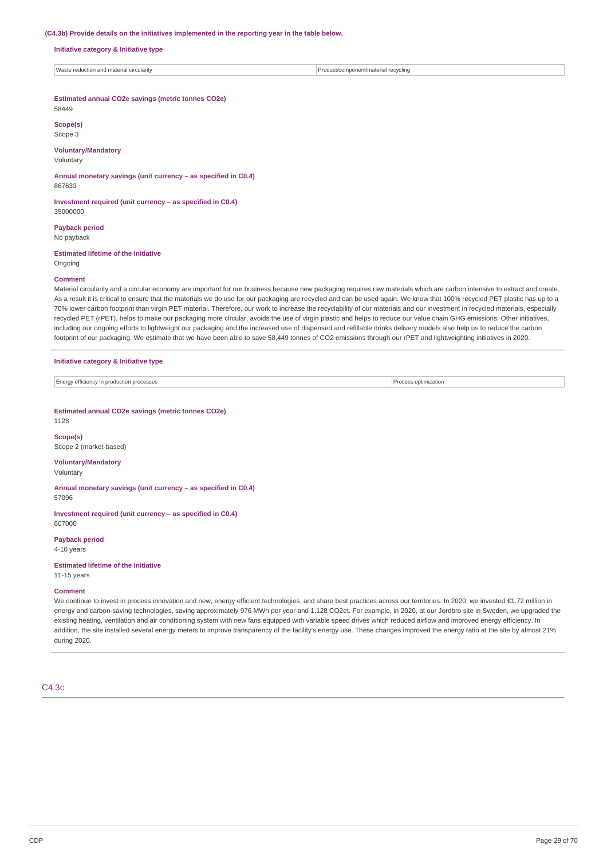### **(C4.3b) Provide details on the initiatives implemented in the reporting year in the table below.**

**Initiative category & Initiative type**

Waste reduction and material circularity Product/component/material recycling

### **Estimated annual CO2e savings (metric tonnes CO2e)** 58449

**Scope(s)**

Scope 3

## **Voluntary/Mandatory**

Voluntary

**Annual monetary savings (unit currency – as specified in C0.4)** 867633

**Investment required (unit currency – as specified in C0.4)** 35000000

**Payback period** No payback

## **Estimated lifetime of the initiative**

# Ongoing **Comment**

Material circularity and a circular economy are important for our business because new packaging requires raw materials which are carbon intensive to extract and create. As a result it is critical to ensure that the materials we do use for our packaging are recycled and can be used again. We know that 100% recycled PET plastic has up to a 70% lower carbon footprint than virgin PET material. Therefore, our work to increase the recyclability of our materials and our investment in recycled materials, especially recycled PET (rPET), helps to make our packaging more circular, avoids the use of virgin plastic and helps to reduce our value chain GHG emissions. Other initiatives, including our ongoing efforts to lightweight our packaging and the increased use of dispensed and refillable drinks delivery models also help us to reduce the carbon footprint of our packaging. We estimate that we have been able to save 58,449 tonnes of CO2 emissions through our rPET and lightweighting initiatives in 2020.

### **Initiative category & Initiative type**

| <b>Energy efficiency</b><br>n productic<br>processes<br>11.1511.<br>ັ | tımızatıor |
|-----------------------------------------------------------------------|------------|

**Estimated annual CO2e savings (metric tonnes CO2e)**

1128

**Scope(s)** Scope 2 (market-based)

## **Voluntary/Mandatory**

Voluntary

**Annual monetary savings (unit currency – as specified in C0.4)** 57096

**Investment required (unit currency – as specified in C0.4)** 607000

**Payback period** 4-10 years

## **Estimated lifetime of the initiative**

11-15 years

## **Comment**

We continue to invest in process innovation and new, energy efficient technologies, and share best practices across our territories. In 2020, we invested €1.72 million in energy and carbon-saving technologies, saving approximately 976 MWh per year and 1,128 CO2et. For example, in 2020, at our Jordbro site in Sweden, we upgraded the existing heating, ventilation and air conditioning system with new fans equipped with variable speed drives which reduced airflow and improved energy efficiency. In addition, the site installed several energy meters to improve transparency of the facility's energy use. These changes improved the energy ratio at the site by almost 21% during 2020.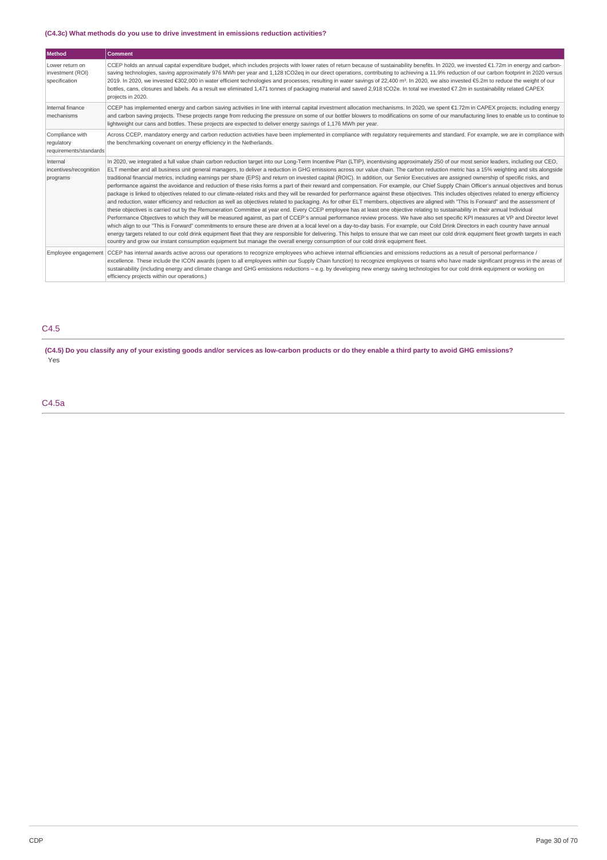## **(C4.3c) What methods do you use to drive investment in emissions reduction activities?**

| Method                                                  | <b>Comment</b>                                                                                                                                                                                                                                                                                                                                                                                                                                                                                                                                                                                                                                                                                                                                                                                                                                                                                                                                                                                                                                                                                                                                                                                                                                                                                                                                                                                                                                                                                                                                                                                                                                                                                                                                                                                                                                                                                                                                                                                                                                                                   |
|---------------------------------------------------------|----------------------------------------------------------------------------------------------------------------------------------------------------------------------------------------------------------------------------------------------------------------------------------------------------------------------------------------------------------------------------------------------------------------------------------------------------------------------------------------------------------------------------------------------------------------------------------------------------------------------------------------------------------------------------------------------------------------------------------------------------------------------------------------------------------------------------------------------------------------------------------------------------------------------------------------------------------------------------------------------------------------------------------------------------------------------------------------------------------------------------------------------------------------------------------------------------------------------------------------------------------------------------------------------------------------------------------------------------------------------------------------------------------------------------------------------------------------------------------------------------------------------------------------------------------------------------------------------------------------------------------------------------------------------------------------------------------------------------------------------------------------------------------------------------------------------------------------------------------------------------------------------------------------------------------------------------------------------------------------------------------------------------------------------------------------------------------|
| Lower return on<br>investment (ROI)<br>specification    | CCEP holds an annual capital expenditure budget, which includes projects with lower rates of return because of sustainability benefits. In 2020, we invested €1.72m in energy and carbon-<br>saving technologies, saving approximately 976 MWh per year and 1,128 tCO2eg in our direct operations, contributing to achieving a 11.9% reduction of our carbon footprint in 2020 versus<br>2019. In 2020, we invested €302,000 in water efficient technologies and processes, resulting in water savings of 22,400 m <sup>3</sup> . In 2020, we also invested €5.2m to reduce the weight of our<br>bottles, cans, closures and labels. As a result we eliminated 1,471 tonnes of packaging material and saved 2,918 tCO2e. In total we invested €7.2m in sustainability related CAPEX<br>projects in 2020.                                                                                                                                                                                                                                                                                                                                                                                                                                                                                                                                                                                                                                                                                                                                                                                                                                                                                                                                                                                                                                                                                                                                                                                                                                                                         |
| Internal finance<br>mechanisms                          | CCEP has implemented energy and carbon saving activities in line with internal capital investment allocation mechanisms. In 2020, we spent €1.72m in CAPEX projects, including energy<br>and carbon saving projects. These projects range from reducing the pressure on some of our bottler blowers to modifications on some of our manufacturing lines to enable us to continue to<br>lightweight our cans and bottles. These projects are expected to deliver energy savings of 1,176 MWh per year.                                                                                                                                                                                                                                                                                                                                                                                                                                                                                                                                                                                                                                                                                                                                                                                                                                                                                                                                                                                                                                                                                                                                                                                                                                                                                                                                                                                                                                                                                                                                                                            |
| Compliance with<br>regulatory<br>requirements/standards | Across CCEP, mandatory energy and carbon reduction activities have been implemented in compliance with regulatory requirements and standard. For example, we are in compliance with<br>the benchmarking covenant on energy efficiency in the Netherlands.                                                                                                                                                                                                                                                                                                                                                                                                                                                                                                                                                                                                                                                                                                                                                                                                                                                                                                                                                                                                                                                                                                                                                                                                                                                                                                                                                                                                                                                                                                                                                                                                                                                                                                                                                                                                                        |
| Internal<br>incentives/recognition<br>programs          | In 2020, we integrated a full value chain carbon reduction target into our Long-Term Incentive Plan (LTIP), incentivising approximately 250 of our most senior leaders, including our CEO,<br>ELT member and all business unit general managers, to deliver a reduction in GHG emissions across our value chain. The carbon reduction metric has a 15% weighting and sits alongside<br>traditional financial metrics, including earnings per share (EPS) and return on invested capital (ROIC). In addition, our Senior Executives are assigned ownership of specific risks, and<br>performance against the avoidance and reduction of these risks forms a part of their reward and compensation. For example, our Chief Supply Chain Officer's annual objectives and bonus<br>package is linked to objectives related to our climate-related risks and they will be rewarded for performance against these objectives. This includes objectives related to energy efficiency<br>and reduction, water efficiency and reduction as well as objectives related to packaging. As for other ELT members, objectives are aligned with "This Is Forward" and the assessment of<br>these objectives is carried out by the Remuneration Committee at year end. Every CCEP employee has at least one objective relating to sustainability in their annual Individual<br>Performance Objectives to which they will be measured against, as part of CCEP's annual performance review process. We have also set specific KPI measures at VP and Director level<br>which align to our "This is Forward" commitments to ensure these are driven at a local level on a day-to-day basis. For example, our Cold Drink Directors in each country have annual<br>energy targets related to our cold drink equipment fleet that they are responsible for delivering. This helps to ensure that we can meet our cold drink equipment fleet growth targets in each<br>country and grow our instant consumption equipment but manage the overall energy consumption of our cold drink equipment fleet. |
|                                                         | Employee engagement CCEP has internal awards active across our operations to recognize employees who achieve internal efficiencies and emissions reductions as a result of personal performance /<br>excellence. These include the ICON awards (open to all employees within our Supply Chain function) to recognize employees or teams who have made significant progress in the areas of<br>sustainability (including energy and climate change and GHG emissions reductions – e.g. by developing new energy saving technologies for our cold drink equipment or working on<br>efficiency projects within our operations.)                                                                                                                                                                                                                                                                                                                                                                                                                                                                                                                                                                                                                                                                                                                                                                                                                                                                                                                                                                                                                                                                                                                                                                                                                                                                                                                                                                                                                                                     |

# C4.5

(C4.5) Do you classify any of your existing goods and/or services as low-carbon products or do they enable a third party to avoid GHG emissions? Yes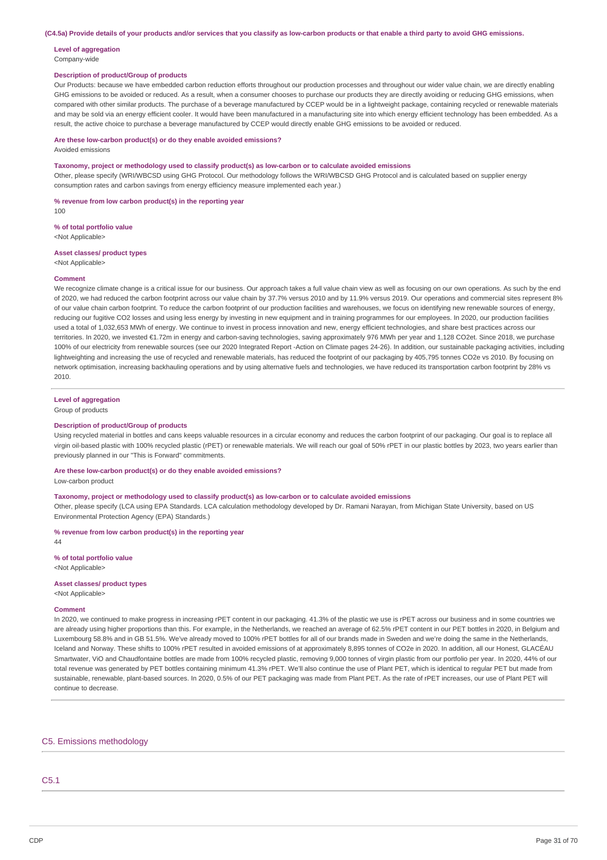(C4.5a) Provide details of your products and/or services that you classify as low-carbon products or that enable a third party to avoid GHG emissions.

### **Level of aggregation** Company-wide

## **Description of product/Group of products**

Our Products: because we have embedded carbon reduction efforts throughout our production processes and throughout our wider value chain, we are directly enabling GHG emissions to be avoided or reduced. As a result, when a consumer chooses to purchase our products they are directly avoiding or reducing GHG emissions, when compared with other similar products. The purchase of a beverage manufactured by CCEP would be in a lightweight package, containing recycled or renewable materials and may be sold via an energy efficient cooler. It would have been manufactured in a manufacturing site into which energy efficient technology has been embedded. As a result, the active choice to purchase a beverage manufactured by CCEP would directly enable GHG emissions to be avoided or reduced.

### **Are these low-carbon product(s) or do they enable avoided emissions?**

Avoided emissions

#### **Taxonomy, project or methodology used to classify product(s) as low-carbon or to calculate avoided emissions**

Other, please specify (WRI/WBCSD using GHG Protocol. Our methodology follows the WRI/WBCSD GHG Protocol and is calculated based on supplier energy consumption rates and carbon savings from energy efficiency measure implemented each year.)

#### **% revenue from low carbon product(s) in the reporting year**

 $100$ 

#### **% of total portfolio value**

<Not Applicable>

## **Asset classes/ product types**

<Not Applicable>

### **Comment**

We recognize climate change is a critical issue for our business. Our approach takes a full value chain view as well as focusing on our own operations. As such by the end of 2020, we had reduced the carbon footprint across our value chain by 37.7% versus 2010 and by 11.9% versus 2019. Our operations and commercial sites represent 8% of our value chain carbon footprint. To reduce the carbon footprint of our production facilities and warehouses, we focus on identifying new renewable sources of energy, reducing our fugitive CO2 losses and using less energy by investing in new equipment and in training programmes for our employees. In 2020, our production facilities used a total of 1,032,653 MWh of energy. We continue to invest in process innovation and new, energy efficient technologies, and share best practices across our territories. In 2020, we invested €1.72m in energy and carbon-saving technologies, saving approximately 976 MWh per year and 1,128 CO2et. Since 2018, we purchase 100% of our electricity from renewable sources (see our 2020 Integrated Report -Action on Climate pages 24-26). In addition, our sustainable packaging activities, including lightweighting and increasing the use of recycled and renewable materials, has reduced the footprint of our packaging by 405.795 tonnes CO2e ys 2010. By focusing on network optimisation, increasing backhauling operations and by using alternative fuels and technologies, we have reduced its transportation carbon footprint by 28% vs 2010.

## **Level of aggregation**

Group of products

#### **Description of product/Group of products**

Using recycled material in bottles and cans keeps valuable resources in a circular economy and reduces the carbon footprint of our packaging. Our goal is to replace all virgin oil-based plastic with 100% recycled plastic (rPET) or renewable materials. We will reach our goal of 50% rPET in our plastic bottles by 2023, two years earlier than previously planned in our "This is Forward" commitments.

## **Are these low-carbon product(s) or do they enable avoided emissions?**

Low-carbon product

## **Taxonomy, project or methodology used to classify product(s) as low-carbon or to calculate avoided emissions**

Other, please specify (LCA using EPA Standards. LCA calculation methodology developed by Dr. Ramani Narayan, from Michigan State University, based on US Environmental Protection Agency (EPA) Standards.)

#### **% revenue from low carbon product(s) in the reporting year** 44

**% of total portfolio value** <Not Applicable>

## **Asset classes/ product types**

<Not Applicable>

## **Comment**

In 2020, we continued to make progress in increasing rPET content in our packaging. 41.3% of the plastic we use is rPET across our business and in some countries we are already using higher proportions than this. For example, in the Netherlands, we reached an average of 62.5% rPET content in our PET bottles in 2020, in Belgium and Luxembourg 58.8% and in GB 51.5%. We've already moved to 100% rPET bottles for all of our brands made in Sweden and we're doing the same in the Netherlands, Iceland and Norway. These shifts to 100% rPET resulted in avoided emissions of at approximately 8,895 tonnes of CO2e in 2020. In addition, all our Honest, GLACÉAU Smartwater, ViO and Chaudfontaine bottles are made from 100% recycled plastic, removing 9,000 tonnes of virgin plastic from our portfolio per year. In 2020, 44% of our total revenue was generated by PET bottles containing minimum 41.3% rPET. We'll also continue the use of Plant PET, which is identical to regular PET but made from sustainable, renewable, plant-based sources. In 2020, 0.5% of our PET packaging was made from Plant PET. As the rate of rPET increases, our use of Plant PET will continue to decrease.

## C5. Emissions methodology

## C5.1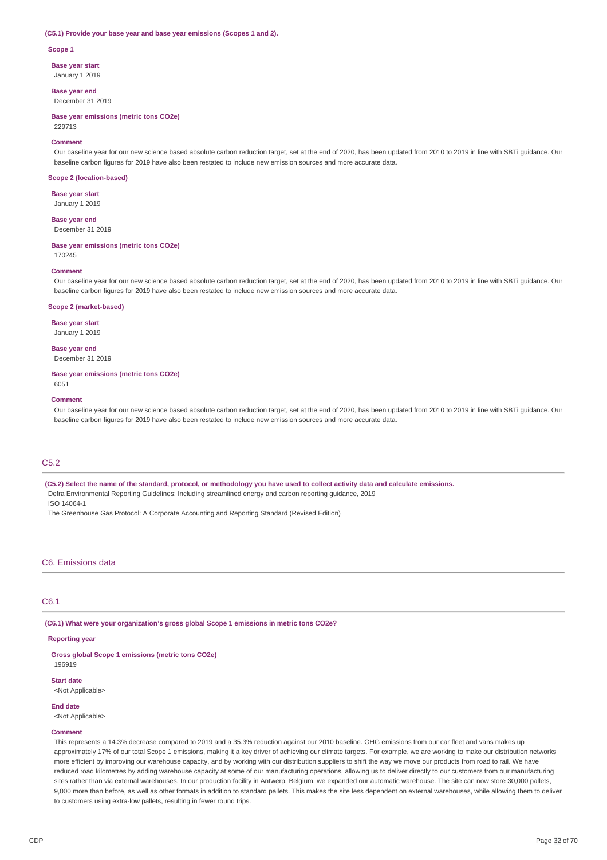### **(C5.1) Provide your base year and base year emissions (Scopes 1 and 2).**

#### **Scope 1**

**Base year start**

January 1 2019

**Base year end** December 31 2019

**Base year emissions (metric tons CO2e)** 229713

#### **Comment**

Our baseline year for our new science based absolute carbon reduction target, set at the end of 2020, has been updated from 2010 to 2019 in line with SBTi guidance. Our baseline carbon figures for 2019 have also been restated to include new emission sources and more accurate data.

#### **Scope 2 (location-based)**

**Base year start** January 1 2019

**Base year end** December 31 2019

### **Base year emissions (metric tons CO2e)**

170245

#### **Comment**

Our baseline year for our new science based absolute carbon reduction target, set at the end of 2020, has been updated from 2010 to 2019 in line with SBTi guidance. Our baseline carbon figures for 2019 have also been restated to include new emission sources and more accurate data.

### **Scope 2 (market-based)**

**Base year start** January 1 2019

**Base year end** December 31 2019

#### **Base year emissions (metric tons CO2e)**

6051

### **Comment**

Our baseline year for our new science based absolute carbon reduction target, set at the end of 2020, has been updated from 2010 to 2019 in line with SBTi guidance. Our baseline carbon figures for 2019 have also been restated to include new emission sources and more accurate data.

## C5.2

(C5.2) Select the name of the standard, protocol, or methodology you have used to collect activity data and calculate emissions.

Defra Environmental Reporting Guidelines: Including streamlined energy and carbon reporting guidance, 2019

ISO 14064-1

The Greenhouse Gas Protocol: A Corporate Accounting and Reporting Standard (Revised Edition)

### C6. Emissions data

## C6.1

**(C6.1) What were your organization's gross global Scope 1 emissions in metric tons CO2e?**

#### **Reporting year**

**Gross global Scope 1 emissions (metric tons CO2e)** 196919

**Start date** <Not Applicable>

#### **End date**

<Not Applicable>

### **Comment**

This represents a 14.3% decrease compared to 2019 and a 35.3% reduction against our 2010 baseline. GHG emissions from our car fleet and vans makes up approximately 17% of our total Scope 1 emissions, making it a key driver of achieving our climate targets. For example, we are working to make our distribution networks more efficient by improving our warehouse capacity, and by working with our distribution suppliers to shift the way we move our products from road to rail. We have reduced road kilometres by adding warehouse capacity at some of our manufacturing operations, allowing us to deliver directly to our customers from our manufacturing sites rather than via external warehouses. In our production facility in Antwerp, Belgium, we expanded our automatic warehouse. The site can now store 30,000 pallets 9,000 more than before, as well as other formats in addition to standard pallets. This makes the site less dependent on external warehouses, while allowing them to deliver to customers using extra-low pallets, resulting in fewer round trips.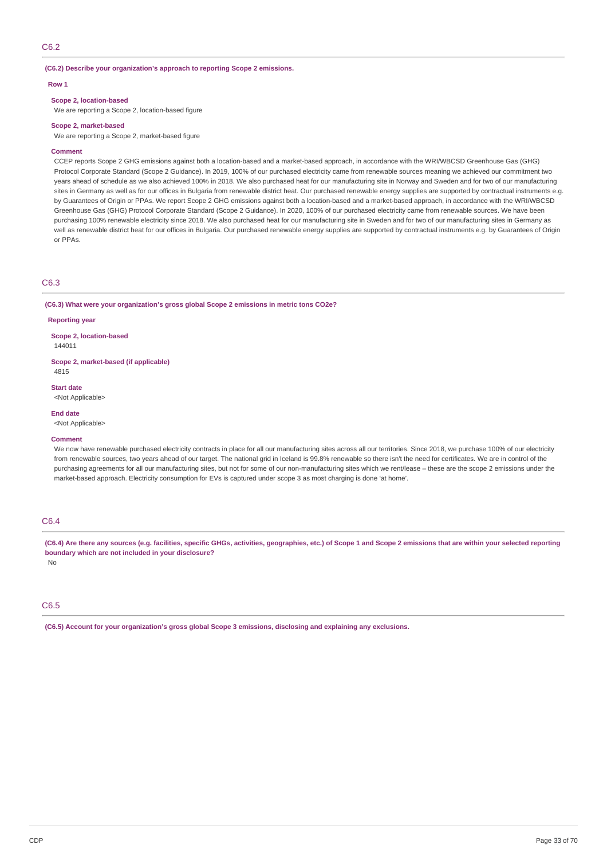## C6.2

### **(C6.2) Describe your organization's approach to reporting Scope 2 emissions.**

#### **Row 1**

### **Scope 2, location-based**

We are reporting a Scope 2, location-based figure

#### **Scope 2, market-based**

We are reporting a Scope 2, market-based figure

## **Comment**

CCEP reports Scope 2 GHG emissions against both a location-based and a market-based approach, in accordance with the WRI/WBCSD Greenhouse Gas (GHG) Protocol Corporate Standard (Scope 2 Guidance). In 2019, 100% of our purchased electricity came from renewable sources meaning we achieved our commitment two years ahead of schedule as we also achieved 100% in 2018. We also purchased heat for our manufacturing site in Norway and Sweden and for two of our manufacturing sites in Germany as well as for our offices in Bulgaria from renewable district heat. Our purchased renewable energy supplies are supported by contractual instruments e.g. by Guarantees of Origin or PPAs. We report Scope 2 GHG emissions against both a location-based and a market-based approach, in accordance with the WRI/WBCSD Greenhouse Gas (GHG) Protocol Corporate Standard (Scope 2 Guidance). In 2020, 100% of our purchased electricity came from renewable sources. We have been purchasing 100% renewable electricity since 2018. We also purchased heat for our manufacturing site in Sweden and for two of our manufacturing sites in Germany as well as renewable district heat for our offices in Bulgaria. Our purchased renewable energy supplies are supported by contractual instruments e.g. by Guarantees of Origin or PPAs.

### C6.3

#### **(C6.3) What were your organization's gross global Scope 2 emissions in metric tons CO2e?**

#### **Reporting year**

**Scope 2, location-based**

144011

**Scope 2, market-based (if applicable)** 4815

**Start date**

<Not Applicable>

#### **End date**

<Not Applicable>

## **Comment**

We now have renewable purchased electricity contracts in place for all our manufacturing sites across all our territories. Since 2018, we purchase 100% of our electricity from renewable sources, two years ahead of our target. The national grid in Iceland is 99.8% renewable so there isn't the need for certificates. We are in control of the purchasing agreements for all our manufacturing sites, but not for some of our non-manufacturing sites which we rent/lease – these are the scope 2 emissions under the market-based approach. Electricity consumption for EVs is captured under scope 3 as most charging is done 'at home'.

## C6.4

(C6.4) Are there any sources (e.g. facilities, specific GHGs, activities, geographies, etc.) of Scope 1 and Scope 2 emissions that are within your selected reporting **boundary which are not included in your disclosure?**

No

# C6.5

**(C6.5) Account for your organization's gross global Scope 3 emissions, disclosing and explaining any exclusions.**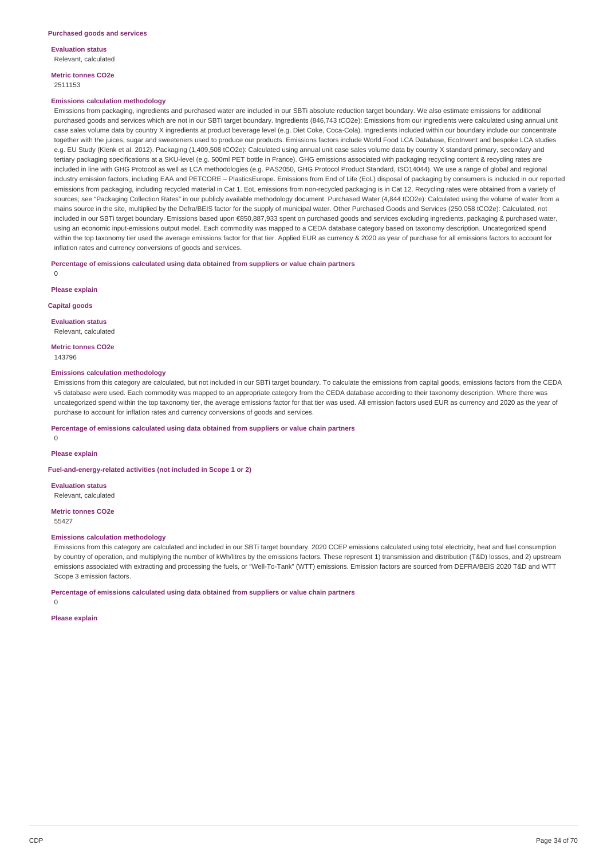**Evaluation status** Relevant, calculated

**Metric tonnes CO2e** 2511153

#### **Emissions calculation methodology**

Emissions from packaging, ingredients and purchased water are included in our SBTi absolute reduction target boundary. We also estimate emissions for additional purchased goods and services which are not in our SBTi target boundary. Ingredients (846,743 tCO2e): Emissions from our ingredients were calculated using annual unit case sales volume data by country X ingredients at product beverage level (e.g. Diet Coke, Coca-Cola). Ingredients included within our boundary include our concentrate together with the juices, sugar and sweeteners used to produce our products. Emissions factors include World Food LCA Database, EcoInvent and bespoke LCA studies e.g. EU Study (Klenk et al. 2012). Packaging (1,409,508 tCO2e): Calculated using annual unit case sales volume data by country X standard primary, secondary and tertiary packaging specifications at a SKU-level (e.g. 500ml PET bottle in France). GHG emissions associated with packaging recycling content & recycling rates are included in line with GHG Protocol as well as LCA methodologies (e.g. PAS2050, GHG Protocol Product Standard, ISO14044). We use a range of global and regional industry emission factors, including EAA and PETCORE – PlasticsEurope. Emissions from End of Life (EoL) disposal of packaging by consumers is included in our reported emissions from packaging, including recycled material in Cat 1. EoL emissions from non-recycled packaging is in Cat 12. Recycling rates were obtained from a variety of sources; see "Packaging Collection Rates" in our publicly available methodology document. Purchased Water (4,844 tCO2e): Calculated using the volume of water from a mains source in the site, multiplied by the Defra/BEIS factor for the supply of municipal water. Other Purchased Goods and Services (250,058 tCO2e): Calculated, not included in our SBTi target boundary. Emissions based upon €850,887,933 spent on purchased goods and services excluding ingredients, packaging & purchased water, using an economic input-emissions output model. Each commodity was mapped to a CEDA database category based on taxonomy description. Uncategorized spend within the top taxonomy tier used the average emissions factor for that tier. Applied EUR as currency & 2020 as year of purchase for all emissions factors to account for inflation rates and currency conversions of goods and services.

## **Percentage of emissions calculated using data obtained from suppliers or value chain partners**

 $\Omega$ 

**Please explain**

**Capital goods**

**Evaluation status** Relevant, calculated

**Metric tonnes CO2e** 143796

## **Emissions calculation methodology**

Emissions from this category are calculated, but not included in our SBTi target boundary. To calculate the emissions from capital goods, emissions factors from the CEDA v5 database were used. Each commodity was mapped to an appropriate category from the CEDA database according to their taxonomy description. Where there was uncategorized spend within the top taxonomy tier, the average emissions factor for that tier was used. All emission factors used EUR as currency and 2020 as the year of purchase to account for inflation rates and currency conversions of goods and services.

### **Percentage of emissions calculated using data obtained from suppliers or value chain partners**

 $\Omega$ 

#### **Please explain**

**Fuel-and-energy-related activities (not included in Scope 1 or 2)**

**Evaluation status** Relevant, calculated

**Metric tonnes CO2e**

55427

### **Emissions calculation methodology**

Emissions from this category are calculated and included in our SBTi target boundary. 2020 CCEP emissions calculated using total electricity, heat and fuel consumption by country of operation, and multiplying the number of kWh/litres by the emissions factors. These represent 1) transmission and distribution (T&D) losses, and 2) upstream emissions associated with extracting and processing the fuels, or "Well-To-Tank" (WTT) emissions. Emission factors are sourced from DEFRA/BEIS 2020 T&D and WTT Scope 3 emission factors.

**Percentage of emissions calculated using data obtained from suppliers or value chain partners**

 $\Omega$ 

**Please explain**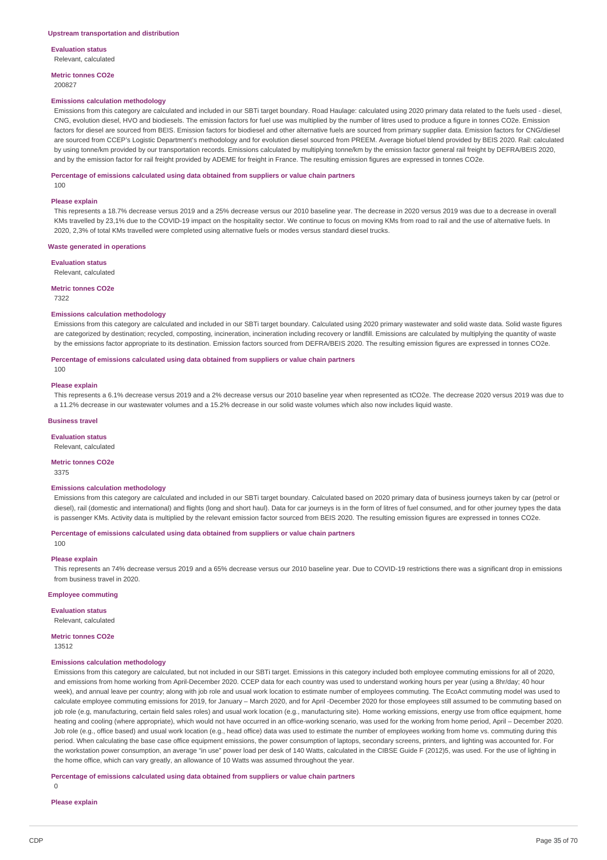**Evaluation status** Relevant, calculated

**Metric tonnes CO2e** 200827

#### **Emissions calculation methodology**

Emissions from this category are calculated and included in our SBTi target boundary. Road Haulage: calculated using 2020 primary data related to the fuels used - diesel, CNG, evolution diesel, HVO and biodiesels. The emission factors for fuel use was multiplied by the number of litres used to produce a figure in tonnes CO2e. Emission factors for diesel are sourced from BEIS. Emission factors for biodiesel and other alternative fuels are sourced from primary supplier data. Emission factors for CNG/diesel are sourced from CCEP's Logistic Department's methodology and for evolution diesel sourced from PREEM. Average biofuel blend provided by BEIS 2020. Rail: calculated by using tonne/km provided by our transportation records. Emissions calculated by multiplying tonne/km by the emission factor general rail freight by DEFRA/BEIS 2020, and by the emission factor for rail freight provided by ADEME for freight in France. The resulting emission figures are expressed in tonnes CO2e.

#### **Percentage of emissions calculated using data obtained from suppliers or value chain partners**

100

#### **Please explain**

This represents a 18.7% decrease versus 2019 and a 25% decrease versus our 2010 baseline year. The decrease in 2020 versus 2019 was due to a decrease in overall KMs travelled by 23,1% due to the COVID-19 impact on the hospitality sector. We continue to focus on moving KMs from road to rail and the use of alternative fuels. In 2020, 2,3% of total KMs travelled were completed using alternative fuels or modes versus standard diesel trucks.

#### **Waste generated in operations**

### **Evaluation status**

Relevant, calculated

#### **Metric tonnes CO2e**

7322

 $100$ 

### **Emissions calculation methodology**

Emissions from this category are calculated and included in our SBTi target boundary. Calculated using 2020 primary wastewater and solid waste data. Solid waste figures are categorized by destination; recycled, composting, incineration, incineration including recovery or landfill. Emissions are calculated by multiplying the quantity of waste by the emissions factor appropriate to its destination. Emission factors sourced from DEFRA/BEIS 2020. The resulting emission figures are expressed in tonnes CO2e.

### **Percentage of emissions calculated using data obtained from suppliers or value chain partners**

**Please explain**

This represents a 6.1% decrease versus 2019 and a 2% decrease versus our 2010 baseline year when represented as tCO2e. The decrease 2020 versus 2019 was due to a 11.2% decrease in our wastewater volumes and a 15.2% decrease in our solid waste volumes which also now includes liquid waste.

### **Business travel**

**Evaluation status**

# Relevant, calculated

**Metric tonnes CO2e**

3375

### **Emissions calculation methodology**

Emissions from this category are calculated and included in our SBTi target boundary. Calculated based on 2020 primary data of business journeys taken by car (petrol or diesel), rail (domestic and international) and flights (long and short haul). Data for car journeys is in the form of litres of fuel consumed, and for other journey types the data is passenger KMs. Activity data is multiplied by the relevant emission factor sourced from BEIS 2020. The resulting emission figures are expressed in tonnes CO2e.

## **Percentage of emissions calculated using data obtained from suppliers or value chain partners**

100

### **Please explain**

This represents an 74% decrease versus 2019 and a 65% decrease versus our 2010 baseline year. Due to COVID-19 restrictions there was a significant drop in emissions from business travel in 2020.

### **Employee commuting**

## **Evaluation status**

Relevant, calculated

**Metric tonnes CO2e**

13512

### **Emissions calculation methodology**

Emissions from this category are calculated, but not included in our SBTi target. Emissions in this category included both employee commuting emissions for all of 2020, and emissions from home working from April-December 2020. CCEP data for each country was used to understand working hours per year (using a 8hr/day; 40 hour week), and annual leave per country; along with job role and usual work location to estimate number of employees commuting. The EcoAct commuting model was used to calculate employee commuting emissions for 2019, for January – March 2020, and for April -December 2020 for those employees still assumed to be commuting based on job role (e.g, manufacturing, certain field sales roles) and usual work location (e.g., manufacturing site). Home working emissions, energy use from office equipment, home heating and cooling (where appropriate), which would not have occurred in an office-working scenario, was used for the working from home period, April – December 2020. Job role (e.g., office based) and usual work location (e.g., head office) data was used to estimate the number of employees working from home vs. commuting during this period. When calculating the base case office equipment emissions, the power consumption of laptops, secondary screens, printers, and lighting was accounted for. For the workstation power consumption, an average "in use" power load per desk of 140 Watts, calculated in the CIBSE Guide F (2012)5, was used. For the use of lighting in the home office, which can vary greatly, an allowance of 10 Watts was assumed throughout the year.

### **Percentage of emissions calculated using data obtained from suppliers or value chain partners**

 $\Omega$ 

**Please explain**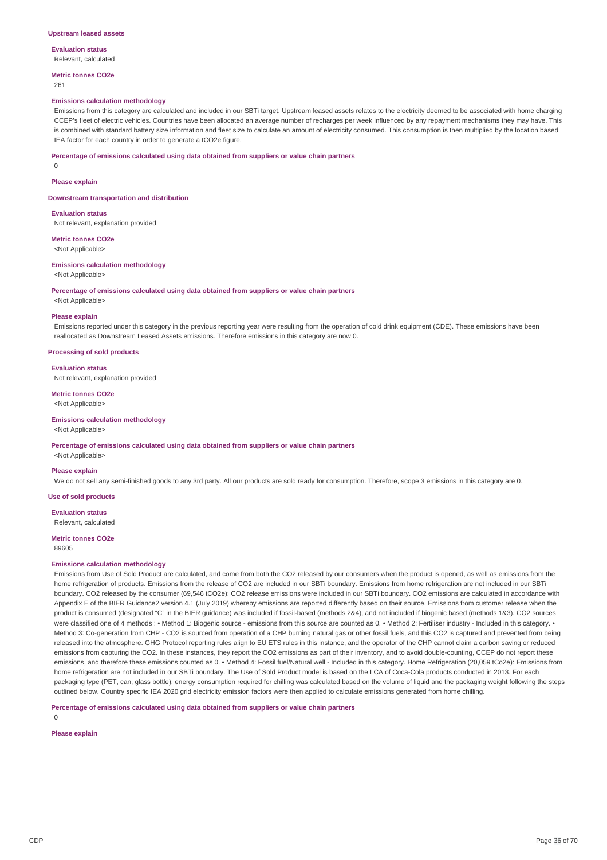#### **Upstream leased assets**

**Evaluation status** Relevant, calculated

**Metric tonnes CO2e**

261

#### **Emissions calculation methodology**

Emissions from this category are calculated and included in our SBTi target. Upstream leased assets relates to the electricity deemed to be associated with home charging CCEP's fleet of electric vehicles. Countries have been allocated an average number of recharges per week influenced by any repayment mechanisms they may have. This is combined with standard battery size information and fleet size to calculate an amount of electricity consumed. This consumption is then multiplied by the location based IEA factor for each country in order to generate a tCO2e figure.

#### **Percentage of emissions calculated using data obtained from suppliers or value chain partners**

0

#### **Please explain**

**Downstream transportation and distribution**

#### **Evaluation status**

Not relevant, explanation provided

## **Metric tonnes CO2e**

<Not Applicable>

#### **Emissions calculation methodology**

<Not Applicable>

#### **Percentage of emissions calculated using data obtained from suppliers or value chain partners**

<Not Applicable>

### **Please explain**

Emissions reported under this category in the previous reporting year were resulting from the operation of cold drink equipment (CDE). These emissions have been reallocated as Downstream Leased Assets emissions. Therefore emissions in this category are now 0.

## **Processing of sold products**

#### **Evaluation status**

Not relevant, explanation provided

# **Metric tonnes CO2e**

<Not Applicable>

# **Emissions calculation methodology**

<Not Applicable>

#### **Percentage of emissions calculated using data obtained from suppliers or value chain partners**

<Not Applicable>

### **Please explain**

We do not sell any semi-finished goods to any 3rd party. All our products are sold ready for consumption. Therefore, scope 3 emissions in this category are 0.

## **Use of sold products**

**Evaluation status**

Relevant, calculated

#### **Metric tonnes CO2e** 89605

## **Emissions calculation methodology**

Emissions from Use of Sold Product are calculated, and come from both the CO2 released by our consumers when the product is opened, as well as emissions from the home refrigeration of products. Emissions from the release of CO2 are included in our SBTi boundary. Emissions from home refrigeration are not included in our SBTi boundary. CO2 released by the consumer (69,546 tCO2e): CO2 release emissions were included in our SBTi boundary. CO2 emissions are calculated in accordance with Appendix E of the BIER Guidance2 version 4.1 (July 2019) whereby emissions are reported differently based on their source. Emissions from customer release when the product is consumed (designated "C" in the BIER guidance) was included if fossil-based (methods 2&4), and not included if biogenic based (methods 1&3). CO2 sources were classified one of 4 methods : • Method 1: Biogenic source - emissions from this source are counted as 0. • Method 2: Fertiliser industry - Included in this category. • Method 3: Co-generation from CHP - CO2 is sourced from operation of a CHP burning natural gas or other fossil fuels, and this CO2 is captured and prevented from being released into the atmosphere. GHG Protocol reporting rules align to EU ETS rules in this instance, and the operator of the CHP cannot claim a carbon saving or reduced emissions from capturing the CO2. In these instances, they report the CO2 emissions as part of their inventory, and to avoid double-counting, CCEP do not report these emissions, and therefore these emissions counted as 0. • Method 4: Fossil fuel/Natural well - Included in this category. Home Refrigeration (20,059 tCo2e): Emissions from home refrigeration are not included in our SBTi boundary. The Use of Sold Product model is based on the LCA of Coca-Cola products conducted in 2013. For each packaging type (PET, can, glass bottle), energy consumption required for chilling was calculated based on the volume of liquid and the packaging weight following the steps outlined below. Country specific IEA 2020 grid electricity emission factors were then applied to calculate emissions generated from home chilling.

### **Percentage of emissions calculated using data obtained from suppliers or value chain partners**

 $\Omega$ 

## **Please explain**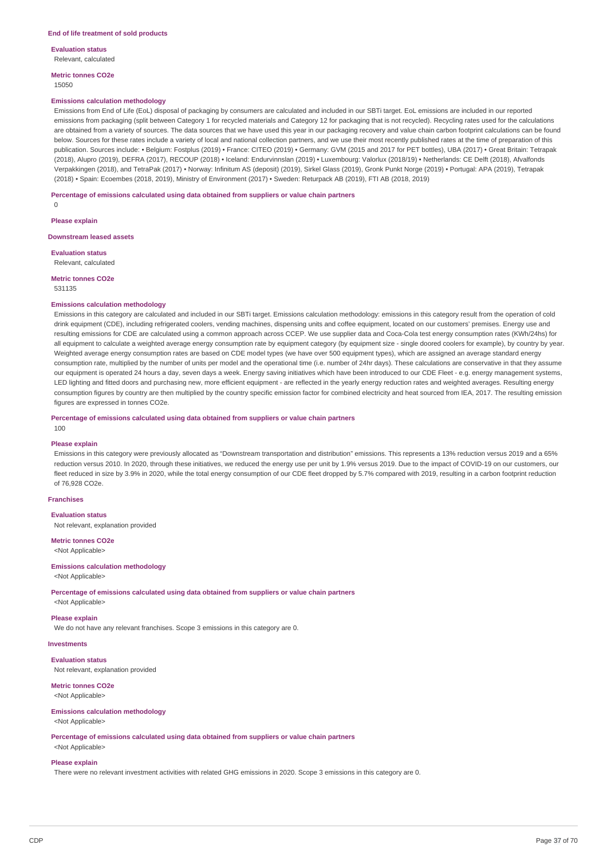**Evaluation status** Relevant, calculated

**Metric tonnes CO2e** 15050

#### **Emissions calculation methodology**

Emissions from End of Life (EoL) disposal of packaging by consumers are calculated and included in our SBTi target. EoL emissions are included in our reported emissions from packaging (split between Category 1 for recycled materials and Category 12 for packaging that is not recycled). Recycling rates used for the calculations are obtained from a variety of sources. The data sources that we have used this year in our packaging recovery and value chain carbon footprint calculations can be found below. Sources for these rates include a variety of local and national collection partners, and we use their most recently published rates at the time of preparation of this publication. Sources include: • Belgium: Fostplus (2019) • France: CITEO (2019) • Germany: GVM (2015 and 2017 for PET bottles), UBA (2017) • Great Britain: Tetrapak (2018), Alupro (2019), DEFRA (2017), RECOUP (2018) • Iceland: Endurvinnslan (2019) • Luxembourg: Valorlux (2018/19) • Netherlands: CE Delft (2018), Afvalfonds Verpakkingen (2018), and TetraPak (2017) • Norway: Infinitum AS (deposit) (2019), Sirkel Glass (2019), Gronk Punkt Norge (2019) • Portugal: APA (2019), Tetrapak (2018) • Spain: Ecoembes (2018, 2019), Ministry of Environment (2017) • Sweden: Returpack AB (2019), FTI AB (2018, 2019)

### **Percentage of emissions calculated using data obtained from suppliers or value chain partners**

 $\Omega$ 

**Please explain**

**Downstream leased assets**

**Evaluation status** Relevant, calculated

**Metric tonnes CO2e**

531135

#### **Emissions calculation methodology**

Emissions in this category are calculated and included in our SBTi target. Emissions calculation methodology: emissions in this category result from the operation of cold drink equipment (CDE), including refrigerated coolers, vending machines, dispensing units and coffee equipment, located on our customers' premises. Energy use and resulting emissions for CDE are calculated using a common approach across CCEP. We use supplier data and Coca-Cola test energy consumption rates (KWh/24hs) for all equipment to calculate a weighted average energy consumption rate by equipment category (by equipment size - single doored coolers for example), by country by year. Weighted average energy consumption rates are based on CDE model types (we have over 500 equipment types), which are assigned an average standard energy consumption rate, multiplied by the number of units per model and the operational time (i.e. number of 24hr days). These calculations are conservative in that they assume our equipment is operated 24 hours a day, seven days a week. Energy saving initiatives which have been introduced to our CDE Fleet - e.g. energy management systems, LED lighting and fitted doors and purchasing new, more efficient equipment - are reflected in the yearly energy reduction rates and weighted averages. Resulting energy consumption figures by country are then multiplied by the country specific emission factor for combined electricity and heat sourced from IEA, 2017. The resulting emission figures are expressed in tonnes CO2e.

**Percentage of emissions calculated using data obtained from suppliers or value chain partners**  $100$ 

#### **Please explain**

Emissions in this category were previously allocated as "Downstream transportation and distribution" emissions. This represents a 13% reduction versus 2019 and a 65% reduction versus 2010. In 2020, through these initiatives, we reduced the energy use per unit by 1.9% versus 2019. Due to the impact of COVID-19 on our customers, our fleet reduced in size by 3.9% in 2020, while the total energy consumption of our CDE fleet dropped by 5.7% compared with 2019, resulting in a carbon footprint reduction of 76,928 CO2e.

## **Franchises**

**Evaluation status** Not relevant, explanation provided

**Metric tonnes CO2e**

<Not Applicable>

## **Emissions calculation methodology**

<Not Applicable>

**Percentage of emissions calculated using data obtained from suppliers or value chain partners**

# <Not Applicable>

**Please explain** We do not have any relevant franchises. Scope 3 emissions in this category are 0.

**Investments**

# **Evaluation status**

Not relevant, explanation provided

#### **Metric tonnes CO2e** <Not Applicable>

# **Emissions calculation methodology**

<Not Applicable>

**Percentage of emissions calculated using data obtained from suppliers or value chain partners** <Not Applicable>

### **Please explain**

There were no relevant investment activities with related GHG emissions in 2020. Scope 3 emissions in this category are 0.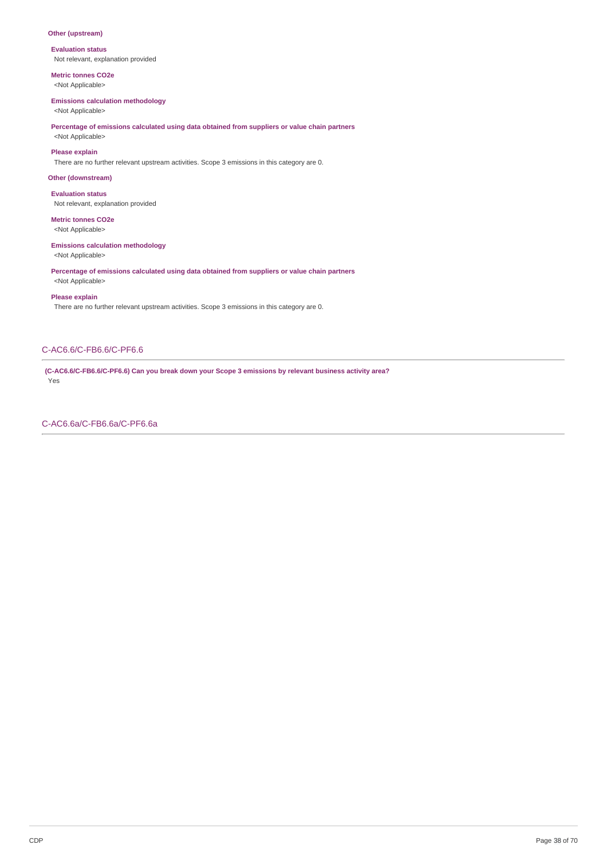## **Other (upstream)**

**Evaluation status** Not relevant, explanation provided

**Metric tonnes CO2e** <Not Applicable>

# **Emissions calculation methodology**

<Not Applicable>

## **Percentage of emissions calculated using data obtained from suppliers or value chain partners** <Not Applicable>

**Please explain**

There are no further relevant upstream activities. Scope 3 emissions in this category are 0.

## **Other (downstream)**

**Evaluation status** Not relevant, explanation provided

## **Metric tonnes CO2e**

<Not Applicable>

## **Emissions calculation methodology**

<Not Applicable>

**Percentage of emissions calculated using data obtained from suppliers or value chain partners** <Not Applicable>

### **Please explain**

There are no further relevant upstream activities. Scope 3 emissions in this category are 0.

## C-AC6.6/C-FB6.6/C-PF6.6

**(C-AC6.6/C-FB6.6/C-PF6.6) Can you break down your Scope 3 emissions by relevant business activity area?** Yes

C-AC6.6a/C-FB6.6a/C-PF6.6a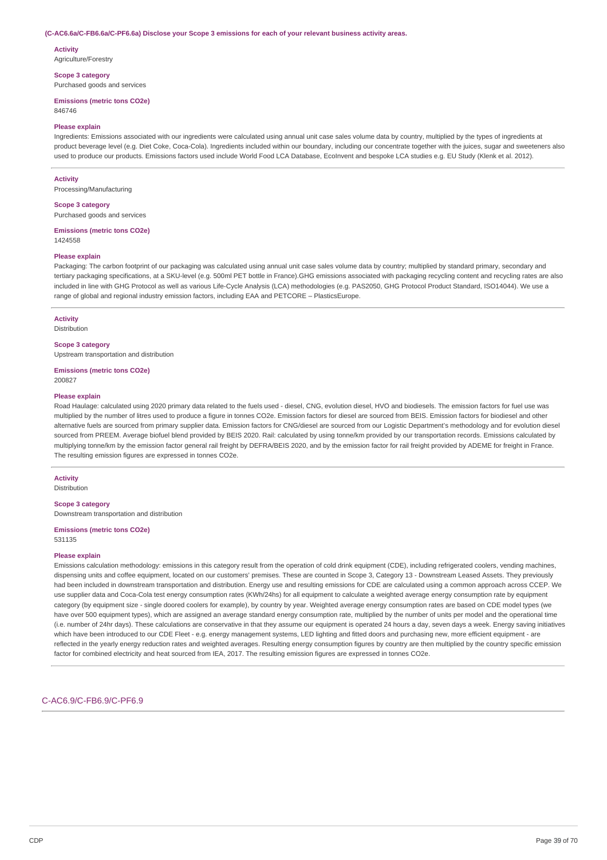#### **(C-AC6.6a/C-FB6.6a/C-PF6.6a) Disclose your Scope 3 emissions for each of your relevant business activity areas.**

**Activity** Agriculture/Forestry

**Scope 3 category**

Purchased goods and services

**Emissions (metric tons CO2e)**

846746

### **Please explain**

Ingredients: Emissions associated with our ingredients were calculated using annual unit case sales volume data by country, multiplied by the types of ingredients at product beverage level (e.g. Diet Coke, Coca-Cola). Ingredients included within our boundary, including our concentrate together with the juices, sugar and sweeteners also used to produce our products. Emissions factors used include World Food LCA Database, EcoInvent and bespoke LCA studies e.g. EU Study (Klenk et al. 2012).

#### **Activity**

Processing/Manufacturing

#### **Scope 3 category**

Purchased goods and services

#### **Emissions (metric tons CO2e)** 1424558

**Please explain**

Packaging: The carbon footprint of our packaging was calculated using annual unit case sales volume data by country; multiplied by standard primary, secondary and tertiary packaging specifications, at a SKU-level (e.g. 500ml PET bottle in France).GHG emissions associated with packaging recycling content and recycling rates are also included in line with GHG Protocol as well as various Life-Cycle Analysis (LCA) methodologies (e.g. PAS2050, GHG Protocol Product Standard, ISO14044). We use a range of global and regional industry emission factors, including EAA and PETCORE – PlasticsEurope.

### **Activity**

Distribution

### **Scope 3 category**

Upstream transportation and distribution

**Emissions (metric tons CO2e)** 200827

#### **Please explain**

Road Haulage: calculated using 2020 primary data related to the fuels used - diesel, CNG, evolution diesel, HVO and biodiesels. The emission factors for fuel use was multiplied by the number of litres used to produce a figure in tonnes CO2e. Emission factors for diesel are sourced from BEIS. Emission factors for biodiesel and other alternative fuels are sourced from primary supplier data. Emission factors for CNG/diesel are sourced from our Logistic Department's methodology and for evolution diesel sourced from PREEM. Average biofuel blend provided by BEIS 2020. Rail: calculated by using tonne/km provided by our transportation records. Emissions calculated by multiplying tonne/km by the emission factor general rail freight by DEFRA/BEIS 2020, and by the emission factor for rail freight provided by ADEME for freight in France. The resulting emission figures are expressed in tonnes CO2e.

### **Activity**

Distribution

## **Scope 3 category**

Downstream transportation and distribution

## **Emissions (metric tons CO2e)**

531135

#### **Please explain**

Emissions calculation methodology: emissions in this category result from the operation of cold drink equipment (CDE), including refrigerated coolers, vending machines, dispensing units and coffee equipment, located on our customers' premises. These are counted in Scope 3, Category 13 - Downstream Leased Assets. They previously had been included in downstream transportation and distribution. Energy use and resulting emissions for CDE are calculated using a common approach across CCEP. We use supplier data and Coca-Cola test energy consumption rates (KWh/24hs) for all equipment to calculate a weighted average energy consumption rate by equipment category (by equipment size - single doored coolers for example), by country by year. Weighted average energy consumption rates are based on CDE model types (we have over 500 equipment types), which are assigned an average standard energy consumption rate, multiplied by the number of units per model and the operational time (i.e. number of 24hr days). These calculations are conservative in that they assume our equipment is operated 24 hours a day, seven days a week. Energy saving initiatives which have been introduced to our CDE Fleet - e.g. energy management systems, LED lighting and fitted doors and purchasing new, more efficient equipment - are reflected in the yearly energy reduction rates and weighted averages. Resulting energy consumption figures by country are then multiplied by the country specific emission factor for combined electricity and heat sourced from IEA, 2017. The resulting emission figures are expressed in tonnes CO2e.

## C-AC6.9/C-FB6.9/C-PF6.9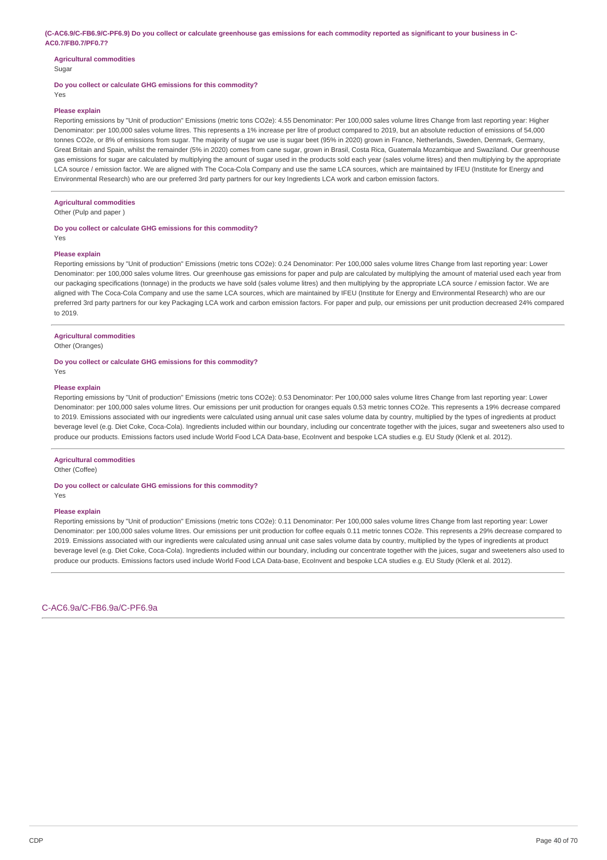### (C-AC6.9/C-FB6.9/C-PF6.9) Do you collect or calculate greenhouse gas emissions for each commodity reported as significant to your business in C-**AC0.7/FB0.7/PF0.7?**

#### **Agricultural commodities** Sugar

**Do you collect or calculate GHG emissions for this commodity?**

Yes

### **Please explain**

Reporting emissions by "Unit of production" Emissions (metric tons CO2e): 4.55 Denominator: Per 100,000 sales volume litres Change from last reporting year: Higher Denominator: per 100,000 sales volume litres. This represents a 1% increase per litre of product compared to 2019, but an absolute reduction of emissions of 54,000 tonnes CO2e, or 8% of emissions from sugar. The majority of sugar we use is sugar beet (95% in 2020) grown in France, Netherlands, Sweden, Denmark, Germany, Great Britain and Spain, whilst the remainder (5% in 2020) comes from cane sugar, grown in Brasil, Costa Rica, Guatemala Mozambique and Swaziland. Our greenhouse gas emissions for sugar are calculated by multiplying the amount of sugar used in the products sold each year (sales volume litres) and then multiplying by the appropriate LCA source / emission factor. We are aligned with The Coca-Cola Company and use the same LCA sources, which are maintained by IFEU (Institute for Energy and Environmental Research) who are our preferred 3rd party partners for our key Ingredients LCA work and carbon emission factors.

## **Agricultural commodities**

Other (Pulp and paper )

## **Do you collect or calculate GHG emissions for this commodity?**

Yes

### **Please explain**

Reporting emissions by "Unit of production" Emissions (metric tons CO2e): 0.24 Denominator: Per 100,000 sales volume litres Change from last reporting year: Lower Denominator: per 100,000 sales volume litres. Our greenhouse gas emissions for paper and pulp are calculated by multiplying the amount of material used each year from our packaging specifications (tonnage) in the products we have sold (sales volume litres) and then multiplying by the appropriate LCA source / emission factor. We are aligned with The Coca-Cola Company and use the same LCA sources, which are maintained by IFEU (Institute for Energy and Environmental Research) who are our preferred 3rd party partners for our key Packaging LCA work and carbon emission factors. For paper and pulp, our emissions per unit production decreased 24% compared to 2019.

## **Agricultural commodities**

Other (Oranges)

## **Do you collect or calculate GHG emissions for this commodity?**

## **Please explain**

Yes

Reporting emissions by "Unit of production" Emissions (metric tons CO2e): 0.53 Denominator: Per 100,000 sales volume litres Change from last reporting year: Lower Denominator: per 100,000 sales volume litres. Our emissions per unit production for oranges equals 0.53 metric tonnes CO2e. This represents a 19% decrease compared to 2019. Emissions associated with our ingredients were calculated using annual unit case sales volume data by country, multiplied by the types of ingredients at product beverage level (e.g. Diet Coke, Coca-Cola). Ingredients included within our boundary, including our concentrate together with the juices, sugar and sweeteners also used to produce our products. Emissions factors used include World Food LCA Data-base, EcoInvent and bespoke LCA studies e.g. EU Study (Klenk et al. 2012).

#### **Agricultural commodities**

Other (Coffee)

### **Do you collect or calculate GHG emissions for this commodity?**

**Please explain**

Yes

Reporting emissions by "Unit of production" Emissions (metric tons CO2e): 0.11 Denominator: Per 100,000 sales volume litres Change from last reporting year: Lower Denominator: per 100,000 sales volume litres. Our emissions per unit production for coffee equals 0.11 metric tonnes CO2e. This represents a 29% decrease compared to 2019. Emissions associated with our ingredients were calculated using annual unit case sales volume data by country, multiplied by the types of ingredients at product beverage level (e.g. Diet Coke, Coca-Cola). Ingredients included within our boundary, including our concentrate together with the juices, sugar and sweeteners also used to produce our products. Emissions factors used include World Food LCA Data-base, EcoInvent and bespoke LCA studies e.g. EU Study (Klenk et al. 2012).

C-AC6.9a/C-FB6.9a/C-PF6.9a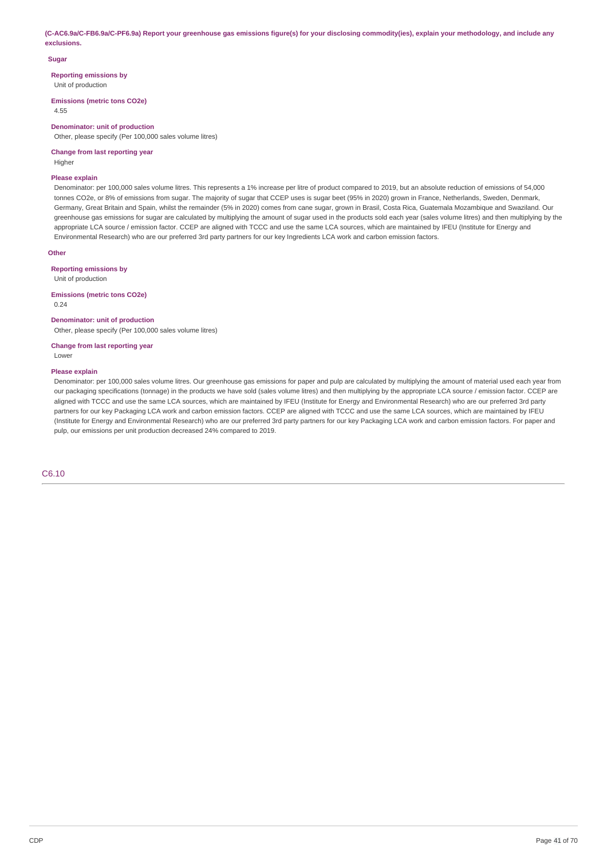(C-AC6.9a/C-FB6.9a/C-PF6.9a) Report your greenhouse gas emissions figure(s) for your disclosing commodity(ies), explain your methodology, and include any **exclusions.**

### **Sugar**

**Reporting emissions by**

Unit of production

**Emissions (metric tons CO2e)**

4.55

## **Denominator: unit of production**

Other, please specify (Per 100,000 sales volume litres)

## **Change from last reporting year**

Higher

### **Please explain**

Denominator: per 100,000 sales volume litres. This represents a 1% increase per litre of product compared to 2019, but an absolute reduction of emissions of 54,000 tonnes CO2e, or 8% of emissions from sugar. The majority of sugar that CCEP uses is sugar beet (95% in 2020) grown in France, Netherlands, Sweden, Denmark, Germany, Great Britain and Spain, whilst the remainder (5% in 2020) comes from cane sugar, grown in Brasil, Costa Rica, Guatemala Mozambique and Swaziland. Our greenhouse gas emissions for sugar are calculated by multiplying the amount of sugar used in the products sold each year (sales volume litres) and then multiplying by the appropriate LCA source / emission factor. CCEP are aligned with TCCC and use the same LCA sources, which are maintained by IFEU (Institute for Energy and Environmental Research) who are our preferred 3rd party partners for our key Ingredients LCA work and carbon emission factors.

## **Other**

**Reporting emissions by**

Unit of production

**Emissions (metric tons CO2e)** 0.24

#### **Denominator: unit of production**

Other, please specify (Per 100,000 sales volume litres)

**Change from last reporting year** Lower

### **Please explain**

Denominator: per 100,000 sales volume litres. Our greenhouse gas emissions for paper and pulp are calculated by multiplying the amount of material used each year from our packaging specifications (tonnage) in the products we have sold (sales volume litres) and then multiplying by the appropriate LCA source / emission factor. CCEP are aligned with TCCC and use the same LCA sources, which are maintained by IFEU (Institute for Energy and Environmental Research) who are our preferred 3rd party partners for our key Packaging LCA work and carbon emission factors. CCEP are aligned with TCCC and use the same LCA sources, which are maintained by IFEU (Institute for Energy and Environmental Research) who are our preferred 3rd party partners for our key Packaging LCA work and carbon emission factors. For paper and pulp, our emissions per unit production decreased 24% compared to 2019.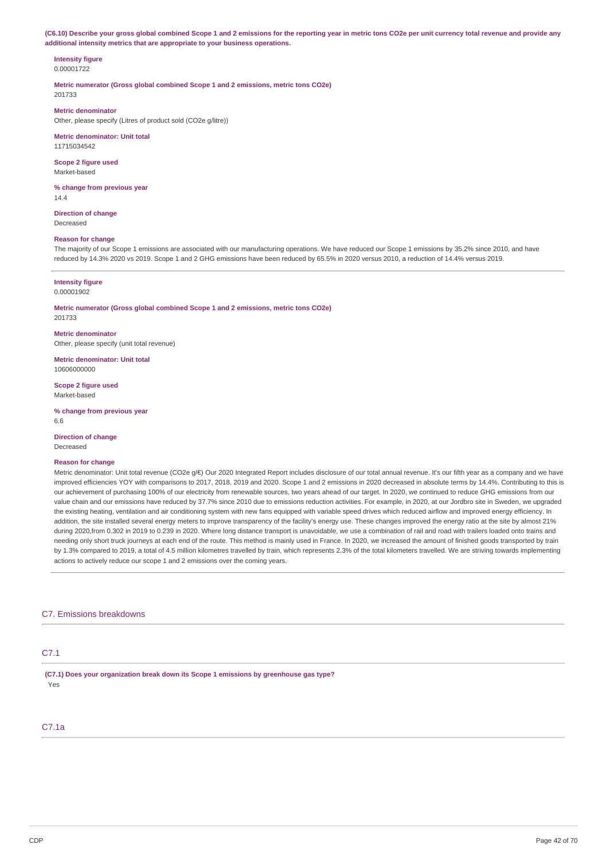(C6.10) Describe your gross global combined Scope 1 and 2 emissions for the reporting year in metric tons CO2e per unit currency total revenue and provide any **additional intensity metrics that are appropriate to your business operations.**

### **Intensity figure** 0.00001722

**Metric numerator (Gross global combined Scope 1 and 2 emissions, metric tons CO2e)** 201733

## **Metric denominator**

Other, please specify (Litres of product sold (CO2e g/litre))

# **Metric denominator: Unit total**

11715034542

#### **Scope 2 figure used** Market-based

**% change from previous year** 14.4

**Direction of change** Decreased

## **Reason for change**

The majority of our Scope 1 emissions are associated with our manufacturing operations. We have reduced our Scope 1 emissions by 35.2% since 2010, and have reduced by 14.3% 2020 vs 2019. Scope 1 and 2 GHG emissions have been reduced by 65.5% in 2020 versus 2010, a reduction of 14.4% versus 2019.

## **Intensity figure**

0.00001902

**Metric numerator (Gross global combined Scope 1 and 2 emissions, metric tons CO2e)** 201733

**Metric denominator** Other, please specify (unit total revenue)

**Metric denominator: Unit total** 10606000000

**Scope 2 figure used** Market-based

**% change from previous year** 6.6

**Direction of change** Decreased

## **Reason for change**

Metric denominator: Unit total revenue (CO2e g/€) Our 2020 Integrated Report includes disclosure of our total annual revenue. It's our fifth year as a company and we have improved efficiencies YOY with comparisons to 2017, 2018, 2019 and 2020. Scope 1 and 2 emissions in 2020 decreased in absolute terms by 14.4%. Contributing to this is our achievement of purchasing 100% of our electricity from renewable sources, two years ahead of our target. In 2020, we continued to reduce GHG emissions from our value chain and our emissions have reduced by 37.7% since 2010 due to emissions reduction activities. For example, in 2020, at our Jordbro site in Sweden, we upgraded the existing heating, ventilation and air conditioning system with new fans equipped with variable speed drives which reduced airflow and improved energy efficiency. In addition, the site installed several energy meters to improve transparency of the facility's energy use. These changes improved the energy ratio at the site by almost 21% during 2020,from 0.302 in 2019 to 0.239 in 2020. Where long distance transport is unavoidable, we use a combination of rail and road with trailers loaded onto trains and needing only short truck journeys at each end of the route. This method is mainly used in France. In 2020, we increased the amount of finished goods transported by train by 1.3% compared to 2019, a total of 4.5 million kilometres travelled by train, which represents 2.3% of the total kilometers travelled. We are striving towards implementing actions to actively reduce our scope 1 and 2 emissions over the coming years.

## C7. Emissions breakdowns

## C7.1

**(C7.1) Does your organization break down its Scope 1 emissions by greenhouse gas type?** Yes

## C7.1a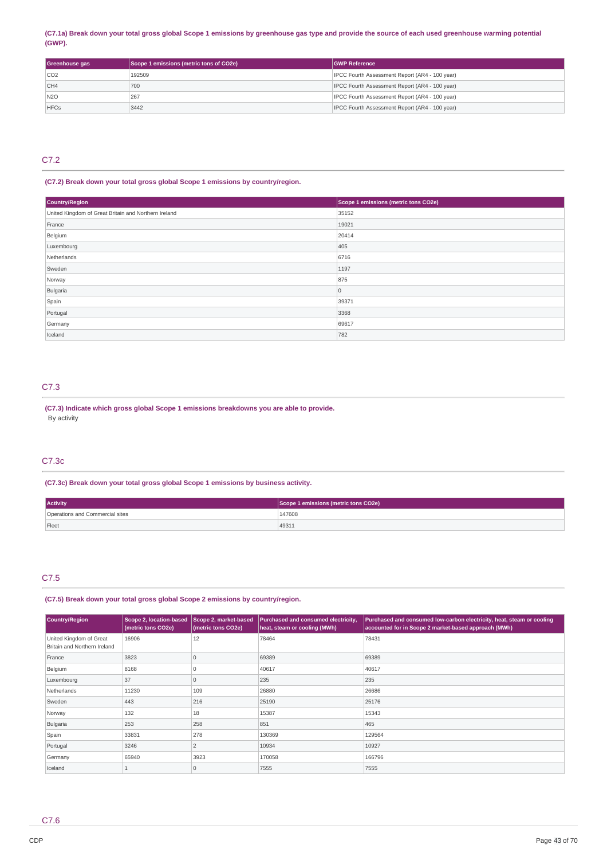## (C7.1a) Break down your total gross global Scope 1 emissions by greenhouse gas type and provide the source of each used greenhouse warming potential **(GWP).**

| Greenhouse gas  | Scope 1 emissions (metric tons of CO2e) | <b>IGWP Reference</b>                          |
|-----------------|-----------------------------------------|------------------------------------------------|
| CO2             | 192509                                  | IPCC Fourth Assessment Report (AR4 - 100 year) |
| CH4             | 700                                     | IPCC Fourth Assessment Report (AR4 - 100 year) |
| N <sub>20</sub> | 267                                     | IPCC Fourth Assessment Report (AR4 - 100 year) |
| <b>HFCs</b>     | 3442                                    | IPCC Fourth Assessment Report (AR4 - 100 year) |

# C7.2

## **(C7.2) Break down your total gross global Scope 1 emissions by country/region.**

| Country/Region                                       | Scope 1 emissions (metric tons CO2e) |
|------------------------------------------------------|--------------------------------------|
| United Kingdom of Great Britain and Northern Ireland | 35152                                |
| France                                               | 19021                                |
| Belgium                                              | 20414                                |
| Luxembourg                                           | 405                                  |
| Netherlands                                          | 6716                                 |
| Sweden                                               | 1197                                 |
| Norway                                               | 875                                  |
| Bulgaria                                             | $\overline{0}$                       |
| Spain                                                | 39371                                |
| Portugal                                             | 3368                                 |
| Germany                                              | 69617                                |
| Iceland                                              | 782                                  |

## C7.3

**(C7.3) Indicate which gross global Scope 1 emissions breakdowns you are able to provide.** By activity

## C7.3c

**(C7.3c) Break down your total gross global Scope 1 emissions by business activity.**

| <b>Activity</b>                 | Scope 1 emissions (metric tons CO2e) |
|---------------------------------|--------------------------------------|
| Operations and Commercial sites | 147608                               |
| Fleet                           | 49311                                |

# C7.5

## **(C7.5) Break down your total gross global Scope 2 emissions by country/region.**

| Country/Region                                          | <b>Scope 2, location-based</b><br>(metric tons CO2e) | Scope 2, market-based<br>(metric tons CO2e) | Purchased and consumed electricity,<br>heat, steam or cooling (MWh) | Purchased and consumed low-carbon electricity, heat, steam or cooling<br>accounted for in Scope 2 market-based approach (MWh) |
|---------------------------------------------------------|------------------------------------------------------|---------------------------------------------|---------------------------------------------------------------------|-------------------------------------------------------------------------------------------------------------------------------|
| United Kingdom of Great<br>Britain and Northern Ireland | 16906                                                | 12                                          | 78464                                                               | 78431                                                                                                                         |
| France                                                  | 3823                                                 | $\Omega$                                    | 69389                                                               | 69389                                                                                                                         |
| Belgium                                                 | 8168                                                 |                                             | 40617                                                               | 40617                                                                                                                         |
| Luxembourg                                              | 37                                                   |                                             | 235                                                                 | 235                                                                                                                           |
| Netherlands                                             | 11230                                                | 109                                         | 26880                                                               | 26686                                                                                                                         |
| Sweden                                                  | 443                                                  | 216                                         | 25190                                                               | 25176                                                                                                                         |
| Norway                                                  | 132                                                  | 18                                          | 15387                                                               | 15343                                                                                                                         |
| Bulgaria                                                | 253                                                  | 258                                         | 851                                                                 | 465                                                                                                                           |
| Spain                                                   | 33831                                                | 278                                         | 130369                                                              | 129564                                                                                                                        |
| Portugal                                                | 3246                                                 | 2                                           | 10934                                                               | 10927                                                                                                                         |
| Germany                                                 | 65940                                                | 3923                                        | 170058                                                              | 166796                                                                                                                        |
| Iceland                                                 |                                                      | $\Omega$                                    | 7555                                                                | 7555                                                                                                                          |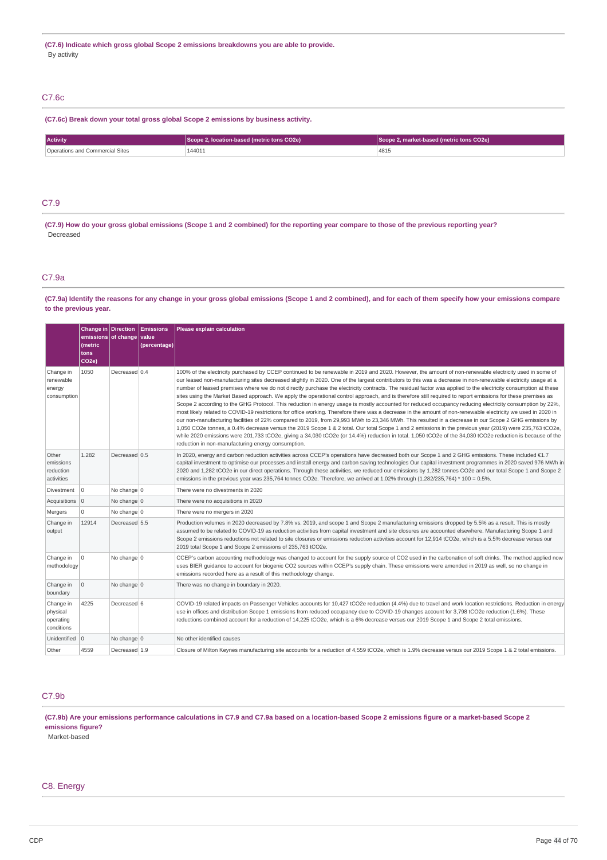## C7.6c

## **(C7.6c) Break down your total gross global Scope 2 emissions by business activity.**

| <b>Activity</b>          | location-based (metric tons CO2e)             | 2. market-based (metric tons CO2e) |
|--------------------------|-----------------------------------------------|------------------------------------|
| Site:<br>nmercia.<br>and | 144011<br>the contract of the contract of the | 4815                               |

## C7.9

(C7.9) How do your gross global emissions (Scope 1 and 2 combined) for the reporting year compare to those of the previous reporting year? Decreased

## C7.9a

## (C7.9a) Identify the reasons for any change in your gross global emissions (Scope 1 and 2 combined), and for each of them specify how your emissions compare **to the previous year.**

|                                                  | Change in Direction<br>emissions of change value<br>(metric<br>tons<br>CO <sub>2e</sub> ) |                | <b>Emissions</b><br>(percentage) | <b>Please explain calculation</b>                                                                                                                                                                                                                                                                                                                                                                                                                                                                                                                                                                                                                                                                                                                                                                                                                                                                                                                                                                                                                                                                                                                                                                                                                                                                                                                                                                                                                                                                                           |
|--------------------------------------------------|-------------------------------------------------------------------------------------------|----------------|----------------------------------|-----------------------------------------------------------------------------------------------------------------------------------------------------------------------------------------------------------------------------------------------------------------------------------------------------------------------------------------------------------------------------------------------------------------------------------------------------------------------------------------------------------------------------------------------------------------------------------------------------------------------------------------------------------------------------------------------------------------------------------------------------------------------------------------------------------------------------------------------------------------------------------------------------------------------------------------------------------------------------------------------------------------------------------------------------------------------------------------------------------------------------------------------------------------------------------------------------------------------------------------------------------------------------------------------------------------------------------------------------------------------------------------------------------------------------------------------------------------------------------------------------------------------------|
| Change in<br>renewable<br>energy<br>consumption  | 1050                                                                                      | Decreased 0.4  |                                  | 100% of the electricity purchased by CCEP continued to be renewable in 2019 and 2020. However, the amount of non-renewable electricity used in some of<br>our leased non-manufacturing sites decreased slightly in 2020. One of the largest contributors to this was a decrease in non-renewable electricity usage at a<br>number of leased premises where we do not directly purchase the electricity contracts. The residual factor was applied to the electricity consumption at these<br>sites using the Market Based approach. We apply the operational control approach, and is therefore still required to report emissions for these premises as<br>Scope 2 according to the GHG Protocol. This reduction in energy usage is mostly accounted for reduced occupancy reducing electricity consumption by 22%,<br>most likely related to COVID-19 restrictions for office working. Therefore there was a decrease in the amount of non-renewable electricity we used in 2020 in<br>our non-manufacturing facilities of 22% compared to 2019, from 29,993 MWh to 23,346 MWh. This resulted in a decrease in our Scope 2 GHG emissions by<br>1,050 CO2e tonnes, a 0.4% decrease versus the 2019 Scope 1 & 2 total. Our total Scope 1 and 2 emissions in the previous year (2019) were 235,763 tCO2e,<br>while 2020 emissions were 201,733 tCO2e, giving a 34,030 tCO2e (or 14.4%) reduction in total. 1,050 tCO2e of the 34,030 tCO2e reduction is because of the<br>reduction in non-manufacturing energy consumption. |
| Other<br>emissions<br>reduction<br>activities    | 1.282                                                                                     | Decreased 0.5  |                                  | In 2020, energy and carbon reduction activities across CCEP's operations have decreased both our Scope 1 and 2 GHG emissions. These included €1.7<br>capital investment to optimise our processes and install energy and carbon saving technologies Our capital investment programmes in 2020 saved 976 MWh in<br>2020 and 1,282 tCO2e in our direct operations. Through these activities, we reduced our emissions by 1,282 tonnes CO2e and our total Scope 1 and Scope 2<br>emissions in the previous year was 235,764 tonnes CO2e. Therefore, we arrived at 1.02% through (1.282/235,764) * 100 = 0.5%.                                                                                                                                                                                                                                                                                                                                                                                                                                                                                                                                                                                                                                                                                                                                                                                                                                                                                                                  |
| Divestment                                       | l O                                                                                       | No change 0    |                                  | There were no divestments in 2020                                                                                                                                                                                                                                                                                                                                                                                                                                                                                                                                                                                                                                                                                                                                                                                                                                                                                                                                                                                                                                                                                                                                                                                                                                                                                                                                                                                                                                                                                           |
| Acquisitions 0                                   |                                                                                           | No change $ 0$ |                                  | There were no acquisitions in 2020                                                                                                                                                                                                                                                                                                                                                                                                                                                                                                                                                                                                                                                                                                                                                                                                                                                                                                                                                                                                                                                                                                                                                                                                                                                                                                                                                                                                                                                                                          |
| Mergers                                          | $\Omega$                                                                                  | No change 0    |                                  | There were no mergers in 2020                                                                                                                                                                                                                                                                                                                                                                                                                                                                                                                                                                                                                                                                                                                                                                                                                                                                                                                                                                                                                                                                                                                                                                                                                                                                                                                                                                                                                                                                                               |
| Change in<br>output                              | 12914                                                                                     | Decreased 5.5  |                                  | Production volumes in 2020 decreased by 7.8% vs. 2019, and scope 1 and Scope 2 manufacturing emissions dropped by 5.5% as a result. This is mostly<br>assumed to be related to COVID-19 as reduction activities from capital investment and site closures are accounted elsewhere. Manufacturing Scope 1 and<br>Scope 2 emissions reductions not related to site closures or emissions reduction activities account for 12,914 tCO2e, which is a 5.5% decrease versus our<br>2019 total Scope 1 and Scope 2 emissions of 235,763 tCO2e.                                                                                                                                                                                                                                                                                                                                                                                                                                                                                                                                                                                                                                                                                                                                                                                                                                                                                                                                                                                     |
| Change in<br>methodology                         | $\Omega$                                                                                  | No change 0    |                                  | CCEP's carbon accounting methodology was changed to account for the supply source of CO2 used in the carbonation of soft drinks. The method applied now<br>uses BIER quidance to account for biogenic CO2 sources within CCEP's supply chain. These emissions were amended in 2019 as well, so no change in<br>emissions recorded here as a result of this methodology change.                                                                                                                                                                                                                                                                                                                                                                                                                                                                                                                                                                                                                                                                                                                                                                                                                                                                                                                                                                                                                                                                                                                                              |
| Change in<br>boundary                            | $\mathbf 0$                                                                               | No change 0    |                                  | There was no change in boundary in 2020.                                                                                                                                                                                                                                                                                                                                                                                                                                                                                                                                                                                                                                                                                                                                                                                                                                                                                                                                                                                                                                                                                                                                                                                                                                                                                                                                                                                                                                                                                    |
| Change in<br>physical<br>operating<br>conditions | 4225                                                                                      | Decreased 6    |                                  | COVID-19 related impacts on Passenger Vehicles accounts for 10,427 tCO2e reduction (4.4%) due to travel and work location restrictions. Reduction in energy<br>use in offices and distribution Scope 1 emissions from reduced occupancy due to COVID-19 changes account for 3,798 tCO2e reduction (1.6%). These<br>reductions combined account for a reduction of 14,225 tCO2e, which is a 6% decrease versus our 2019 Scope 1 and Scope 2 total emissions.                                                                                                                                                                                                                                                                                                                                                                                                                                                                                                                                                                                                                                                                                                                                                                                                                                                                                                                                                                                                                                                                 |
| Unidentified 0                                   |                                                                                           | No change $0$  |                                  | No other identified causes                                                                                                                                                                                                                                                                                                                                                                                                                                                                                                                                                                                                                                                                                                                                                                                                                                                                                                                                                                                                                                                                                                                                                                                                                                                                                                                                                                                                                                                                                                  |
| Other                                            | 4559                                                                                      | Decreased 1.9  |                                  | Closure of Milton Keynes manufacturing site accounts for a reduction of 4,559 tCO2e, which is 1.9% decrease versus our 2019 Scope 1 & 2 total emissions.                                                                                                                                                                                                                                                                                                                                                                                                                                                                                                                                                                                                                                                                                                                                                                                                                                                                                                                                                                                                                                                                                                                                                                                                                                                                                                                                                                    |

## C7.9b

(C7.9b) Are your emissions performance calculations in C7.9 and C7.9a based on a location-based Scope 2 emissions figure or a market-based Scope 2 **emissions figure?**

Market-based

## C8. Energy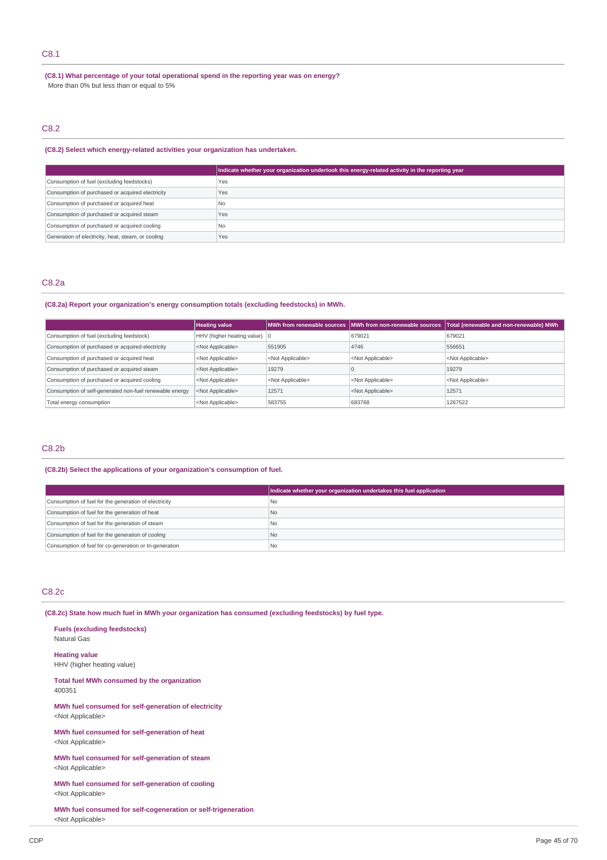## C8.1

**(C8.1) What percentage of your total operational spend in the reporting year was on energy?** More than 0% but less than or equal to 5%

# C8.2

## **(C8.2) Select which energy-related activities your organization has undertaken.**

|                                                    | Indicate whether your organization undertook this energy-related activity in the reporting year |
|----------------------------------------------------|-------------------------------------------------------------------------------------------------|
| Consumption of fuel (excluding feedstocks)         | Yes                                                                                             |
| Consumption of purchased or acquired electricity   | Yes                                                                                             |
| Consumption of purchased or acquired heat          | N <sub>0</sub>                                                                                  |
| Consumption of purchased or acquired steam         | Yes                                                                                             |
| Consumption of purchased or acquired cooling       | N <sub>0</sub>                                                                                  |
| Generation of electricity, heat, steam, or cooling | Yes                                                                                             |

### C8.2a

## **(C8.2a) Report your organization's energy consumption totals (excluding feedstocks) in MWh.**

|                                                         | <b>Heating value</b>                   |                           | MWh from renewable sources MWh from non-renewable sources | Total (renewable and non-renewable) MWh |
|---------------------------------------------------------|----------------------------------------|---------------------------|-----------------------------------------------------------|-----------------------------------------|
| Consumption of fuel (excluding feedstock)               | HHV (higher heating value) $ 0\rangle$ |                           | 679021                                                    | 679021                                  |
| Consumption of purchased or acquired electricity        | <not applicable=""></not>              | 551905                    | 4746                                                      | 556651                                  |
| Consumption of purchased or acquired heat               | <not applicable=""></not>              | <not applicable=""></not> | <not applicable=""></not>                                 | <not applicable=""></not>               |
| Consumption of purchased or acquired steam              | <not applicable=""></not>              | 19279                     |                                                           | 19279                                   |
| Consumption of purchased or acquired cooling            | <not applicable=""></not>              | <not applicable=""></not> | <not applicable=""></not>                                 | <not applicable=""></not>               |
| Consumption of self-generated non-fuel renewable energy | <not applicable=""></not>              | 12571                     | <not applicable=""></not>                                 | 12571                                   |
| Total energy consumption                                | <not applicable=""></not>              | 583755                    | 683768                                                    | 1267522                                 |

## C8.2b

### **(C8.2b) Select the applications of your organization's consumption of fuel.**

|                                                         | Indicate whether your organization undertakes this fuel application |
|---------------------------------------------------------|---------------------------------------------------------------------|
| Consumption of fuel for the generation of electricity   | l No                                                                |
| Consumption of fuel for the generation of heat          | N <sub>o</sub>                                                      |
| Consumption of fuel for the generation of steam         | No                                                                  |
| Consumption of fuel for the generation of cooling       | No                                                                  |
| Consumption of fuel for co-generation or tri-generation | No                                                                  |

## C8.2c

400351

**(C8.2c) State how much fuel in MWh your organization has consumed (excluding feedstocks) by fuel type.**

**Fuels (excluding feedstocks)** Natural Gas **Heating value** HHV (higher heating value) **Total fuel MWh consumed by the organization**

**MWh fuel consumed for self-generation of electricity** <Not Applicable>

**MWh fuel consumed for self-generation of heat** <Not Applicable>

**MWh fuel consumed for self-generation of steam** <Not Applicable>

**MWh fuel consumed for self-generation of cooling** <Not Applicable>

**MWh fuel consumed for self-cogeneration or self-trigeneration** <Not Applicable>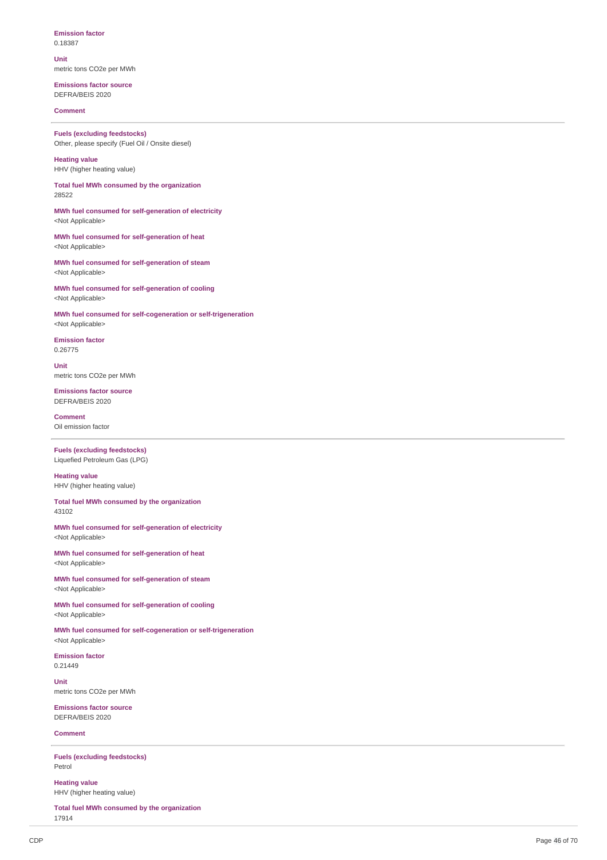### **Emission factor** 0.1 8 3 8 7

**U nit**

metric tons CO2e per MWh

### **Emissions factor source** DEFRA/BEIS 2020

**Comment** 

**Fuels** (excluding feedstocks) Other, please specify (Fuel Oil / Onsite diesel)

**Heating value** HHV (higher heating value)

Total fuel MWh consumed by the organization 2 8 5 2 2

MWh fuel consumed for self-generation of electricity <Not Applicable>

MWh fuel consumed for self-generation of heat <Not Applicable>

MWh fuel consumed for self-generation of steam <Not Applicable>

MWh fuel consumed for self-generation of cooling <Not Applicable>

MWh fuel consumed for self-cogeneration or self-trigeneration <Not Applicable>

**Emission factor** 0.26775

**U nit** metric tons CO2e per MWh

**Emissions factor source** DEFRA/BEIS 2020

**Comment** Oil emission factor

**Fuels** (excluding feedstocks) Liquefied Petroleum Gas (LPG)

**Heating value** HHV (higher heating value)

Total fuel MWh consumed by the organization 4 3 1 0 2

MWh fuel consumed for self-generation of electricity <Not Applicable>

MWh fuel consumed for self-generation of heat <Not Applicable>

MWh fuel consumed for self-generation of steam <Not Applicable>

MWh fuel consumed for self-generation of cooling <Not Applicable>

MWh fuel consumed for self-cogeneration or self-trigeneration <Not Applicable>

**Emission factor** 0.2 1 4 4 9

**U nit** metric tons CO2e per MWh

**Emissions factor source** DEFRA/BEIS 2020

**Comment** 

**Fuels** (excluding feedstocks) Petrol

**Heatin g v alu e** HHV (higher heating value)

Total fuel MWh consumed by the organization 1 7 9 1 4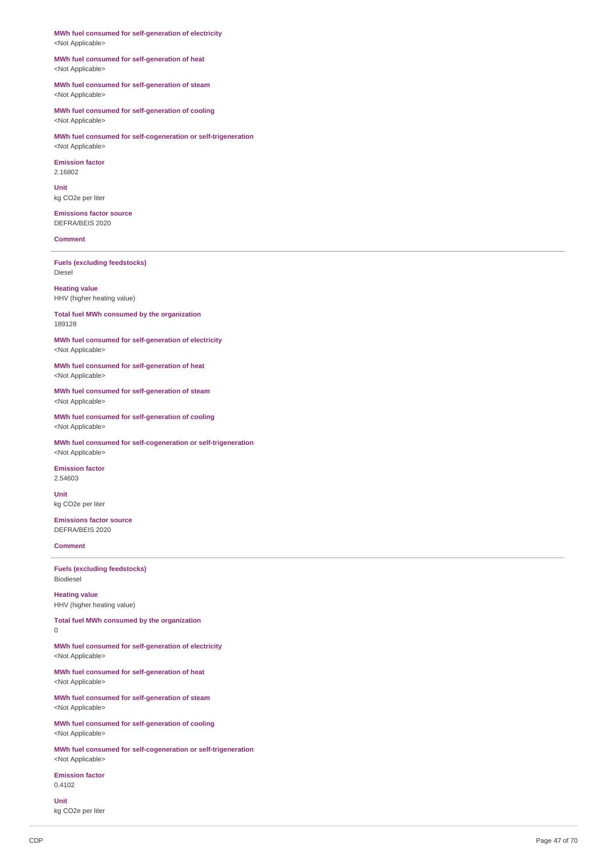MWh fuel consumed for self-generation of electricity <Not Applicable>

MWh fuel consumed for self-generation of heat <Not Applicable>

MWh fuel consumed for self-generation of steam <Not Applicable>

MWh fuel consumed for self-generation of cooling <Not Applicable>

MWh fuel consumed for self-cogeneration or self-trigeneration <Not Applicable>

**Emission factor** 2.1 6 8 0 2

**U nit** kg CO2e per liter

**Emissions factor source** DEFRA/BEIS 2020

### **Comment**

**Fuels** (excluding feedstocks) Diesel

**Heatin g v alu e** HHV (higher heating value)

Total fuel MWh consumed by the organization 1 8 9 1 2 8

MWh fuel consumed for self-generation of electricity <Not Applicable>

MWh fuel consumed for self-generation of heat <Not Applicable>

MWh fuel consumed for self-generation of steam <Not Applicable>

MWh fuel consumed for self-generation of cooling <Not Applicable>

MWh fuel consumed for self-cogeneration or self-trigeneration <Not Applicable>

**E mis sio n f a c t o r** 2.5 4 6 0 3

**U nit** kg CO2e per liter

**Emissions factor source** DEFRA/BEIS 2020

**Comment** 

**Fuels** (excluding feedstocks) Bio die s el

**Heating v alu e** HHV (higher heating value)

Total fuel MWh consumed by the organization  $\theta$ 

MWh fuel consumed for self-generation of electricity <Not Applicable>

MWh fuel consumed for self-generation of heat <Not Applicable>

MWh fuel consumed for self-generation of steam <Not Applicable>

MWh fuel consumed for self-generation of cooling <Not Applicable>

MWh fuel consumed for self-cogeneration or self-trigeneration <Not Applicable>

**Emission factor** 0.4 1 0 2

**U nit** kg CO<sub>2</sub>e per liter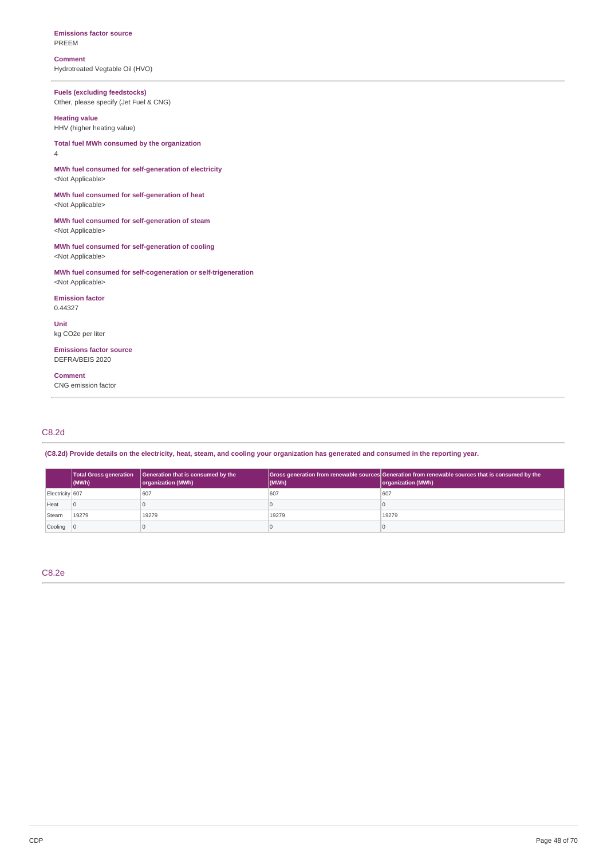**Emissions factor source** PREEM

**Comment** Hydrotreated Vegtable Oil (HVO)

**Fuels (excluding feedstocks)** Other, please specify (Jet Fuel & CNG)

**Heating value** HHV (higher heating value)

**Total fuel MWh consumed by the organization** 4

**MWh fuel consumed for self-generation of electricity** <Not Applicable>

**MWh fuel consumed for self-generation of heat** <Not Applicable>

**MWh fuel consumed for self-generation of steam** <Not Applicable>

**MWh fuel consumed for self-generation of cooling** <Not Applicable>

**MWh fuel consumed for self-cogeneration or self-trigeneration** <Not Applicable>

**Emission factor** 0.44327

**Unit** kg CO2e per liter

**Emissions factor source** DEFRA/BEIS 2020

**Comment** CNG emission factor

# C8.2d

(C8.2d) Provide details on the electricity, heat, steam, and cooling your organization has generated and consumed in the reporting year.

|                 | Total Gross generation<br>$ $ (MWh) | Generation that is consumed by the<br>organization (MWh) | (MWh) | Gross generation from renewable sources Generation from renewable sources that is consumed by the<br>organization (MWh) |
|-----------------|-------------------------------------|----------------------------------------------------------|-------|-------------------------------------------------------------------------------------------------------------------------|
| Electricity 607 |                                     | 607                                                      | 607   | 607                                                                                                                     |
| Heat            | $\overline{0}$                      |                                                          |       |                                                                                                                         |
| Steam           | 19279                               | 19279                                                    | 19279 | 19279                                                                                                                   |
| Cooling 0       |                                     |                                                          | U     |                                                                                                                         |

C8.2e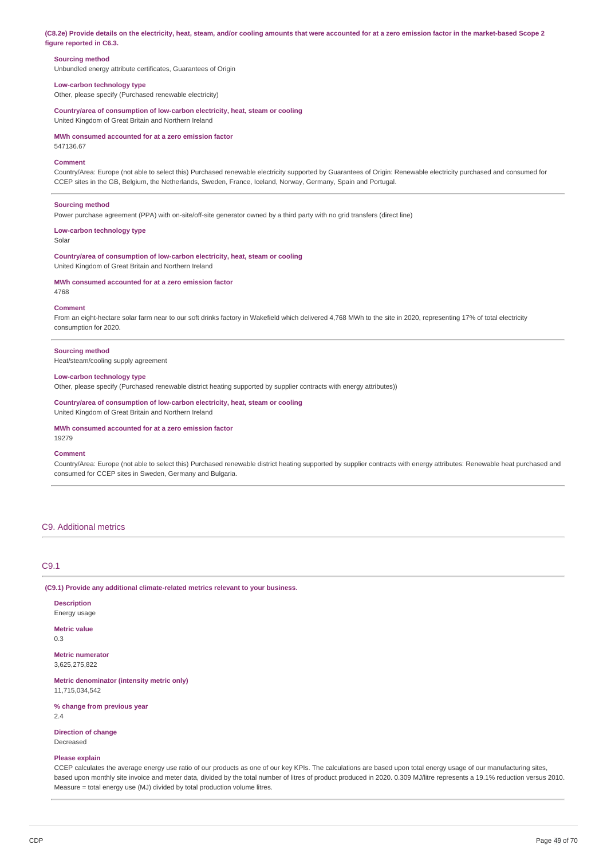(C8.2e) Provide details on the electricity, heat, steam, and/or cooling amounts that were accounted for at a zero emission factor in the market-based Scope 2 **figure reported in C6.3.**

### **Sourcing method**

Unbundled energy attribute certificates, Guarantees of Origin

## **Low-carbon technology type**

Other, please specify (Purchased renewable electricity)

**Country/area of consumption of low-carbon electricity, heat, steam or cooling** United Kingdom of Great Britain and Northern Ireland

**MWh consumed accounted for at a zero emission factor**

547136.67

### **Comment**

Country/Area: Europe (not able to select this) Purchased renewable electricity supported by Guarantees of Origin: Renewable electricity purchased and consumed for CCEP sites in the GB, Belgium, the Netherlands, Sweden, France, Iceland, Norway, Germany, Spain and Portugal.

#### **Sourcing method**

Power purchase agreement (PPA) with on-site/off-site generator owned by a third party with no grid transfers (direct line)

**Low-carbon technology type**

Solar

**Country/area of consumption of low-carbon electricity, heat, steam or cooling** United Kingdom of Great Britain and Northern Ireland

#### **MWh consumed accounted for at a zero emission factor**

4768

### **Comment**

From an eight-hectare solar farm near to our soft drinks factory in Wakefield which delivered 4,768 MWh to the site in 2020, representing 17% of total electricity consumption for 2020.

#### **Sourcing method**

Heat/steam/cooling supply agreement

## **Low-carbon technology type**

Other, please specify (Purchased renewable district heating supported by supplier contracts with energy attributes))

**Country/area of consumption of low-carbon electricity, heat, steam or cooling** United Kingdom of Great Britain and Northern Ireland

### **MWh consumed accounted for at a zero emission factor**

19279

#### **Comment**

Country/Area: Europe (not able to select this) Purchased renewable district heating supported by supplier contracts with energy attributes: Renewable heat purchased and consumed for CCEP sites in Sweden, Germany and Bulgaria.

### C9. Additional metrics

## C9.1

**(C9.1) Provide any additional climate-related metrics relevant to your business.**

### **Description**

Energy usage

**Metric value**

0.3

**Metric numerator** 3,625,275,822

**Metric denominator (intensity metric only)** 11,715,034,542

**% change from previous year** 2.4

# **Direction of change**

Decreased

#### **Please explain**

CCEP calculates the average energy use ratio of our products as one of our key KPIs. The calculations are based upon total energy usage of our manufacturing sites, based upon monthly site invoice and meter data, divided by the total number of litres of product produced in 2020. 0.309 MJ/litre represents a 19.1% reduction versus 2010. Measure = total energy use (MJ) divided by total production volume litres.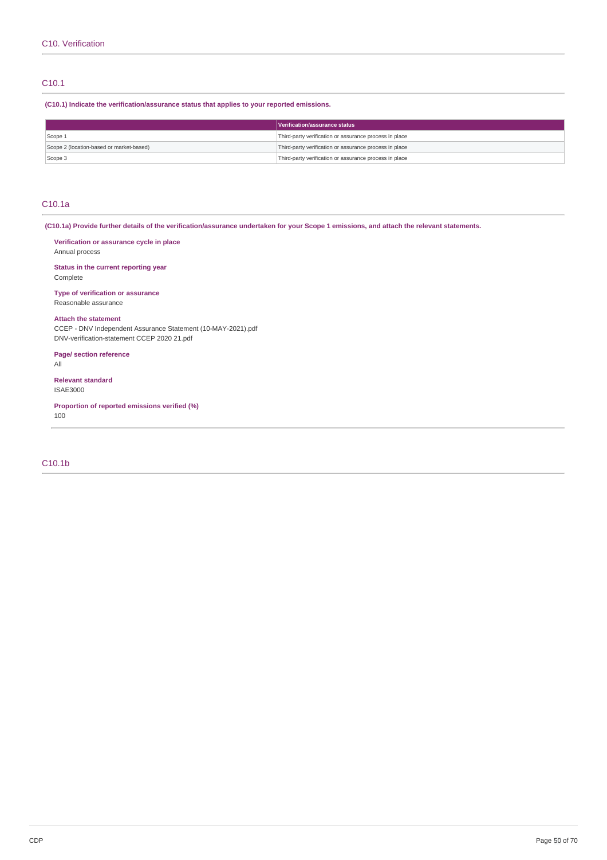## C10.1

**(C10.1) Indicate the verification/assurance status that applies to your reported emissions.**

|                                          | Verification/assurance status                          |
|------------------------------------------|--------------------------------------------------------|
| Scope 1                                  | Third-party verification or assurance process in place |
| Scope 2 (location-based or market-based) | Third-party verification or assurance process in place |
| Scope 3                                  | Third-party verification or assurance process in place |

## C10.1a

Complete

(C10.1a) Provide further details of the verification/assurance undertaken for your Scope 1 emissions, and attach the relevant statements.

**Verification or assurance cycle in place** Annual process **Status in the current reporting year**

**Type of verification or assurance** Reasonable assurance

## **Attach the statement**

CCEP - DNV Independent Assurance Statement (10-MAY-2021).pdf DNV-verification-statement CCEP 2020 21.pdf

**Page/ section reference**

All

**Relevant standard** ISAE3000

**Proportion of reported emissions verified (%)** 100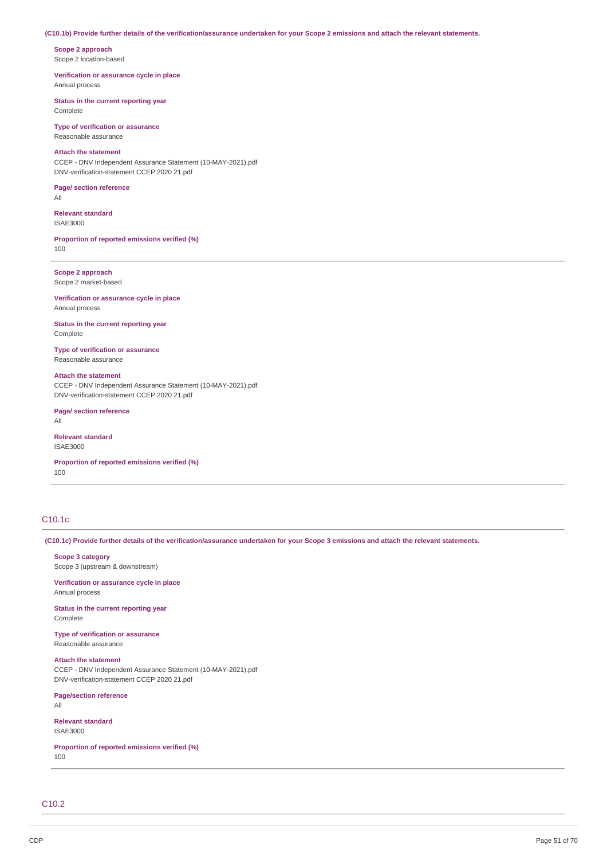### (C10.1b) Provide further details of the verification/assurance undertaken for your Scope 2 emissions and attach the relevant statements.

**Scope 2 approach** Scope 2 location-based

**Verification or assurance cycle in place** Annual process

**Status in the current reporting year** Complete

**Type of verification or assurance** Reasonable assurance

## **Attach the statement**

CCEP - DNV Independent Assurance Statement (10-MAY-2021).pdf DNV-verification-statement CCEP 2020 21.pdf

#### **Page/ section reference** All

**Relevant standard** ISAE3000

**Proportion of reported emissions verified (%)** 100

**Scope 2 approach** Scope 2 market-based

**Verification or assurance cycle in place** Annual process

**Status in the current reporting year** Complete

### **Type of verification or assurance** Reasonable assurance

**Attach the statement** CCEP - DNV Independent Assurance Statement (10-MAY-2021).pdf DNV-verification-statement CCEP 2020 21.pdf

**Page/ section reference** All

**Relevant standard** ISAE3000

**Proportion of reported emissions verified (%)** 100

# C10.1c

(C10.1c) Provide further details of the verification/assurance undertaken for your Scope 3 emissions and attach the relevant statements.

## **Scope 3 category** Scope 3 (upstream & downstream)

**Verification or assurance cycle in place** Annual process

**Status in the current reporting year** Complete

**Type of verification or assurance** Reasonable assurance

**Attach the statement** CCEP - DNV Independent Assurance Statement (10-MAY-2021).pdf DNV-verification-statement CCEP 2020 21.pdf

**Page/section reference** All

**Relevant standard** ISAE3000

**Proportion of reported emissions verified (%)** 100

C10.2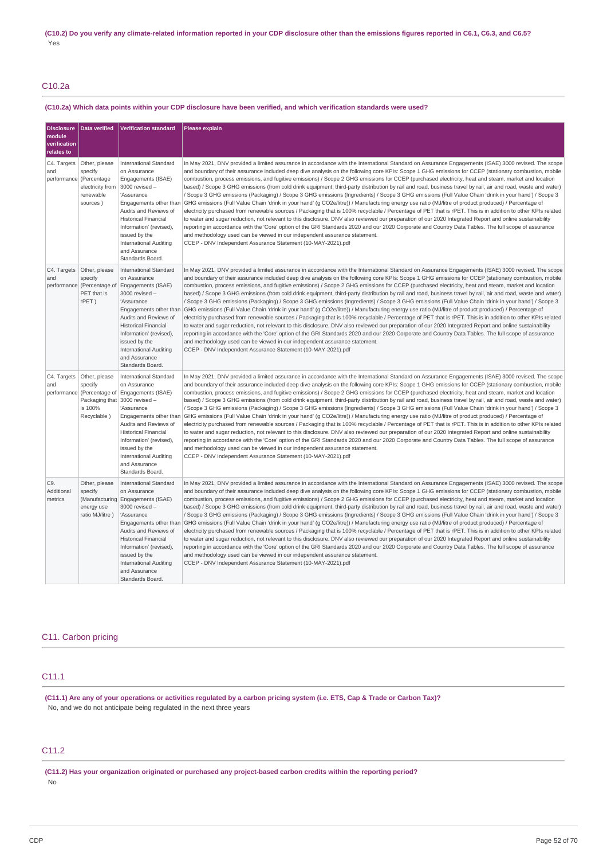# C10.2a

## (C10.2a) Which data points within your CDP disclosure have been verified, and which verification standards were used?

| <b>Disclosure</b><br>module<br>verification<br>relates to | Data verified                                                                                      | <b>Verification standard</b>                                                                                                                                                                                                                                                                     | <b>Please explain</b>                                                                                                                                                                                                                                                                                                                                                                                                                                                                                                                                                                                                                                                                                                                                                                                                                                                                                                                                                                                                                                                                                                                                                                                                                                                                                                                                                                                                                                                                                                                                                                 |
|-----------------------------------------------------------|----------------------------------------------------------------------------------------------------|--------------------------------------------------------------------------------------------------------------------------------------------------------------------------------------------------------------------------------------------------------------------------------------------------|---------------------------------------------------------------------------------------------------------------------------------------------------------------------------------------------------------------------------------------------------------------------------------------------------------------------------------------------------------------------------------------------------------------------------------------------------------------------------------------------------------------------------------------------------------------------------------------------------------------------------------------------------------------------------------------------------------------------------------------------------------------------------------------------------------------------------------------------------------------------------------------------------------------------------------------------------------------------------------------------------------------------------------------------------------------------------------------------------------------------------------------------------------------------------------------------------------------------------------------------------------------------------------------------------------------------------------------------------------------------------------------------------------------------------------------------------------------------------------------------------------------------------------------------------------------------------------------|
| C4. Targets<br>and<br>performance (Percentage             | Other, please<br>specify<br>electricity from<br>renewable<br>sources)                              | International Standard<br>on Assurance<br>Engagements (ISAE)<br>3000 revised -<br>'Assurance<br>Engagements other than<br>Audits and Reviews of<br><b>Historical Financial</b><br>Information' (revised),<br>issued by the<br><b>International Auditing</b><br>and Assurance<br>Standards Board. | In May 2021, DNV provided a limited assurance in accordance with the International Standard on Assurance Engagements (ISAE) 3000 revised. The scope<br>and boundary of their assurance included deep dive analysis on the following core KPIs: Scope 1 GHG emissions for CCEP (stationary combustion, mobile<br>combustion, process emissions, and fugitive emissions) / Scope 2 GHG emissions for CCEP (purchased electricity, heat and steam, market and location<br>based) / Scope 3 GHG emissions (from cold drink equipment, third-party distribution by rail and road, business travel by rail, air and road, waste and water)<br>/ Scope 3 GHG emissions (Packaging) / Scope 3 GHG emissions (Ingredients) / Scope 3 GHG emissions (Full Value Chain 'drink in your hand') / Scope 3<br>GHG emissions (Full Value Chain 'drink in your hand' (g CO2e/litre)) / Manufacturing energy use ratio (MJ/litre of product produced) / Percentage of<br>electricity purchased from renewable sources / Packaging that is 100% recyclable / Percentage of PET that is rPET. This is in addition to other KPIs related<br>to water and sugar reduction, not relevant to this disclosure. DNV also reviewed our preparation of our 2020 Integrated Report and online sustainability<br>reporting in accordance with the 'Core' option of the GRI Standards 2020 and our 2020 Corporate and Country Data Tables. The full scope of assurance<br>and methodology used can be viewed in our independent assurance statement.<br>CCEP - DNV Independent Assurance Statement (10-MAY-2021).pdf |
| C4. Targets<br>and                                        | Other, please<br>specify<br>performance (Percentage of<br>PET that is<br>rPET)                     | International Standard<br>on Assurance<br>Engagements (ISAE)<br>3000 revised -<br>'Assurance<br>Engagements other than<br>Audits and Reviews of<br><b>Historical Financial</b><br>Information' (revised),<br>issued by the<br>International Auditing<br>and Assurance<br>Standards Board.        | In May 2021, DNV provided a limited assurance in accordance with the International Standard on Assurance Engagements (ISAE) 3000 revised. The scope<br>and boundary of their assurance included deep dive analysis on the following core KPIs: Scope 1 GHG emissions for CCEP (stationary combustion, mobile<br>combustion, process emissions, and fugitive emissions) / Scope 2 GHG emissions for CCEP (purchased electricity, heat and steam, market and location<br>based) / Scope 3 GHG emissions (from cold drink equipment, third-party distribution by rail and road, business travel by rail, air and road, waste and water)<br>/ Scope 3 GHG emissions (Packaging) / Scope 3 GHG emissions (Ingredients) / Scope 3 GHG emissions (Full Value Chain 'drink in your hand') / Scope 3<br>GHG emissions (Full Value Chain 'drink in your hand' (g CO2e/litre)) / Manufacturing energy use ratio (MJ/litre of product produced) / Percentage of<br>electricity purchased from renewable sources / Packaging that is 100% recyclable / Percentage of PET that is rPET. This is in addition to other KPIs related<br>to water and sugar reduction, not relevant to this disclosure. DNV also reviewed our preparation of our 2020 Integrated Report and online sustainability<br>reporting in accordance with the 'Core' option of the GRI Standards 2020 and our 2020 Corporate and Country Data Tables. The full scope of assurance<br>and methodology used can be viewed in our independent assurance statement.<br>CCEP - DNV Independent Assurance Statement (10-MAY-2021).pdf |
| C4. Targets<br>and                                        | Other, please<br>specify<br>performance (Percentage of<br>Packaging that<br>is 100%<br>Recyclable) | International Standard<br>on Assurance<br>Engagements (ISAE)<br>3000 revised -<br>'Assurance<br>Engagements other than<br>Audits and Reviews of<br><b>Historical Financial</b><br>Information' (revised),<br>issued by the<br>International Auditing<br>and Assurance<br>Standards Board.        | In May 2021, DNV provided a limited assurance in accordance with the International Standard on Assurance Engagements (ISAE) 3000 revised. The scope<br>and boundary of their assurance included deep dive analysis on the following core KPIs: Scope 1 GHG emissions for CCEP (stationary combustion, mobile<br>combustion, process emissions, and fugitive emissions) / Scope 2 GHG emissions for CCEP (purchased electricity, heat and steam, market and location<br>based) / Scope 3 GHG emissions (from cold drink equipment, third-party distribution by rail and road, business travel by rail, air and road, waste and water)<br>/ Scope 3 GHG emissions (Packaging) / Scope 3 GHG emissions (Ingredients) / Scope 3 GHG emissions (Full Value Chain 'drink in your hand') / Scope 3<br>GHG emissions (Full Value Chain 'drink in your hand' (g CO2e/litre)) / Manufacturing energy use ratio (MJ/litre of product produced) / Percentage of<br>electricity purchased from renewable sources / Packaging that is 100% recyclable / Percentage of PET that is rPET. This is in addition to other KPIs related<br>to water and sugar reduction, not relevant to this disclosure. DNV also reviewed our preparation of our 2020 Integrated Report and online sustainability<br>reporting in accordance with the 'Core' option of the GRI Standards 2020 and our 2020 Corporate and Country Data Tables. The full scope of assurance<br>and methodology used can be viewed in our independent assurance statement.<br>CCEP - DNV Independent Assurance Statement (10-MAY-2021).pdf |
| C9.<br>Additional<br>metrics                              | Other, please<br>specify<br>(Manufacturing<br>energy use<br>ratio MJ/litre)                        | International Standard<br>on Assurance<br>Engagements (ISAE)<br>3000 revised -<br>'Assurance<br>Engagements other than<br>Audits and Reviews of<br><b>Historical Financial</b><br>Information' (revised),<br>issued by the<br>International Auditing<br>and Assurance<br>Standards Board.        | In May 2021, DNV provided a limited assurance in accordance with the International Standard on Assurance Engagements (ISAE) 3000 revised. The scope<br>and boundary of their assurance included deep dive analysis on the following core KPIs: Scope 1 GHG emissions for CCEP (stationary combustion, mobile<br>combustion, process emissions, and fugitive emissions) / Scope 2 GHG emissions for CCEP (purchased electricity, heat and steam, market and location<br>based) / Scope 3 GHG emissions (from cold drink equipment, third-party distribution by rail and road, business travel by rail, air and road, waste and water)<br>/ Scope 3 GHG emissions (Packaging) / Scope 3 GHG emissions (Ingredients) / Scope 3 GHG emissions (Full Value Chain 'drink in your hand') / Scope 3<br>GHG emissions (Full Value Chain 'drink in your hand' (g CO2e/litre)) / Manufacturing energy use ratio (MJ/litre of product produced) / Percentage of<br>electricity purchased from renewable sources / Packaging that is 100% recyclable / Percentage of PET that is rPET. This is in addition to other KPIs related<br>to water and sugar reduction, not relevant to this disclosure. DNV also reviewed our preparation of our 2020 Integrated Report and online sustainability<br>reporting in accordance with the 'Core' option of the GRI Standards 2020 and our 2020 Corporate and Country Data Tables. The full scope of assurance<br>and methodology used can be viewed in our independent assurance statement.<br>CCEP - DNV Independent Assurance Statement (10-MAY-2021).pdf |

# C11. Carbon pricing

# C11.1

(C11.1) Are any of your operations or activities regulated by a carbon pricing system (i.e. ETS, Cap & Trade or Carbon Tax)? No, and we do not anticipate being regulated in the next three years

## C11.2

**(C11.2) Has your organization originated or purchased any project-based carbon credits within the reporting period?** No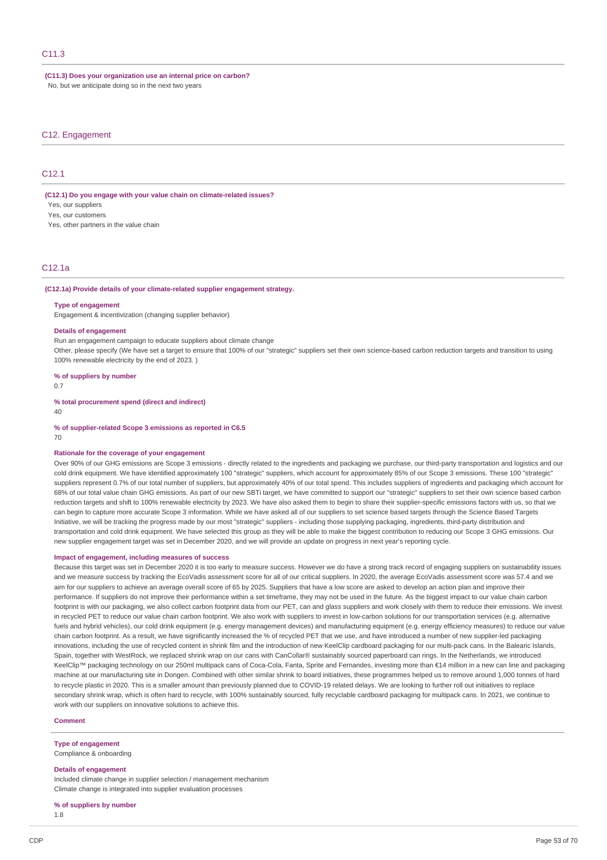**(C11.3) Does your organization use an internal price on carbon?** No, but we anticipate doing so in the next two years

### C12. Engagement

## C<sub>12</sub>.1

**(C12.1) Do you engage with your value chain on climate-related issues?**

Yes, our suppliers

Yes, our customers

Yes, other partners in the value chain

## C12.1a

## **(C12.1a) Provide details of your climate-related supplier engagement strategy.**

#### **Type of engagement**

Engagement & incentivization (changing supplier behavior)

### **Details of engagement**

Run an engagement campaign to educate suppliers about climate change

Other, please specify (We have set a target to ensure that 100% of our "strategic" suppliers set their own science-based carbon reduction targets and transition to using 100% renewable electricity by the end of 2023. )

**% of suppliers by number**

0.7

**% total procurement spend (direct and indirect)**

 $\Lambda$ 0

**% of supplier-related Scope 3 emissions as reported in C6.5**

70

### **Rationale for the coverage of your engagement**

Over 90% of our GHG emissions are Scope 3 emissions - directly related to the ingredients and packaging we purchase, our third-party transportation and logistics and our cold drink equipment. We have identified approximately 100 "strategic" suppliers, which account for approximately 85% of our Scope 3 emissions. These 100 "strategic" suppliers represent 0.7% of our total number of suppliers, but approximately 40% of our total spend. This includes suppliers of ingredients and packaging which account for 68% of our total value chain GHG emissions. As part of our new SBTi target, we have committed to support our "strategic" suppliers to set their own science based carbon reduction targets and shift to 100% renewable electricity by 2023. We have also asked them to begin to share their supplier-specific emissions factors with us, so that we can begin to capture more accurate Scope 3 information. While we have asked all of our suppliers to set science based targets through the Science Based Targets Initiative, we will be tracking the progress made by our most "strategic" suppliers - including those supplying packaging, ingredients, third-party distribution and transportation and cold drink equipment. We have selected this group as they will be able to make the biggest contribution to reducing our Scope 3 GHG emissions. Our new supplier engagement target was set in December 2020, and we will provide an update on progress in next year's reporting cycle.

#### **Impact of engagement, including measures of success**

Because this target was set in December 2020 it is too early to measure success. However we do have a strong track record of engaging suppliers on sustainability issues and we measure success by tracking the EcoVadis assessment score for all of our critical suppliers. In 2020, the average EcoVadis assessment score was 57.4 and we aim for our suppliers to achieve an average overall score of 65 by 2025. Suppliers that have a low score are asked to develop an action plan and improve their performance. If suppliers do not improve their performance within a set timeframe, they may not be used in the future. As the biggest impact to our value chain carbon footprint is with our packaging, we also collect carbon footprint data from our PET, can and glass suppliers and work closely with them to reduce their emissions. We invest in recycled PET to reduce our value chain carbon footprint. We also work with suppliers to invest in low-carbon solutions for our transportation services (e.g. alternative fuels and hybrid vehicles), our cold drink equipment (e.g. energy management devices) and manufacturing equipment (e.g. energy efficiency measures) to reduce our value chain carbon footprint. As a result, we have significantly increased the % of recycled PET that we use, and have introduced a number of new supplier-led packaging innovations, including the use of recycled content in shrink film and the introduction of new KeelClip cardboard packaging for our multi-pack cans. In the Balearic Islands, Spain, together with WestRock, we replaced shrink wrap on our cans with CanCollar® sustainably sourced paperboard can rings. In the Netherlands, we introduced KeelClip™ packaging technology on our 250ml multipack cans of Coca-Cola, Fanta, Sprite and Fernandes, investing more than €14 million in a new can line and packaging machine at our manufacturing site in Dongen. Combined with other similar shrink to board initiatives, these programmes helped us to remove around 1,000 tonnes of hard to recycle plastic in 2020. This is a smaller amount than previously planned due to COVID-19 related delays. We are looking to further roll out initiatives to replace secondary shrink wrap, which is often hard to recycle, with 100% sustainably sourced, fully recyclable cardboard packaging for multipack cans. In 2021, we continue to work with our suppliers on innovative solutions to achieve this.

## **Comment**

#### **Type of engagement**

Compliance & onboarding

#### **Details of engagement**

Included climate change in supplier selection / management mechanism Climate change is integrated into supplier evaluation processes

**% of suppliers by number**

1.8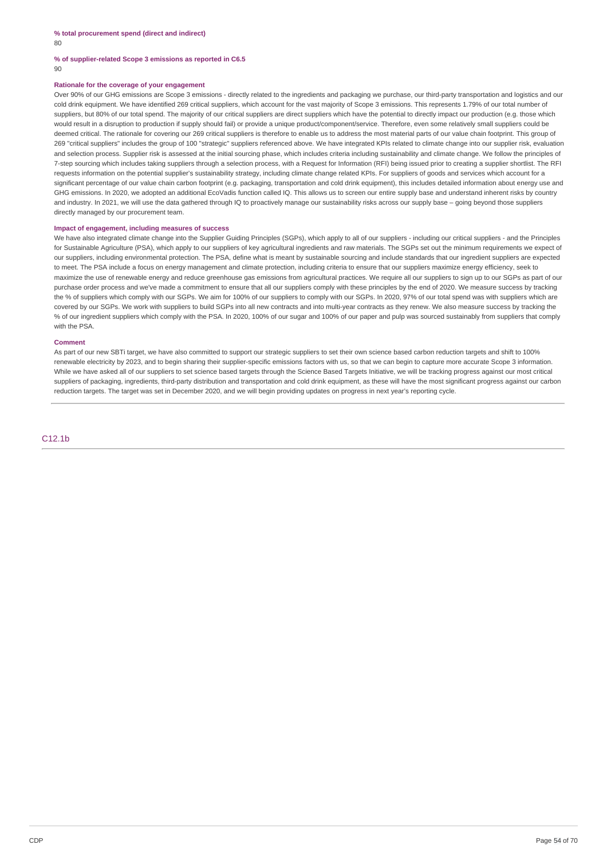# **% of supplier-related Scope 3 emissions as reported in C6.5**

 $90$ 

## **Rationale for the coverage of your engagement**

Over 90% of our GHG emissions are Scope 3 emissions - directly related to the ingredients and packaging we purchase, our third-party transportation and logistics and our cold drink equipment. We have identified 269 critical suppliers, which account for the vast majority of Scope 3 emissions. This represents 1.79% of our total number of suppliers, but 80% of our total spend. The majority of our critical suppliers are direct suppliers which have the potential to directly impact our production (e.g. those which would result in a disruption to production if supply should fail) or provide a unique product/component/service. Therefore, even some relatively small suppliers could be deemed critical. The rationale for covering our 269 critical suppliers is therefore to enable us to address the most material parts of our value chain footprint. This group of 269 "critical suppliers" includes the group of 100 "strategic" suppliers referenced above. We have integrated KPIs related to climate change into our supplier risk, evaluation and selection process. Supplier risk is assessed at the initial sourcing phase, which includes criteria including sustainability and climate change. We follow the principles of 7-step sourcing which includes taking suppliers through a selection process, with a Request for Information (RFI) being issued prior to creating a supplier shortlist. The RFI requests information on the potential supplier's sustainability strategy, including climate change related KPIs. For suppliers of goods and services which account for a significant percentage of our value chain carbon footprint (e.g. packaging, transportation and cold drink equipment), this includes detailed information about energy use and GHG emissions. In 2020, we adopted an additional EcoVadis function called IQ. This allows us to screen our entire supply base and understand inherent risks by country and industry. In 2021, we will use the data gathered through IQ to proactively manage our sustainability risks across our supply base – going beyond those suppliers directly managed by our procurement team.

## **Impact of engagement, including measures of success**

We have also integrated climate change into the Supplier Guiding Principles (SGPs), which apply to all of our suppliers - including our critical suppliers - and the Principles for Sustainable Agriculture (PSA), which apply to our suppliers of key agricultural ingredients and raw materials. The SGPs set out the minimum requirements we expect of our suppliers, including environmental protection. The PSA, define what is meant by sustainable sourcing and include standards that our ingredient suppliers are expected to meet. The PSA include a focus on energy management and climate protection, including criteria to ensure that our suppliers maximize energy efficiency, seek to maximize the use of renewable energy and reduce greenhouse gas emissions from agricultural practices. We require all our suppliers to sign up to our SGPs as part of our purchase order process and we've made a commitment to ensure that all our suppliers comply with these principles by the end of 2020. We measure success by tracking the % of suppliers which comply with our SGPs. We aim for 100% of our suppliers to comply with our SGPs. In 2020, 97% of our total spend was with suppliers which are covered by our SGPs. We work with suppliers to build SGPs into all new contracts and into multi-year contracts as they renew. We also measure success by tracking the % of our ingredient suppliers which comply with the PSA. In 2020, 100% of our sugar and 100% of our paper and pulp was sourced sustainably from suppliers that comply with the PSA.

### **Comment**

As part of our new SBTi target, we have also committed to support our strategic suppliers to set their own science based carbon reduction targets and shift to 100% renewable electricity by 2023, and to begin sharing their supplier-specific emissions factors with us, so that we can begin to capture more accurate Scope 3 information. While we have asked all of our suppliers to set science based targets through the Science Based Targets Initiative, we will be tracking progress against our most critical suppliers of packaging, ingredients, third-party distribution and transportation and cold drink equipment, as these will have the most significant progress against our carbon reduction targets. The target was set in December 2020, and we will begin providing updates on progress in next year's reporting cycle.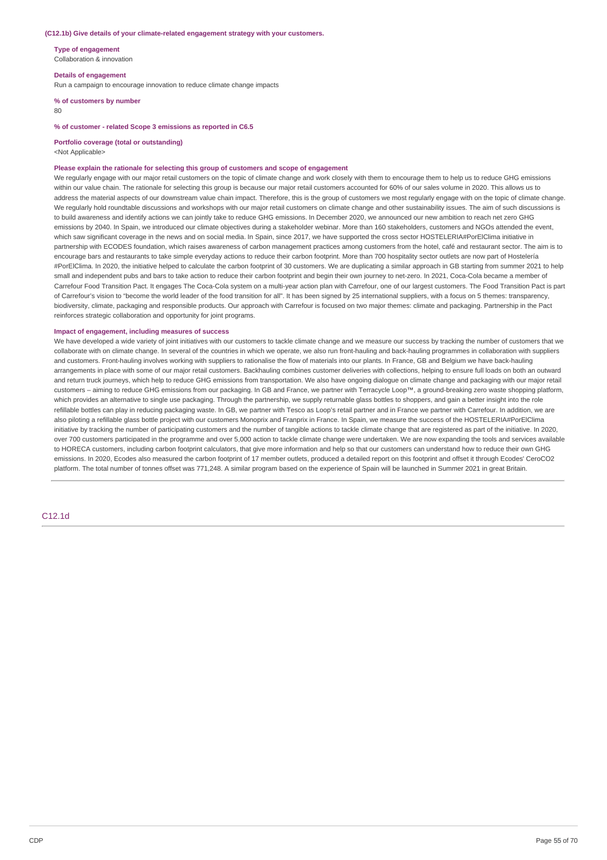#### **(C12.1b) Give details of your climate-related engagement strategy with your customers.**

**Type of engagement** Collaboration & innovation

**Details of engagement** Run a campaign to encourage innovation to reduce climate change impacts

**% of customers by number** 80

#### **% of customer - related Scope 3 emissions as reported in C6.5**

#### **Portfolio coverage (total or outstanding)**

<Not Applicable>

### **Please explain the rationale for selecting this group of customers and scope of engagement**

We regularly engage with our major retail customers on the topic of climate change and work closely with them to encourage them to help us to reduce GHG emissions within our value chain. The rationale for selecting this group is because our major retail customers accounted for 60% of our sales volume in 2020. This allows us to address the material aspects of our downstream value chain impact. Therefore, this is the group of customers we most regularly engage with on the topic of climate change. We regularly hold roundtable discussions and workshops with our major retail customers on climate change and other sustainability issues. The aim of such discussions is to build awareness and identify actions we can jointly take to reduce GHG emissions. In December 2020, we announced our new ambition to reach net zero GHG emissions by 2040. In Spain, we introduced our climate objectives during a stakeholder webinar. More than 160 stakeholders, customers and NGOs attended the event, which saw significant coverage in the news and on social media. In Spain, since 2017, we have supported the cross sector HOSTELERIA#PorElClima initiative in partnership with ECODES foundation, which raises awareness of carbon management practices among customers from the hotel, café and restaurant sector. The aim is to encourage bars and restaurants to take simple everyday actions to reduce their carbon footprint. More than 700 hospitality sector outlets are now part of Hostelería #PorElClima. In 2020, the initiative helped to calculate the carbon footprint of 30 customers. We are duplicating a similar approach in GB starting from summer 2021 to help small and independent pubs and bars to take action to reduce their carbon footprint and begin their own journey to net-zero. In 2021, Coca-Cola became a member of Carrefour Food Transition Pact. It engages The Coca-Cola system on a multi-year action plan with Carrefour, one of our largest customers. The Food Transition Pact is part of Carrefour's vision to "become the world leader of the food transition for all". It has been signed by 25 international suppliers, with a focus on 5 themes: transparency, biodiversity, climate, packaging and responsible products. Our approach with Carrefour is focused on two major themes: climate and packaging. Partnership in the Pact reinforces strategic collaboration and opportunity for joint programs.

#### **Impact of engagement, including measures of success**

We have developed a wide variety of joint initiatives with our customers to tackle climate change and we measure our success by tracking the number of customers that we collaborate with on climate change. In several of the countries in which we operate, we also run front-hauling and back-hauling programmes in collaboration with suppliers and customers. Front-hauling involves working with suppliers to rationalise the flow of materials into our plants. In France, GB and Belgium we have back-hauling arrangements in place with some of our major retail customers. Backhauling combines customer deliveries with collections, helping to ensure full loads on both an outward and return truck journeys, which help to reduce GHG emissions from transportation. We also have ongoing dialogue on climate change and packaging with our major retail customers – aiming to reduce GHG emissions from our packaging. In GB and France, we partner with Terracycle Loop™, a ground-breaking zero waste shopping platform, which provides an alternative to single use packaging. Through the partnership, we supply returnable glass bottles to shoppers, and gain a better insight into the role refillable bottles can play in reducing packaging waste. In GB, we partner with Tesco as Loop's retail partner and in France we partner with Carrefour. In addition, we are also piloting a refillable glass bottle project with our customers Monoprix and Franprix in France. In Spain, we measure the success of the HOSTELERIA#PorElClima initiative by tracking the number of participating customers and the number of tangible actions to tackle climate change that are registered as part of the initiative. In 2020, over 700 customers participated in the programme and over 5,000 action to tackle climate change were undertaken. We are now expanding the tools and services available to HORECA customers, including carbon footprint calculators, that give more information and help so that our customers can understand how to reduce their own GHG emissions. In 2020, Ecodes also measured the carbon footprint of 17 member outlets, produced a detailed report on this footprint and offset it through Ecodes' CeroCO2 platform. The total number of tonnes offset was 771,248. A similar program based on the experience of Spain will be launched in Summer 2021 in great Britain.

C12.1d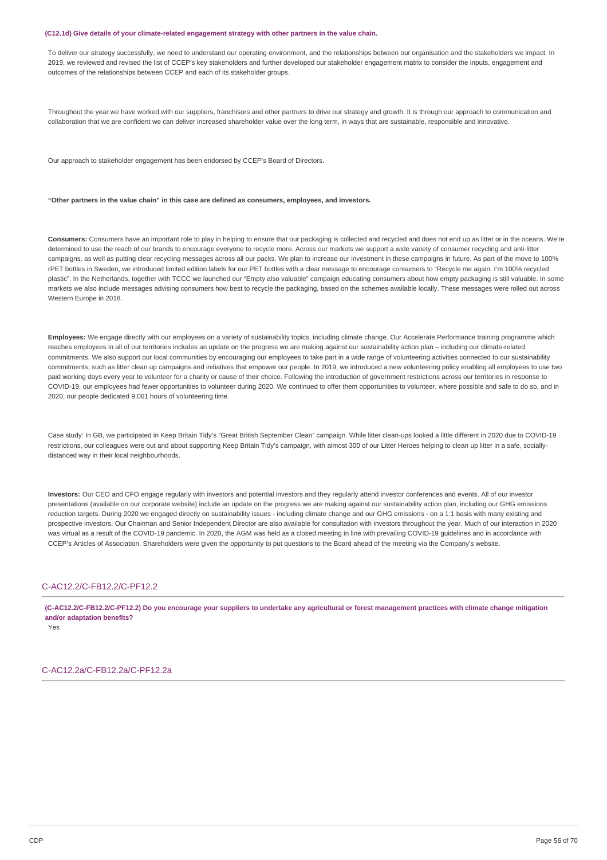### **(C12.1d) Give details of your climate-related engagement strategy with other partners in the value chain.**

To deliver our strategy successfully, we need to understand our operating environment, and the relationships between our organisation and the stakeholders we impact. In 2019, we reviewed and revised the list of CCEP's key stakeholders and further developed our stakeholder engagement matrix to consider the inputs, engagement and outcomes of the relationships between CCEP and each of its stakeholder groups.

Throughout the year we have worked with our suppliers, franchisors and other partners to drive our strategy and growth. It is through our approach to communication and collaboration that we are confident we can deliver increased shareholder value over the long term, in ways that are sustainable, responsible and innovative.

Our approach to stakeholder engagement has been endorsed by CCEP's Board of Directors.

### **"Other partners in the value chain" in this case are defined as consumers, employees, and investors.**

**Consumers:** Consumers have an important role to play in helping to ensure that our packaging is collected and recycled and does not end up as litter or in the oceans. We're determined to use the reach of our brands to encourage everyone to recycle more. Across our markets we support a wide variety of consumer recycling and anti-litter campaigns, as well as putting clear recycling messages across all our packs. We plan to increase our investment in these campaigns in future. As part of the move to 100% rPET bottles in Sweden, we introduced limited edition labels for our PET bottles with a clear message to encourage consumers to "Recycle me again. I'm 100% recycled plastic". In the Netherlands, together with TCCC we launched our "Empty also valuable" campaign educating consumers about how empty packaging is still valuable. In some markets we also include messages advising consumers how best to recycle the packaging, based on the schemes available locally. These messages were rolled out across Western Europe in 2018.

**Employees:** We engage directly with our employees on a variety of sustainability topics, including climate change. Our Accelerate Performance training programme which reaches employees in all of our territories includes an update on the progress we are making against our sustainability action plan – including our climate-related commitments. We also support our local communities by encouraging our employees to take part in a wide range of volunteering activities connected to our sustainability commitments, such as litter clean up campaigns and initiatives that empower our people. In 2019, we introduced a new volunteering policy enabling all employees to use two paid working days every year to volunteer for a charity or cause of their choice. Following the introduction of government restrictions across our territories in response to COVID-19, our employees had fewer opportunities to volunteer during 2020. We continued to offer them opportunities to volunteer, where possible and safe to do so, and in 2020, our people dedicated 9,061 hours of volunteering time.

Case study: In GB, we participated in Keep Britain Tidy's "Great British September Clean" campaign. While litter clean-ups looked a little different in 2020 due to COVID-19 restrictions, our colleagues were out and about supporting Keep Britain Tidy's campaign, with almost 300 of our Litter Heroes helping to clean up litter in a safe, sociallydistanced way in their local neighbourhoods.

**Investors:** Our CEO and CFO engage regularly with investors and potential investors and they regularly attend investor conferences and events. All of our investor presentations (available on our corporate website) include an update on the progress we are making against our sustainability action plan, including our GHG emissions reduction targets. During 2020 we engaged directly on sustainability issues - including climate change and our GHG emissions - on a 1:1 basis with many existing and prospective investors. Our Chairman and Senior Independent Director are also available for consultation with investors throughout the year. Much of our interaction in 2020 was virtual as a result of the COVID-19 pandemic. In 2020, the AGM was held as a closed meeting in line with prevailing COVID-19 guidelines and in accordance with CCEP's Articles of Association. Shareholders were given the opportunity to put questions to the Board ahead of the meeting via the Company's website.

## C-AC12.2/C-FB12.2/C-PF12.2

(C-AC12.2/C-FB12.2/C-PF12.2) Do you encourage your suppliers to undertake any agricultural or forest management practices with climate change mitigation **and/or adaptation benefits?**

Yes

C-AC12.2a/C-FB12.2a/C-PF12.2a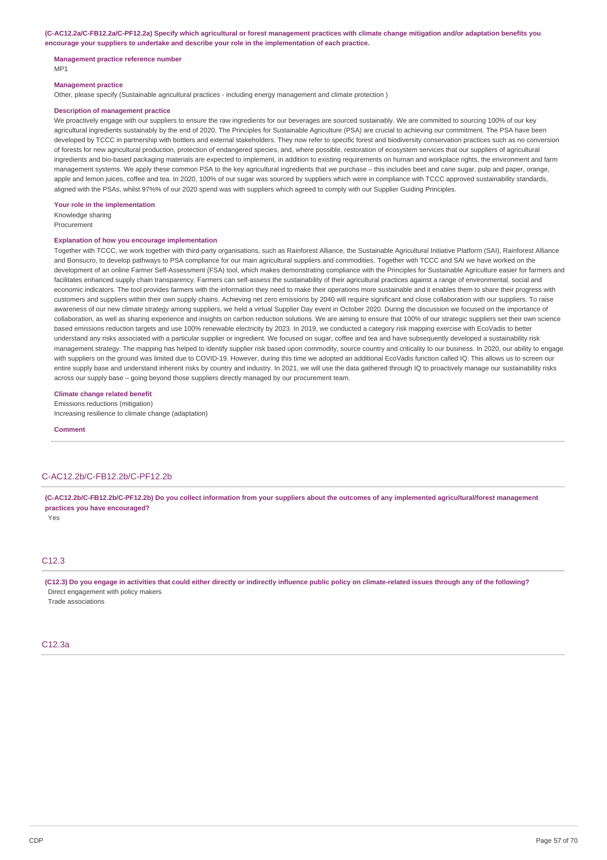(C-AC12.2a/C-FB12.2a/C-PF12.2a) Specify which agricultural or forest management practices with climate change mitigation and/or adaptation benefits you **encourage your suppliers to undertake and describe your role in the implementation of each practice.**

### **Management practice reference number**

MP1

#### **Management practice**

Other, please specify (Sustainable agricultural practices - including energy management and climate protection )

## **Description of management practice**

We proactively engage with our suppliers to ensure the raw ingredients for our beverages are sourced sustainably. We are committed to sourcing 100% of our key agricultural ingredients sustainably by the end of 2020. The Principles for Sustainable Agriculture (PSA) are crucial to achieving our commitment. The PSA have been developed by TCCC in partnership with bottlers and external stakeholders. They now refer to specific forest and biodiversity conservation practices such as no conversion of forests for new agricultural production, protection of endangered species, and, where possible, restoration of ecosystem services that our suppliers of agricultural ingredients and bio-based packaging materials are expected to implement, in addition to existing requirements on human and workplace rights, the environment and farm management systems. We apply these common PSA to the key agricultural ingredients that we purchase – this includes beet and cane sugar, pulp and paper, orange, apple and lemon juices, coffee and tea. In 2020, 100% of our sugar was sourced by suppliers which were in compliance with TCCC approved sustainability standards, aligned with the PSAs, whilst 97%% of our 2020 spend was with suppliers which agreed to comply with our Supplier Guiding Principles.

#### **Your role in the implementation**

Knowledge sharing Procurement

### **Explanation of how you encourage implementation**

Together with TCCC, we work together with third-party organisations, such as Rainforest Alliance, the Sustainable Agricultural Initiative Platform (SAI), Rainforest Alliance and Bonsucro, to develop pathways to PSA compliance for our main agricultural suppliers and commodities. Together with TCCC and SAI we have worked on the development of an online Farmer Self-Assessment (FSA) tool, which makes demonstrating compliance with the Principles for Sustainable Agriculture easier for farmers and facilitates enhanced supply chain transparency. Farmers can self-assess the sustainability of their agricultural practices against a range of environmental, social and economic indicators. The tool provides farmers with the information they need to make their operations more sustainable and it enables them to share their progress with customers and suppliers within their own supply chains. Achieving net zero emissions by 2040 will require significant and close collaboration with our suppliers. To raise awareness of our new climate strategy among suppliers, we held a virtual Supplier Day event in October 2020. During the discussion we focused on the importance of collaboration, as well as sharing experience and insights on carbon reduction solutions. We are aiming to ensure that 100% of our strategic suppliers set their own science based emissions reduction targets and use 100% renewable electricity by 2023. In 2019, we conducted a category risk mapping exercise with EcoVadis to better understand any risks associated with a particular supplier or ingredient. We focused on sugar, coffee and tea and have subsequently developed a sustainability risk management strategy. The mapping has helped to identify supplier risk based upon commodity, source country and criticality to our business. In 2020, our ability to engage with suppliers on the ground was limited due to COVID-19. However, during this time we adopted an additional EcoVadis function called IQ. This allows us to screen our entire supply base and understand inherent risks by country and industry. In 2021, we will use the data gathered through IQ to proactively manage our sustainability risks across our supply base – going beyond those suppliers directly managed by our procurement team.

### **Climate change related benefit**

Emissions reductions (mitigation)

Increasing resilience to climate change (adaptation)

**Comment**

## C-AC12.2b/C-FB12.2b/C-PF12.2b

(C-AC12.2b/C-FB12.2b/C-PF12.2b) Do you collect information from your suppliers about the outcomes of any implemented agricultural/forest management **practices you have encouraged?**

Yes

### C12.3

(C12.3) Do you engage in activities that could either directly or indirectly influence public policy on climate-related issues through any of the following? Direct engagement with policy makers

Trade associations

## C12.3a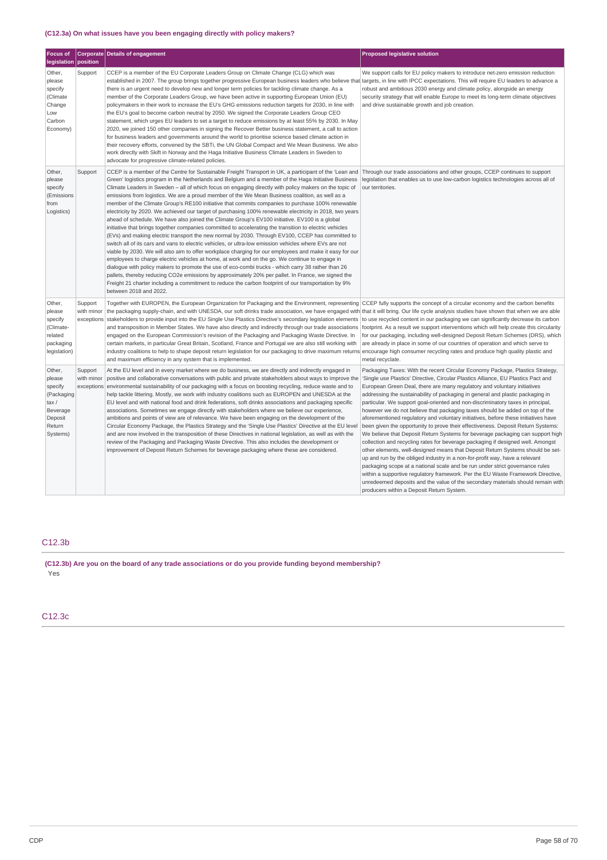# **(C12.3a) On what issues have you been engaging directly with policy makers?**

| <b>Focus of</b>                                                                                |                                     | <b>Corporate Details of engagement</b>                                                                                                                                                                                                                                                                                                                                                                                                                                                                                                                                                                                                                                                                                                                                                                                                                                                                                                                                                                                                                                                                                                                                                                                                                                                                                                                                                                                                                                                                                                                                                                                           | <b>Proposed legislative solution</b>                                                                                                                                                                                                                                                                                                                                                                                                                                                                                                                                                                                                                                                                                                                                                                                                                                                                                                                                                                                                                                                                                                                                                                                                                                                                                   |
|------------------------------------------------------------------------------------------------|-------------------------------------|----------------------------------------------------------------------------------------------------------------------------------------------------------------------------------------------------------------------------------------------------------------------------------------------------------------------------------------------------------------------------------------------------------------------------------------------------------------------------------------------------------------------------------------------------------------------------------------------------------------------------------------------------------------------------------------------------------------------------------------------------------------------------------------------------------------------------------------------------------------------------------------------------------------------------------------------------------------------------------------------------------------------------------------------------------------------------------------------------------------------------------------------------------------------------------------------------------------------------------------------------------------------------------------------------------------------------------------------------------------------------------------------------------------------------------------------------------------------------------------------------------------------------------------------------------------------------------------------------------------------------------|------------------------------------------------------------------------------------------------------------------------------------------------------------------------------------------------------------------------------------------------------------------------------------------------------------------------------------------------------------------------------------------------------------------------------------------------------------------------------------------------------------------------------------------------------------------------------------------------------------------------------------------------------------------------------------------------------------------------------------------------------------------------------------------------------------------------------------------------------------------------------------------------------------------------------------------------------------------------------------------------------------------------------------------------------------------------------------------------------------------------------------------------------------------------------------------------------------------------------------------------------------------------------------------------------------------------|
| legislation                                                                                    | position                            |                                                                                                                                                                                                                                                                                                                                                                                                                                                                                                                                                                                                                                                                                                                                                                                                                                                                                                                                                                                                                                                                                                                                                                                                                                                                                                                                                                                                                                                                                                                                                                                                                                  |                                                                                                                                                                                                                                                                                                                                                                                                                                                                                                                                                                                                                                                                                                                                                                                                                                                                                                                                                                                                                                                                                                                                                                                                                                                                                                                        |
| Other,<br>please<br>specify<br>(Climate<br>Change<br>Low<br>Carbon<br>Economy)                 | Support                             | CCEP is a member of the EU Corporate Leaders Group on Climate Change (CLG) which was<br>established in 2007. The group brings together progressive European business leaders who believe that targets, in line with IPCC expectations. This will require EU leaders to advance a<br>there is an urgent need to develop new and longer term policies for tackling climate change. As a<br>member of the Corporate Leaders Group, we have been active in supporting European Union (EU)<br>policymakers in their work to increase the EU's GHG emissions reduction targets for 2030, in line with<br>the EU's goal to become carbon neutral by 2050. We signed the Corporate Leaders Group CEO<br>statement, which urges EU leaders to set a target to reduce emissions by at least 55% by 2030. In May<br>2020, we joined 150 other companies in signing the Recover Better business statement, a call to action<br>for business leaders and governments around the world to prioritise science based climate action in<br>their recovery efforts, convened by the SBTi, the UN Global Compact and We Mean Business. We also<br>work directly with Skift in Norway and the Haga Initiative Business Climate Leaders in Sweden to<br>advocate for progressive climate-related policies.                                                                                                                                                                                                                                                                                                                                            | We support calls for EU policy makers to introduce net-zero emission reduction<br>robust and ambitious 2030 energy and climate policy, alongside an energy<br>security strategy that will enable Europe to meet its long-term climate objectives<br>and drive sustainable growth and job creation.                                                                                                                                                                                                                                                                                                                                                                                                                                                                                                                                                                                                                                                                                                                                                                                                                                                                                                                                                                                                                     |
| Other,<br>please<br>specify<br>(Emissions<br>from<br>Logistics)                                | Support                             | CCEP is a member of the Centre for Sustainable Freight Transport in UK, a participant of the 'Lean and<br>Green' logistics program in the Netherlands and Belgium and a member of the Haga Initiative Business<br>Climate Leaders in Sweden - all of which focus on engaging directly with policy makers on the topic of<br>emissions from logistics. We are a proud member of the We Mean Business coalition, as well as a<br>member of the Climate Group's RE100 initiative that commits companies to purchase 100% renewable<br>electricity by 2020. We achieved our target of purchasing 100% renewable electricity in 2018, two years<br>ahead of schedule. We have also joined the Climate Group's EV100 initiative. EV100 is a global<br>initiative that brings together companies committed to accelerating the transition to electric vehicles<br>(EVs) and making electric transport the new normal by 2030. Through EV100, CCEP has committed to<br>switch all of its cars and vans to electric vehicles, or ultra-low emission vehicles where EVs are not<br>viable by 2030. We will also aim to offer workplace charging for our employees and make it easy for our<br>employees to charge electric vehicles at home, at work and on the go. We continue to engage in<br>dialogue with policy makers to promote the use of eco-combi trucks - which carry 38 rather than 26<br>pallets, thereby reducing CO2e emissions by approximately 20% per pallet. In France, we signed the<br>Freight 21 charter including a commitment to reduce the carbon footprint of our transportation by 9%<br>between 2018 and 2022. | Through our trade associations and other groups, CCEP continues to support<br>legislation that enables us to use low-carbon logistics technologies across all of<br>our territories.                                                                                                                                                                                                                                                                                                                                                                                                                                                                                                                                                                                                                                                                                                                                                                                                                                                                                                                                                                                                                                                                                                                                   |
| Other,<br>please<br>specify<br>(Climate-<br>related<br>packaging<br>legislation)               | Support<br>with minor<br>exceptions | Together with EUROPEN, the European Organization for Packaging and the Environment, representing CCEP fully supports the concept of a circular economy and the carbon benefits<br>the packaging supply-chain, and with UNESDA, our soft drinks trade association, we have engaged with that it will bring. Our life cycle analysis studies have shown that when we are able<br>stakeholders to provide input into the EU Single Use Plastics Directive's secondary legislation elements<br>and transposition in Member States. We have also directly and indirectly through our trade associations<br>engaged on the European Commission's revision of the Packaging and Packaging Waste Directive. In<br>certain markets, in particular Great Britain, Scotland, France and Portugal we are also still working with<br>industry coalitions to help to shape deposit return legislation for our packaging to drive maximum returns encourage high consumer recycling rates and produce high quality plastic and<br>and maximum efficiency in any system that is implemented.                                                                                                                                                                                                                                                                                                                                                                                                                                                                                                                                                     | to use recycled content in our packaging we can significantly decrease its carbon<br>footprint. As a result we support interventions which will help create this circularity<br>for our packaging, including well-designed Deposit Return Schemes (DRS), which<br>are already in place in some of our countries of operation and which serve to<br>metal recyclate.                                                                                                                                                                                                                                                                                                                                                                                                                                                                                                                                                                                                                                                                                                                                                                                                                                                                                                                                                    |
| Other,<br>please<br>specify<br>(Packaging<br>tax/<br>Beverage<br>Deposit<br>Return<br>Systems) | Support<br>with minor<br>exceptions | At the EU level and in every market where we do business, we are directly and indirectly engaged in<br>positive and collaborative conversations with public and private stakeholders about ways to improve the<br>environmental sustainability of our packaging with a focus on boosting recycling, reduce waste and to<br>help tackle littering. Mostly, we work with industry coalitions such as EUROPEN and UNESDA at the<br>EU level and with national food and drink federations, soft drinks associations and packaging specific<br>associations. Sometimes we engage directly with stakeholders where we believe our experience,<br>ambitions and points of view are of relevance. We have been engaging on the development of the<br>Circular Economy Package, the Plastics Strategy and the 'Single Use Plastics' Directive at the EU level<br>and are now involved in the transposition of these Directives in national legislation, as well as with the<br>review of the Packaging and Packaging Waste Directive. This also includes the development or<br>improvement of Deposit Return Schemes for beverage packaging where these are considered.                                                                                                                                                                                                                                                                                                                                                                                                                                                                   | Packaging Taxes: With the recent Circular Economy Package, Plastics Strategy,<br>'Single use Plastics' Directive, Circular Plastics Alliance, EU Plastics Pact and<br>European Green Deal, there are many regulatory and voluntary initiatives<br>addressing the sustainability of packaging in general and plastic packaging in<br>particular. We support goal-oriented and non-discriminatory taxes in principal,<br>however we do not believe that packaging taxes should be added on top of the<br>aforementioned regulatory and voluntary initiatives, before these initiatives have<br>been given the opportunity to prove their effectiveness. Deposit Return Systems:<br>We believe that Deposit Return Systems for beverage packaging can support high<br>collection and recycling rates for beverage packaging if designed well. Amongst<br>other elements, well-designed means that Deposit Return Systems should be set-<br>up and run by the obliged industry in a non-for-profit way, have a relevant<br>packaging scope at a national scale and be run under strict governance rules<br>within a supportive regulatory framework. Per the EU Waste Framework Directive,<br>unredeemed deposits and the value of the secondary materials should remain with<br>producers within a Deposit Return System. |

# C12.3b

**(C12.3b) Are you on the board of any trade associations or do you provide funding beyond membership?** Yes

C12.3c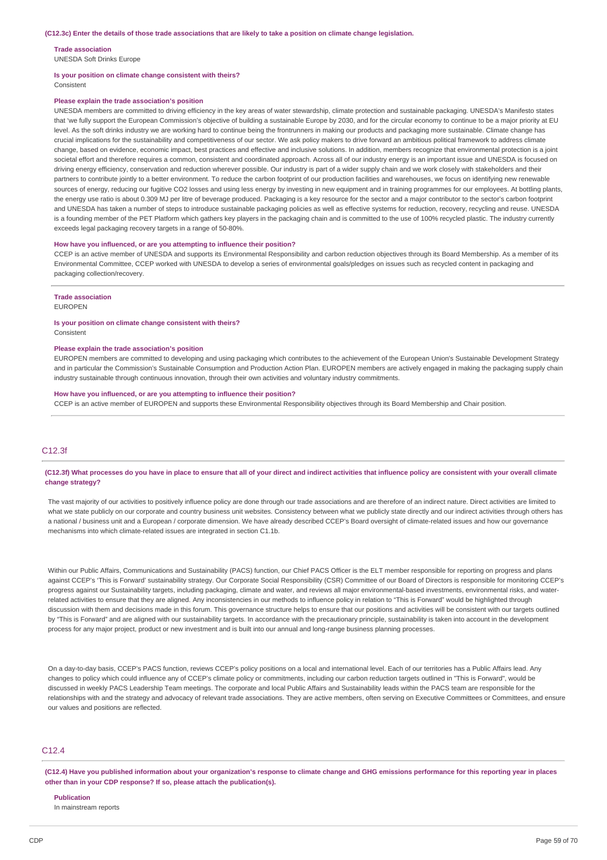### **Trade association**

UNESDA Soft Drinks Europe

### **Is your position on climate change consistent with theirs?**

Consistent

### **Please explain the trade association's position**

UNESDA members are committed to driving efficiency in the key areas of water stewardship, climate protection and sustainable packaging. UNESDA's Manifesto states that 'we fully support the European Commission's objective of building a sustainable Europe by 2030, and for the circular economy to continue to be a major priority at EU level. As the soft drinks industry we are working hard to continue being the frontrunners in making our products and packaging more sustainable. Climate change has crucial implications for the sustainability and competitiveness of our sector. We ask policy makers to drive forward an ambitious political framework to address climate change, based on evidence, economic impact, best practices and effective and inclusive solutions. In addition, members recognize that environmental protection is a joint societal effort and therefore requires a common, consistent and coordinated approach. Across all of our industry energy is an important issue and UNESDA is focused on driving energy efficiency, conservation and reduction wherever possible. Our industry is part of a wider supply chain and we work closely with stakeholders and their partners to contribute jointly to a better environment. To reduce the carbon footprint of our production facilities and warehouses, we focus on identifying new renewable sources of energy, reducing our fugitive CO2 losses and using less energy by investing in new equipment and in training programmes for our employees. At bottling plants, the energy use ratio is about 0.309 MJ per litre of beverage produced. Packaging is a key resource for the sector and a major contributor to the sector's carbon footprint and UNESDA has taken a number of steps to introduce sustainable packaging policies as well as effective systems for reduction, recovery, recycling and reuse. UNESDA is a founding member of the PET Platform which gathers key players in the packaging chain and is committed to the use of 100% recycled plastic. The industry currently exceeds legal packaging recovery targets in a range of 50-80%.

### **How have you influenced, or are you attempting to influence their position?**

CCEP is an active member of UNESDA and supports its Environmental Responsibility and carbon reduction objectives through its Board Membership. As a member of its Environmental Committee, CCEP worked with UNESDA to develop a series of environmental goals/pledges on issues such as recycled content in packaging and packaging collection/recovery.

#### **Trade association**

EUROPEN

## **Is your position on climate change consistent with theirs?**

Consistent

#### **Please explain the trade association's position**

EUROPEN members are committed to developing and using packaging which contributes to the achievement of the European Union's Sustainable Development Strategy and in particular the Commission's Sustainable Consumption and Production Action Plan. EUROPEN members are actively engaged in making the packaging supply chain industry sustainable through continuous innovation, through their own activities and voluntary industry commitments.

#### **How have you influenced, or are you attempting to influence their position?**

CCEP is an active member of EUROPEN and supports these Environmental Responsibility objectives through its Board Membership and Chair position.

## C12.3f

### (C12.3f) What processes do you have in place to ensure that all of your direct and indirect activities that influence policy are consistent with your overall climate **change strategy?**

The vast majority of our activities to positively influence policy are done through our trade associations and are therefore of an indirect nature. Direct activities are limited to what we state publicly on our corporate and country business unit websites. Consistency between what we publicly state directly and our indirect activities through others has a national / business unit and a European / corporate dimension. We have already described CCEP's Board oversight of climate-related issues and how our governance mechanisms into which climate-related issues are integrated in section C1.1b.

Within our Public Affairs, Communications and Sustainability (PACS) function, our Chief PACS Officer is the ELT member responsible for reporting on progress and plans against CCEP's 'This is Forward' sustainability strategy. Our Corporate Social Responsibility (CSR) Committee of our Board of Directors is responsible for monitoring CCEP's progress against our Sustainability targets, including packaging, climate and water, and reviews all major environmental-based investments, environmental risks, and waterrelated activities to ensure that they are aligned. Any inconsistencies in our methods to influence policy in relation to "This is Forward" would be highlighted through discussion with them and decisions made in this forum. This governance structure helps to ensure that our positions and activities will be consistent with our targets outlined by "This is Forward" and are aligned with our sustainability targets. In accordance with the precautionary principle, sustainability is taken into account in the development process for any major project, product or new investment and is built into our annual and long-range business planning processes.

On a day-to-day basis, CCEP's PACS function, reviews CCEP's policy positions on a local and international level. Each of our territories has a Public Affairs lead. Any changes to policy which could influence any of CCEP's climate policy or commitments, including our carbon reduction targets outlined in "This is Forward", would be discussed in weekly PACS Leadership Team meetings. The corporate and local Public Affairs and Sustainability leads within the PACS team are responsible for the relationships with and the strategy and advocacy of relevant trade associations. They are active members, often serving on Executive Committees or Committees, and ensure our values and positions are reflected.

## C12.4

(C12.4) Have you published information about your organization's response to climate change and GHG emissions performance for this reporting year in places **other than in your CDP response? If so, please attach the publication(s).**

# **Publication**

In mainstream reports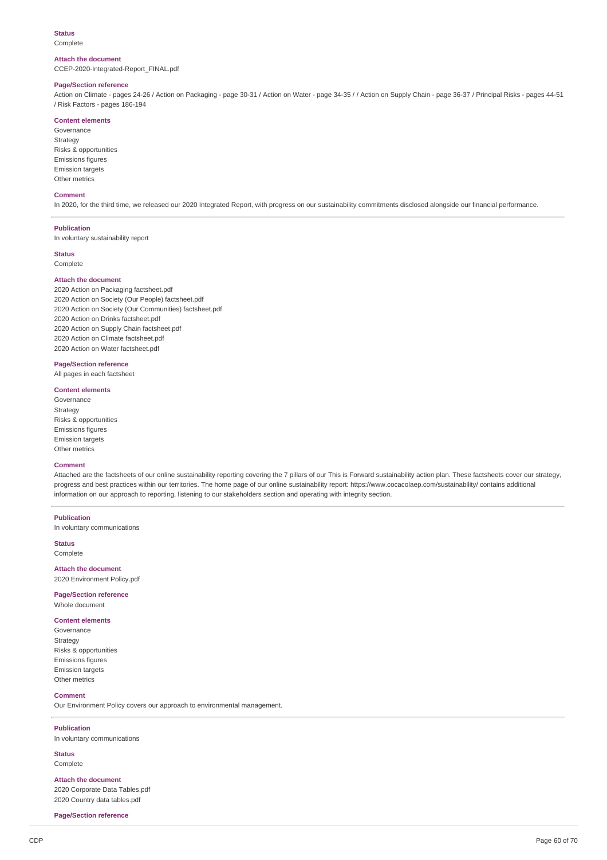## **Status**

Complete

### **Attach the document**

CCEP-2020-Integrated-Report\_FINAL.pdf

## **Page/Section reference**

Action on Climate - pages 24-26 / Action on Packaging - page 30-31 / Action on Water - page 34-35 / / Action on Supply Chain - page 36-37 / Principal Risks - pages 44-51 / Risk Factors - pages 186-194

### **Content elements**

Governance Strategy Risks & opportunities Emissions figures Emission targets Other metrics

## **Comment**

In 2020, for the third time, we released our 2020 Integrated Report, with progress on our sustainability commitments disclosed alongside our financial performance.

### **Publication**

In voluntary sustainability report

## **Status**

Complete

### **Attach the document**

 Action on Packaging factsheet.pdf Action on Society (Our People) factsheet.pdf Action on Society (Our Communities) factsheet.pdf Action on Drinks factsheet.pdf Action on Supply Chain factsheet.pdf Action on Climate factsheet.pdf Action on Water factsheet.pdf

## **Page/Section reference**

All pages in each factsheet

## **Content elements**

Governance Strategy Risks & opportunities Emissions figures Emission targets Other metrics

### **Comment**

Attached are the factsheets of our online sustainability reporting covering the 7 pillars of our This is Forward sustainability action plan. These factsheets cover our strategy, progress and best practices within our territories. The home page of our online sustainability report: https://www.cocacolaep.com/sustainability/ contains additional information on our approach to reporting, listening to our stakeholders section and operating with integrity section.

## **Publication**

In voluntary communications

**Status**

# Complete

**Attach the document** 2020 Environment Policy.pdf

# **Page/Section reference**

Whole document

## **Content elements**

Governance Strategy Risks & opportunities Emissions figures Emission targets Other metrics

### **Comment**

Our Environment Policy covers our approach to environmental management.

### **Publication**

In voluntary communications

**Status** Complete

**Attach the document** 2020 Corporate Data Tables.pdf 2020 Country data tables.pdf

**Page/Section reference**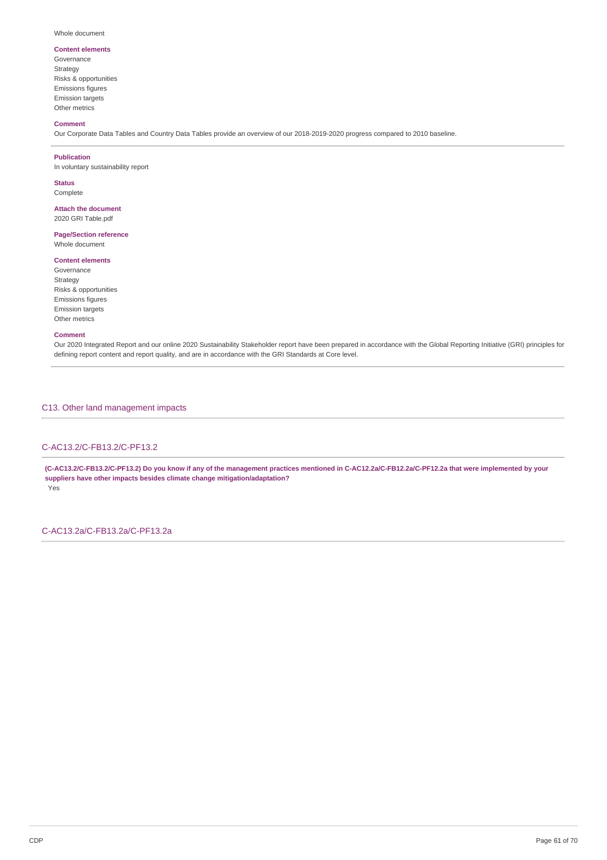#### Whole document

## **Content elements**

Governance Strategy Risks & opportunities Emissions figures Emission targets Other metrics

## **Comment**

Our Corporate Data Tables and Country Data Tables provide an overview of our 2018-2019-2020 progress compared to 2010 baseline.

#### **Publication**

In voluntary sustainability report

**Status** Complete

## **Attach the document** 2020 GRI Table.pdf

**Page/Section reference**

Whole document

## **Content elements**

Governance Strategy Risks & opportunities Emissions figures Emission targets Other metrics

## **Comment**

Our 2020 Integrated Report and our online 2020 Sustainability Stakeholder report have been prepared in accordance with the Global Reporting Initiative (GRI) principles for defining report content and report quality, and are in accordance with the GRI Standards at Core level.

C13. Other land management impacts

## C-AC13.2/C-FB13.2/C-PF13.2

(C-AC13.2/C-FB13.2/C-PF13.2) Do you know if any of the management practices mentioned in C-AC12.2a/C-FB12.2a/C-PF12.2a that were implemented by your **suppliers have other impacts besides climate change mitigation/adaptation?** Yes

C-AC13.2a/C-FB13.2a/C-PF13.2a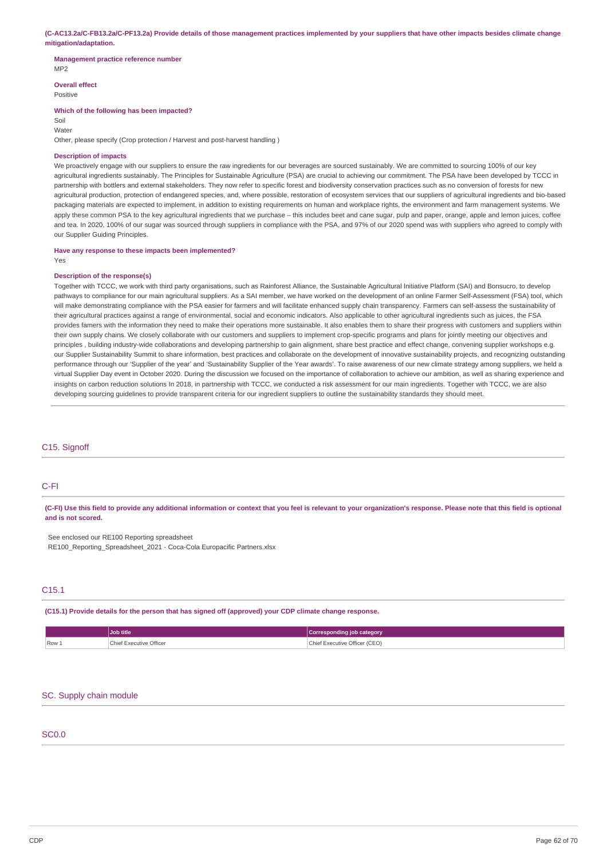(C-AC13.2a/C-FB13.2a/C-PF13.2a) Provide details of those management practices implemented by your suppliers that have other impacts besides climate change **mitigation/adaptation.**

#### **Management practice reference number** MP2

**Overall effect**

Positive

### **Which of the following has been impacted?**

Soil Water

Other, please specify (Crop protection / Harvest and post-harvest handling )

## **Description of impacts**

We proactively engage with our suppliers to ensure the raw ingredients for our beverages are sourced sustainably. We are committed to sourcing 100% of our key agricultural ingredients sustainably. The Principles for Sustainable Agriculture (PSA) are crucial to achieving our commitment. The PSA have been developed by TCCC in partnership with bottlers and external stakeholders. They now refer to specific forest and biodiversity conservation practices such as no conversion of forests for new agricultural production, protection of endangered species, and, where possible, restoration of ecosystem services that our suppliers of agricultural ingredients and bio-based packaging materials are expected to implement, in addition to existing requirements on human and workplace rights, the environment and farm management systems. We apply these common PSA to the key agricultural ingredients that we purchase – this includes beet and cane sugar, pulp and paper, orange, apple and lemon juices, coffee and tea. In 2020, 100% of our sugar was sourced through suppliers in compliance with the PSA, and 97% of our 2020 spend was with suppliers who agreed to comply with our Supplier Guiding Principles.

**Have any response to these impacts been implemented?**

Yes

### **Description of the response(s)**

Together with TCCC, we work with third party organisations, such as Rainforest Alliance, the Sustainable Agricultural Initiative Platform (SAI) and Bonsucro, to develop pathways to compliance for our main agricultural suppliers. As a SAI member, we have worked on the development of an online Farmer Self-Assessment (FSA) tool, which will make demonstrating compliance with the PSA easier for farmers and will facilitate enhanced supply chain transparency. Farmers can self-assess the sustainability of their agricultural practices against a range of environmental, social and economic indicators. Also applicable to other agricultural ingredients such as juices, the FSA provides famers with the information they need to make their operations more sustainable. It also enables them to share their progress with customers and suppliers within their own supply chains. We closely collaborate with our customers and suppliers to implement crop-specific programs and plans for jointly meeting our objectives and principles , building industry-wide collaborations and developing partnership to gain alignment, share best practice and effect change, convening supplier workshops e.g. our Supplier Sustainability Summit to share information, best practices and collaborate on the development of innovative sustainability projects, and recognizing outstanding performance through our 'Supplier of the year' and 'Sustainability Supplier of the Year awards'. To raise awareness of our new climate strategy among suppliers, we held a virtual Supplier Day event in October 2020. During the discussion we focused on the importance of collaboration to achieve our ambition, as well as sharing experience and insights on carbon reduction solutions In 2018, in partnership with TCCC, we conducted a risk assessment for our main ingredients. Together with TCCC, we are also developing sourcing guidelines to provide transparent criteria for our ingredient suppliers to outline the sustainability standards they should meet.

## C15. Signoff

## C-FI

(C-FI) Use this field to provide any additional information or context that you feel is relevant to your organization's response. Please note that this field is optional **and is not scored.**

See enclosed our RE100 Reporting spreadsheet

RE100\_Reporting\_Spreadsheet\_2021 - Coca-Cola Europacific Partners.xlsx

## $C15.1$

**(C15.1) Provide details for the person that has signed off (approved) your CDP climate change response.**

|       | Job title               | Corresponding job category    |
|-------|-------------------------|-------------------------------|
| Row 1 | Chief Executive Officer | Chief Executive Officer (CEO) |

## SC. Supply chain module

## SC0.0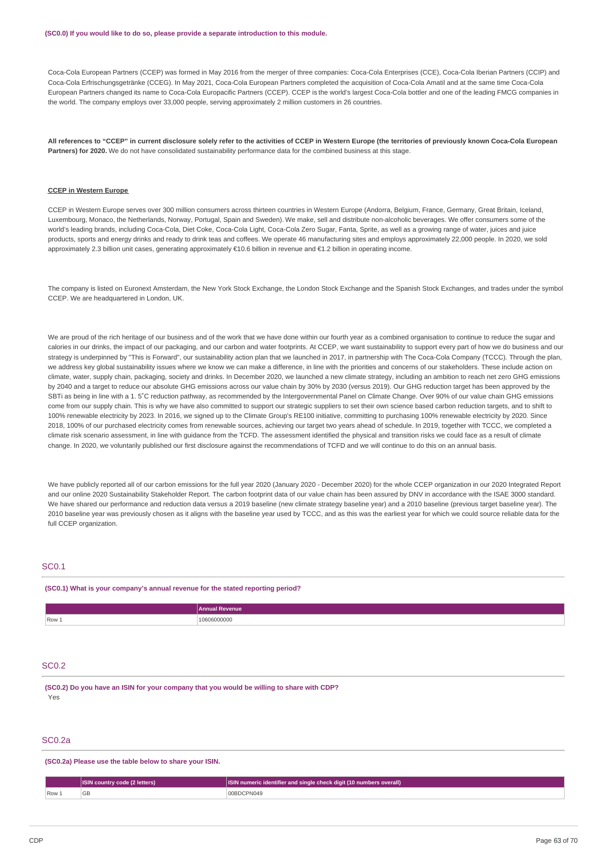Coca-Cola European Partners (CCEP) was formed in May 2016 from the merger of three companies: Coca-Cola Enterprises (CCE), Coca-Cola Iberian Partners (CCIP) and Coca-Cola Erfrischungsgetränke (CCEG). In May 2021, Coca-Cola European Partners completed the acquisition of Coca-Cola Amatil and at the same time Coca-Cola European Partners changed its name to Coca-Cola Europacific Partners (CCEP). CCEP is the world's largest Coca-Cola bottler and one of the leading FMCG companies in the world. The company employs over 33,000 people, serving approximately 2 million customers in 26 countries.

All references to "CCEP" in current disclosure solely refer to the activities of CCEP in Western Europe (the territories of previously known Coca-Cola European **Partners) for 2020.** We do not have consolidated sustainability performance data for the combined business at this stage.

#### **CCEP in Western Europe**

CCEP in Western Europe serves over 300 million consumers across thirteen countries in Western Europe (Andorra, Belgium, France, Germany, Great Britain, Iceland, Luxembourg, Monaco, the Netherlands, Norway, Portugal, Spain and Sweden). We make, sell and distribute non-alcoholic beverages. We offer consumers some of the world's leading brands, including Coca-Cola, Diet Coke, Coca-Cola Light, Coca-Cola Zero Sugar, Fanta, Sprite, as well as a growing range of water, juices and juice products, sports and energy drinks and ready to drink teas and coffees. We operate 46 manufacturing sites and employs approximately 22,000 people. In 2020, we sold approximately 2.3 billion unit cases, generating approximately €10.6 billion in revenue and €1.2 billion in operating income.

The company is listed on Euronext Amsterdam, the New York Stock Exchange, the London Stock Exchange and the Spanish Stock Exchanges, and trades under the symbol CCEP. We are headquartered in London, UK.

We are proud of the rich heritage of our business and of the work that we have done within our fourth year as a combined organisation to continue to reduce the sugar and calories in our drinks, the impact of our packaging, and our carbon and water footprints. At CCEP, we want sustainability to support every part of how we do business and our strategy is underpinned by "This is Forward", our sustainability action plan that we launched in 2017, in partnership with The Coca-Cola Company (TCCC). Through the plan, we address key global sustainability issues where we know we can make a difference, in line with the priorities and concerns of our stakeholders. These include action on climate, water, supply chain, packaging, society and drinks. In December 2020, we launched a new climate strategy, including an ambition to reach net zero GHG emissions by 2040 and a target to reduce our absolute GHG emissions across our value chain by 30% by 2030 (versus 2019). Our GHG reduction target has been approved by the SBTi as being in line with a 1. 5˚C reduction pathway, as recommended by the Intergovernmental Panel on Climate Change. Over 90% of our value chain GHG emissions come from our supply chain. This is why we have also committed to support our strategic suppliers to set their own science based carbon reduction targets, and to shift to 100% renewable electricity by 2023. In 2016, we signed up to the Climate Group's RE100 initiative, committing to purchasing 100% renewable electricity by 2020. Since 2018, 100% of our purchased electricity comes from renewable sources, achieving our target two years ahead of schedule. In 2019, together with TCCC, we completed a climate risk scenario assessment, in line with guidance from the TCFD. The assessment identified the physical and transition risks we could face as a result of climate change. In 2020, we voluntarily published our first disclosure against the recommendations of TCFD and we will continue to do this on an annual basis.

We have publicly reported all of our carbon emissions for the full year 2020 (January 2020 - December 2020) for the whole CCEP organization in our 2020 Integrated Report and our online 2020 Sustainability Stakeholder Report. The carbon footprint data of our value chain has been assured by DNV in accordance with the ISAE 3000 standard. We have shared our performance and reduction data versus a 2019 baseline (new climate strategy baseline year) and a 2010 baseline (previous target baseline year). The 2010 baseline year was previously chosen as it aligns with the baseline year used by TCCC, and as this was the earliest year for which we could source reliable data for the full CCEP organization.

## SC0.1

### **(SC0.1) What is your company's annual revenue for the stated reporting period?**

|                         | ⊿rAnnus<br><b>Revenue</b> |
|-------------------------|---------------------------|
| $\sqrt{$ Row $\sqrt{ }$ | 506000000<br>.            |

## SC0.2

**(SC0.2) Do you have an ISIN for your company that you would be willing to share with CDP?** Yes

### SC0.2a

#### **(SC0.2a) Please use the table below to share your ISIN.**

|         | <b>ISIN country code (2 letters)</b> | $\lfloor$ SIN numeric identifier and single check digit (10 numbers overall) $\lceil$ |
|---------|--------------------------------------|---------------------------------------------------------------------------------------|
| $Row_+$ | GБ                                   | 00BDCPN049                                                                            |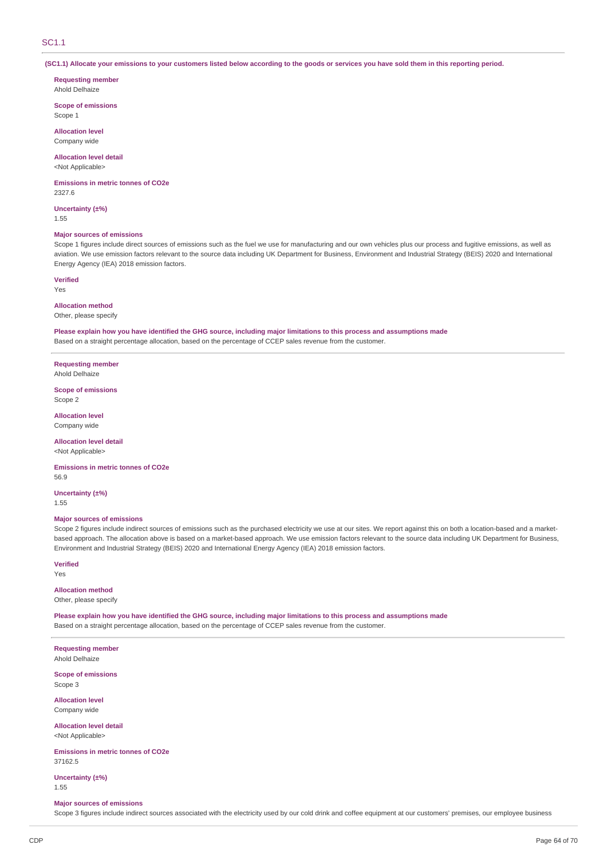## SC1.1

(SC1.1) Allocate your emissions to your customers listed below according to the goods or services you have sold them in this reporting period.

**Requesting member** Ahold Delhaize

**Scope of emissions** Scope 1

**Allocation level** Company wide

**Allocation level detail**

<Not Applicable>

**Emissions in metric tonnes of CO2e** 2327.6

**Uncertainty (±%)**

1.55

### **Major sources of emissions**

Scope 1 figures include direct sources of emissions such as the fuel we use for manufacturing and our own vehicles plus our process and fugitive emissions, as well as aviation. We use emission factors relevant to the source data including UK Department for Business, Environment and Industrial Strategy (BEIS) 2020 and International Energy Agency (IEA) 2018 emission factors.

**Verified**

Yes

## **Allocation method**

Other, please specify

Please explain how you have identified the GHG source, including major limitations to this process and assumptions made Based on a straight percentage allocation, based on the percentage of CCEP sales revenue from the customer.

**Requesting member** Ahold Delhaize

### **Scope of emissions** Scope 2

**Allocation level** Company wide

**Allocation level detail**

<Not Applicable>

**Emissions in metric tonnes of CO2e** 56.9

**Uncertainty (±%)** 1.55

### **Major sources of emissions**

Scope 2 figures include indirect sources of emissions such as the purchased electricity we use at our sites. We report against this on both a location-based and a marketbased approach. The allocation above is based on a market-based approach. We use emission factors relevant to the source data including UK Department for Business, Environment and Industrial Strategy (BEIS) 2020 and International Energy Agency (IEA) 2018 emission factors.

**Verified**

Yes

### **Allocation method** Other, please specify

Please explain how you have identified the GHG source, including major limitations to this process and assumptions made Based on a straight percentage allocation, based on the percentage of CCEP sales revenue from the customer.

**Requesting member** Ahold Delhaize

**Scope of emissions** Scope 3

**Allocation level** Company wide

**Allocation level detail** <Not Applicable>

**Emissions in metric tonnes of CO2e** 37162.5

**Uncertainty (±%)** 1.55

## **Major sources of emissions**

Scope 3 figures include indirect sources associated with the electricity used by our cold drink and coffee equipment at our customers' premises, our employee business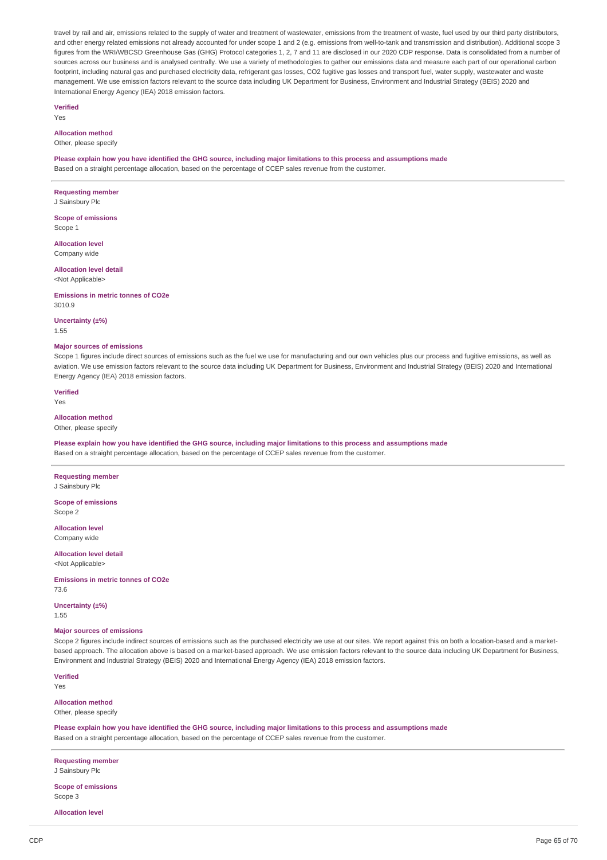travel by rail and air, emissions related to the supply of water and treatment of wastewater, emissions from the treatment of waste, fuel used by our third party distributors, and other energy related emissions not already accounted for under scope 1 and 2 (e.g. emissions from well-to-tank and transmission and distribution). Additional scope 3 figures from the WRI/WBCSD Greenhouse Gas (GHG) Protocol categories 1, 2, 7 and 11 are disclosed in our 2020 CDP response. Data is consolidated from a number of sources across our business and is analysed centrally. We use a variety of methodologies to gather our emissions data and measure each part of our operational carbon footprint, including natural gas and purchased electricity data, refrigerant gas losses, CO2 fugitive gas losses and transport fuel, water supply, wastewater and waste management. We use emission factors relevant to the source data including UK Department for Business, Environment and Industrial Strategy (BEIS) 2020 and International Energy Agency (IEA) 2018 emission factors.

**Verified**

Yes

## **Allocation method**

Other, please specify

Please explain how you have identified the GHG source, including major limitations to this process and assumptions made Based on a straight percentage allocation, based on the percentage of CCEP sales revenue from the customer.

**Requesting member**

J Sainsbury Plc

**Scope of emissions** Scope 1

**Allocation level** Company wide

**Allocation level detail** <Not Applicable>

**Emissions in metric tonnes of CO2e** 3010.9

**Uncertainty (±%)**

1.55

### **Major sources of emissions**

Scope 1 figures include direct sources of emissions such as the fuel we use for manufacturing and our own vehicles plus our process and fugitive emissions, as well as aviation. We use emission factors relevant to the source data including UK Department for Business, Environment and Industrial Strategy (BEIS) 2020 and International Energy Agency (IEA) 2018 emission factors.

**Verified**

Yes

## **Allocation method**

Other, please specify

Please explain how you have identified the GHG source, including major limitations to this process and assumptions made Based on a straight percentage allocation, based on the percentage of CCEP sales revenue from the customer.

**Requesting member** J Sainsbury Plc

**Scope of emissions** Scope 2

**Allocation level**

Company wide **Allocation level detail**

<Not Applicable>

**Emissions in metric tonnes of CO2e** 73.6

**Uncertainty (±%)**

1.55

## **Major sources of emissions**

Scope 2 figures include indirect sources of emissions such as the purchased electricity we use at our sites. We report against this on both a location-based and a marketbased approach. The allocation above is based on a market-based approach. We use emission factors relevant to the source data including UK Department for Business, Environment and Industrial Strategy (BEIS) 2020 and International Energy Agency (IEA) 2018 emission factors.

**Verified**

Yes

# **Allocation method**

Other, please specify

Please explain how you have identified the GHG source, including major limitations to this process and assumptions made Based on a straight percentage allocation, based on the percentage of CCEP sales revenue from the customer.

**Requesting member**

J Sainsbury Plc

**Scope of emissions** Scope 3

**Allocation level**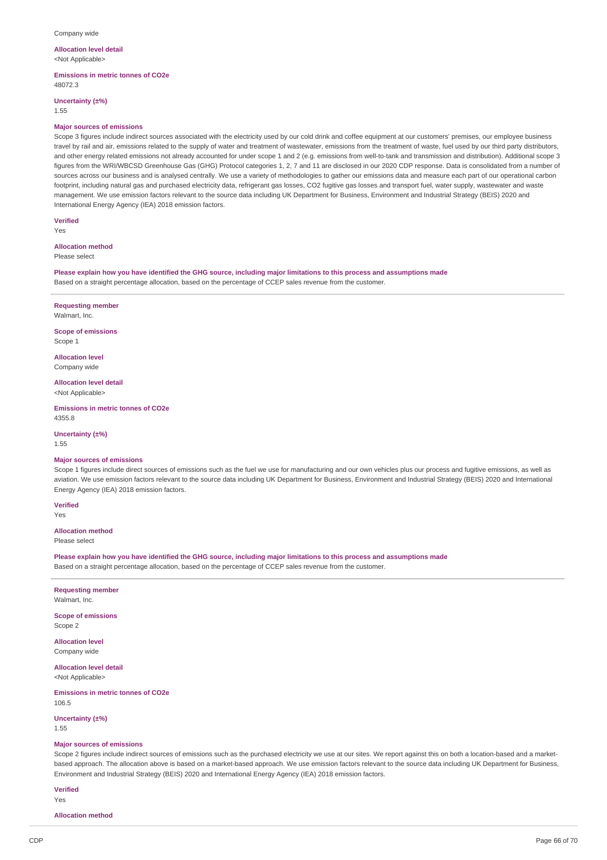#### **Allocation level detail** <Not Applicable>

**Emissions in metric tonnes of CO2e**

48072.3

**Uncertainty (±%)**

1.55

### **Major sources of emissions**

Scope 3 figures include indirect sources associated with the electricity used by our cold drink and coffee equipment at our customers' premises, our employee business travel by rail and air, emissions related to the supply of water and treatment of wastewater, emissions from the treatment of waste, fuel used by our third party distributors, and other energy related emissions not already accounted for under scope 1 and 2 (e.g. emissions from well-to-tank and transmission and distribution). Additional scope 3 figures from the WRI/WBCSD Greenhouse Gas (GHG) Protocol categories 1, 2, 7 and 11 are disclosed in our 2020 CDP response. Data is consolidated from a number of sources across our business and is analysed centrally. We use a variety of methodologies to gather our emissions data and measure each part of our operational carbon footprint, including natural gas and purchased electricity data, refrigerant gas losses, CO2 fugitive gas losses and transport fuel, water supply, wastewater and waste management. We use emission factors relevant to the source data including UK Department for Business, Environment and Industrial Strategy (BEIS) 2020 and International Energy Agency (IEA) 2018 emission factors.

**Verified**

## Yes

## **Allocation method**

Please select

Please explain how you have identified the GHG source, including major limitations to this process and assumptions made Based on a straight percentage allocation, based on the percentage of CCEP sales revenue from the customer.

**Requesting member**

Walmart, Inc.

**Scope of emissions** Scope 1

**Allocation level** Company wide

**Allocation level detail** <Not Applicable>

**Emissions in metric tonnes of CO2e** 4355.8

**Uncertainty (±%)**

1.55

#### **Major sources of emissions**

Scope 1 figures include direct sources of emissions such as the fuel we use for manufacturing and our own vehicles plus our process and fugitive emissions, as well as aviation. We use emission factors relevant to the source data including UK Department for Business, Environment and Industrial Strategy (BEIS) 2020 and International Energy Agency (IEA) 2018 emission factors.

**Verified** Yes

### **Allocation method**

Please select

Please explain how you have identified the GHG source, including major limitations to this process and assumptions made Based on a straight percentage allocation, based on the percentage of CCEP sales revenue from the customer.

**Requesting member** Walmart, Inc.

**Scope of emissions** Scope 2

**Allocation level** Company wide

**Allocation level detail** <Not Applicable>

**Emissions in metric tonnes of CO2e** 106.5

**Uncertainty (±%)**

1.55

## **Major sources of emissions**

Scope 2 figures include indirect sources of emissions such as the purchased electricity we use at our sites. We report against this on both a location-based and a marketbased approach. The allocation above is based on a market-based approach. We use emission factors relevant to the source data including UK Department for Business, Environment and Industrial Strategy (BEIS) 2020 and International Energy Agency (IEA) 2018 emission factors.

**Verified**

Yes

**Allocation method**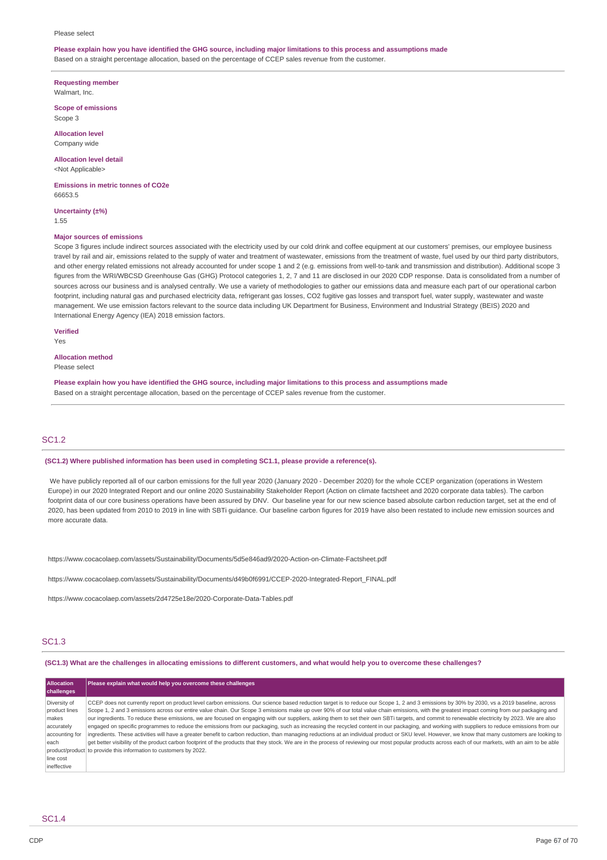#### Please select

## Please explain how you have identified the GHG source, including major limitations to this process and assumptions made Based on a straight percentage allocation, based on the percentage of CCEP sales revenue from the customer.

**Requesting member** Walmart, Inc.

**Scope of emissions** Scope 3

**Allocation level** Company wide

**Allocation level detail** <Not Applicable>

**Emissions in metric tonnes of CO2e** 66653.5

**Uncertainty (±%)** 1.55

### **Major sources of emissions**

Scope 3 figures include indirect sources associated with the electricity used by our cold drink and coffee equipment at our customers' premises, our employee business travel by rail and air, emissions related to the supply of water and treatment of wastewater, emissions from the treatment of waste, fuel used by our third party distributors, and other energy related emissions not already accounted for under scope 1 and 2 (e.g. emissions from well-to-tank and transmission and distribution). Additional scope 3 figures from the WRI/WBCSD Greenhouse Gas (GHG) Protocol categories 1, 2, 7 and 11 are disclosed in our 2020 CDP response. Data is consolidated from a number of sources across our business and is analysed centrally. We use a variety of methodologies to gather our emissions data and measure each part of our operational carbon footprint, including natural gas and purchased electricity data, refrigerant gas losses, CO2 fugitive gas losses and transport fuel, water supply, wastewater and waste management. We use emission factors relevant to the source data including UK Department for Business, Environment and Industrial Strategy (BEIS) 2020 and International Energy Agency (IEA) 2018 emission factors.

## **Verified**

Yes

**Allocation method** Please select

Please explain how you have identified the GHG source, including major limitations to this process and assumptions made Based on a straight percentage allocation, based on the percentage of CCEP sales revenue from the customer.

## SC1.2

## **(SC1.2) Where published information has been used in completing SC1.1, please provide a reference(s).**

We have publicly reported all of our carbon emissions for the full year 2020 (January 2020 - December 2020) for the whole CCEP organization (operations in Western Europe) in our 2020 Integrated Report and our online 2020 Sustainability Stakeholder Report (Action on climate factsheet and 2020 corporate data tables). The carbon footprint data of our core business operations have been assured by DNV. Our baseline year for our new science based absolute carbon reduction target, set at the end of 2020, has been updated from 2010 to 2019 in line with SBTi guidance. Our baseline carbon figures for 2019 have also been restated to include new emission sources and more accurate data.

https://www.cocacolaep.com/assets/Sustainability/Documents/5d5e846ad9/2020-Action-on-Climate-Factsheet.pdf

https://www.cocacolaep.com/assets/Sustainability/Documents/d49b0f6991/CCEP-2020-Integrated-Report\_FINAL.pdf

https://www.cocacolaep.com/assets/2d4725e18e/2020-Corporate-Data-Tables.pdf

## SC1.3

(SC1.3) What are the challenges in allocating emissions to different customers, and what would help you to overcome these challenges?

| <b>Allocation</b><br>challenges | Please explain what would help you overcome these challenges                                                                                                                                           |
|---------------------------------|--------------------------------------------------------------------------------------------------------------------------------------------------------------------------------------------------------|
| Diversity of                    | CCEP does not currently report on product level carbon emissions. Our science based reduction target is to reduce our Scope 1, 2 and 3 emissions by 30% by 2030, vs a 2019 baseline, across            |
| product lines                   | Scope 1, 2 and 3 emissions across our entire value chain. Our Scope 3 emissions make up over 90% of our total value chain emissions, with the greatest impact coming from our packaging and            |
| makes                           | our ingredients. To reduce these emissions, we are focused on engaging with our suppliers, asking them to set their own SBTi targets, and commit to renewable electricity by 2023. We are also         |
| accurately                      | engaged on specific programmes to reduce the emissions from our packaging, such as increasing the recycled content in our packaging, and working with suppliers to reduce emissions from our           |
| accounting for                  | ingredients. These activities will have a greater benefit to carbon reduction, than managing reductions at an individual product or SKU level. However, we know that many customers are looking to     |
| each                            | get better visibility of the product carbon footprint of the products that they stock. We are in the process of reviewing our most popular products across each of our markets, with an aim to be able |
|                                 | product/product to provide this information to customers by 2022.                                                                                                                                      |
| line cost                       |                                                                                                                                                                                                        |
| ineffective                     |                                                                                                                                                                                                        |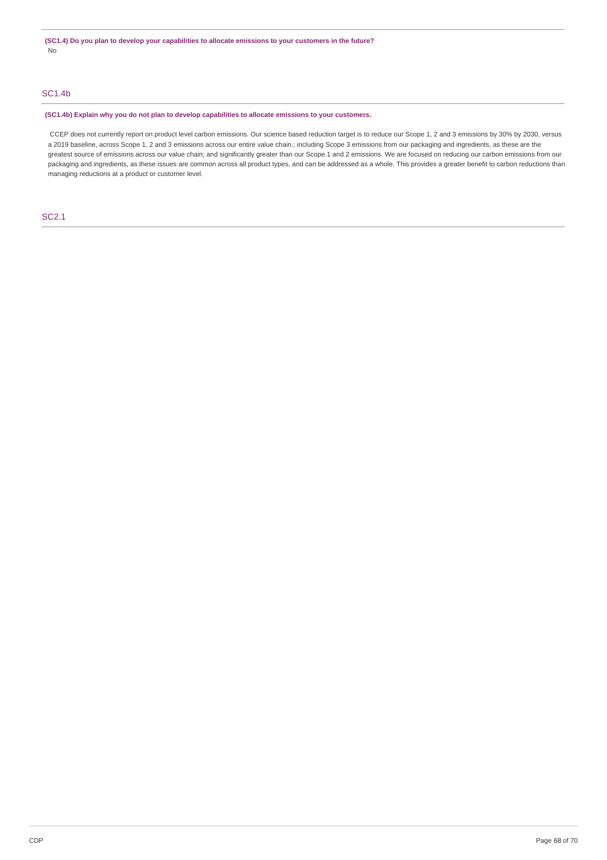# SC1.4b

### **(SC1.4b) Explain why you do not plan to develop capabilities to allocate emissions to your customers.**

CCEP does not currently report on product level carbon emissions. Our science based reduction target is to reduce our Scope 1, 2 and 3 emissions by 30% by 2030, versus a 2019 baseline, across Scope 1, 2 and 3 emissions across our entire value chain.; including Scope 3 emissions from our packaging and ingredients, as these are the greatest source of emissions across our value chain; and significantly greater than our Scope 1 and 2 emissions. We are focused on reducing our carbon emissions from our packaging and ingredients, as these issues are common across all product types, and can be addressed as a whole. This provides a greater benefit to carbon reductions than managing reductions at a product or customer level.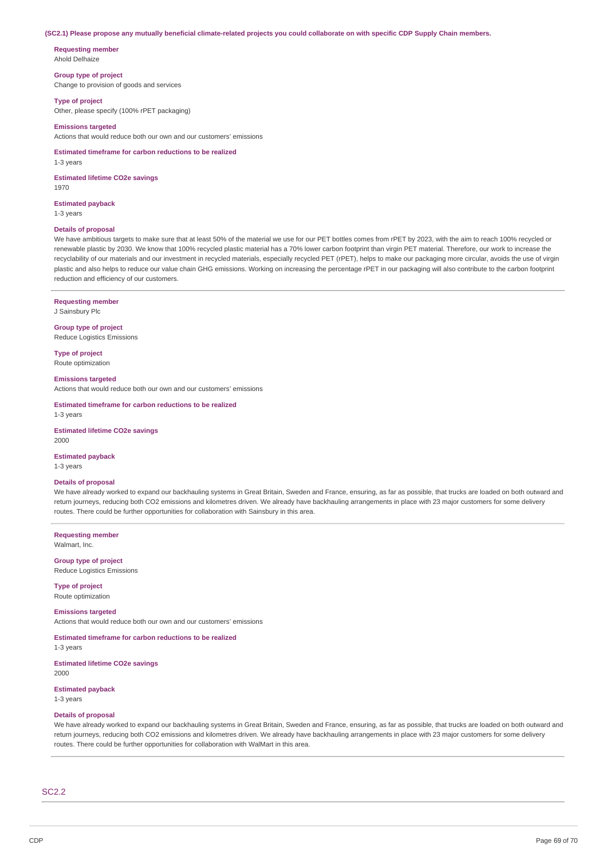#### (SC2.1) Please propose any mutually beneficial climate-related projects you could collaborate on with specific CDP Supply Chain members.

**Requesting member** Ahold Delhaize

## **Group type of project**

Change to provision of goods and services

**Type of project**

Other, please specify (100% rPET packaging)

## **Emissions targeted**

Actions that would reduce both our own and our customers' emissions

**Estimated timeframe for carbon reductions to be realized** 1-3 years

**Estimated lifetime CO2e savings** 1970

### **Estimated payback**

1-3 years

## **Details of proposal**

We have ambitious targets to make sure that at least 50% of the material we use for our PET bottles comes from rPET by 2023, with the aim to reach 100% recycled or renewable plastic by 2030. We know that 100% recycled plastic material has a 70% lower carbon footprint than virgin PET material. Therefore, our work to increase the recyclability of our materials and our investment in recycled materials, especially recycled PET (rPET), helps to make our packaging more circular, avoids the use of virgin plastic and also helps to reduce our value chain GHG emissions. Working on increasing the percentage rPET in our packaging will also contribute to the carbon footprint reduction and efficiency of our customers.

## **Requesting member**

J Sainsbury Plc

**Group type of project** Reduce Logistics Emissions

**Type of project** Route optimization

### **Emissions targeted**

Actions that would reduce both our own and our customers' emissions

**Estimated timeframe for carbon reductions to be realized** 1-3 years

**Estimated lifetime CO2e savings** 2000

#### **Estimated payback**

1-3 years

#### **Details of proposal**

We have already worked to expand our backhauling systems in Great Britain, Sweden and France, ensuring, as far as possible, that trucks are loaded on both outward and return journeys, reducing both CO2 emissions and kilometres driven. We already have backhauling arrangements in place with 23 major customers for some delivery routes. There could be further opportunities for collaboration with Sainsbury in this area.

**Requesting member** Walmart, Inc.

**Group type of project** Reduce Logistics Emissions

**Type of project** Route optimization

### **Emissions targeted**

Actions that would reduce both our own and our customers' emissions

## **Estimated timeframe for carbon reductions to be realized**

1-3 years

**Estimated lifetime CO2e savings** 2000

# **Estimated payback**

1-3 years

## **Details of proposal**

We have already worked to expand our backhauling systems in Great Britain, Sweden and France, ensuring, as far as possible, that trucks are loaded on both outward and return journeys, reducing both CO2 emissions and kilometres driven. We already have backhauling arrangements in place with 23 major customers for some delivery routes. There could be further opportunities for collaboration with WalMart in this area.